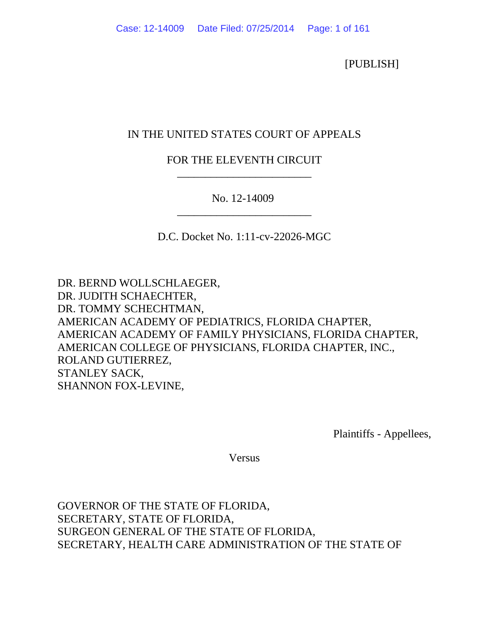[PUBLISH]

## IN THE UNITED STATES COURT OF APPEALS

# FOR THE ELEVENTH CIRCUIT \_\_\_\_\_\_\_\_\_\_\_\_\_\_\_\_\_\_\_\_\_\_\_\_

No. 12-14009 \_\_\_\_\_\_\_\_\_\_\_\_\_\_\_\_\_\_\_\_\_\_\_\_

D.C. Docket No. 1:11-cv-22026-MGC

DR. BERND WOLLSCHLAEGER, DR. JUDITH SCHAECHTER, DR. TOMMY SCHECHTMAN, AMERICAN ACADEMY OF PEDIATRICS, FLORIDA CHAPTER, AMERICAN ACADEMY OF FAMILY PHYSICIANS, FLORIDA CHAPTER, AMERICAN COLLEGE OF PHYSICIANS, FLORIDA CHAPTER, INC., ROLAND GUTIERREZ, STANLEY SACK, SHANNON FOX-LEVINE,

Plaintiffs - Appellees,

Versus

GOVERNOR OF THE STATE OF FLORIDA, SECRETARY, STATE OF FLORIDA, SURGEON GENERAL OF THE STATE OF FLORIDA, SECRETARY, HEALTH CARE ADMINISTRATION OF THE STATE OF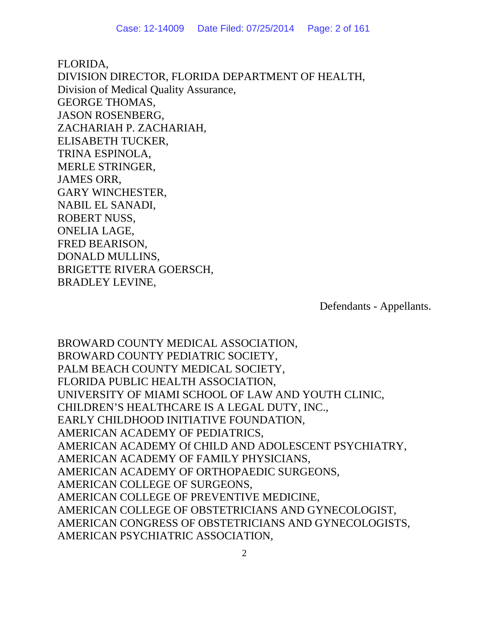FLORIDA, DIVISION DIRECTOR, FLORIDA DEPARTMENT OF HEALTH, Division of Medical Quality Assurance, GEORGE THOMAS, JASON ROSENBERG, ZACHARIAH P. ZACHARIAH, ELISABETH TUCKER, TRINA ESPINOLA, MERLE STRINGER, JAMES ORR, GARY WINCHESTER, NABIL EL SANADI, ROBERT NUSS, ONELIA LAGE, FRED BEARISON, DONALD MULLINS, BRIGETTE RIVERA GOERSCH, BRADLEY LEVINE,

Defendants - Appellants.

BROWARD COUNTY MEDICAL ASSOCIATION, BROWARD COUNTY PEDIATRIC SOCIETY, PALM BEACH COUNTY MEDICAL SOCIETY, FLORIDA PUBLIC HEALTH ASSOCIATION, UNIVERSITY OF MIAMI SCHOOL OF LAW AND YOUTH CLINIC, CHILDREN'S HEALTHCARE IS A LEGAL DUTY, INC., EARLY CHILDHOOD INITIATIVE FOUNDATION, AMERICAN ACADEMY OF PEDIATRICS, AMERICAN ACADEMY Of CHILD AND ADOLESCENT PSYCHIATRY, AMERICAN ACADEMY OF FAMILY PHYSICIANS, AMERICAN ACADEMY OF ORTHOPAEDIC SURGEONS, AMERICAN COLLEGE OF SURGEONS, AMERICAN COLLEGE OF PREVENTIVE MEDICINE, AMERICAN COLLEGE OF OBSTETRICIANS AND GYNECOLOGIST, AMERICAN CONGRESS OF OBSTETRICIANS AND GYNECOLOGISTS, AMERICAN PSYCHIATRIC ASSOCIATION,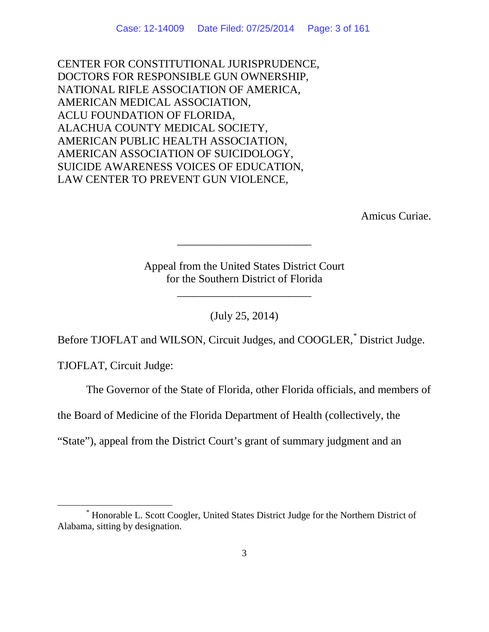CENTER FOR CONSTITUTIONAL JURISPRUDENCE, DOCTORS FOR RESPONSIBLE GUN OWNERSHIP, NATIONAL RIFLE ASSOCIATION OF AMERICA, AMERICAN MEDICAL ASSOCIATION, ACLU FOUNDATION OF FLORIDA, ALACHUA COUNTY MEDICAL SOCIETY, AMERICAN PUBLIC HEALTH ASSOCIATION, AMERICAN ASSOCIATION OF SUICIDOLOGY, SUICIDE AWARENESS VOICES OF EDUCATION, LAW CENTER TO PREVENT GUN VIOLENCE,

Amicus Curiae.

Appeal from the United States District Court for the Southern District of Florida

\_\_\_\_\_\_\_\_\_\_\_\_\_\_\_\_\_\_\_\_\_\_\_\_

\_\_\_\_\_\_\_\_\_\_\_\_\_\_\_\_\_\_\_\_\_\_\_\_

(July 25, 2014)

Before TJOFLAT and WILSON, Circuit Judges, and COOGLER,[\\*](#page-2-0) District Judge.

TJOFLAT, Circuit Judge:

The Governor of the State of Florida, other Florida officials, and members of

the Board of Medicine of the Florida Department of Health (collectively, the

"State"), appeal from the District Court's grant of summary judgment and an

<span id="page-2-0"></span> <sup>\*</sup> Honorable L. Scott Coogler, United States District Judge for the Northern District of Alabama, sitting by designation.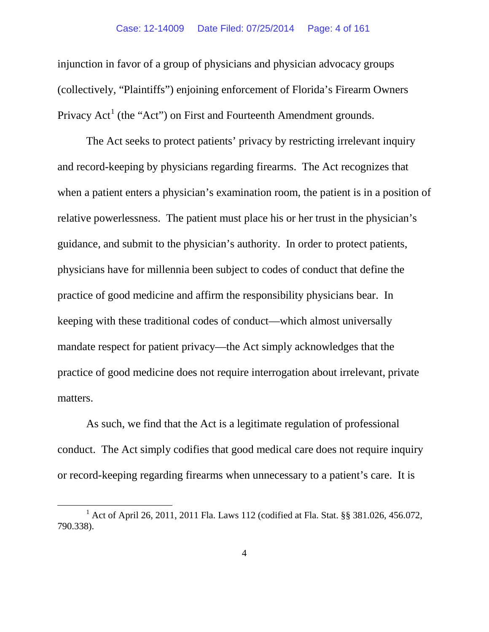injunction in favor of a group of physicians and physician advocacy groups (collectively, "Plaintiffs") enjoining enforcement of Florida's Firearm Owners Privacy  $Act^1$  $Act^1$  (the "Act") on First and Fourteenth Amendment grounds.

The Act seeks to protect patients' privacy by restricting irrelevant inquiry and record-keeping by physicians regarding firearms. The Act recognizes that when a patient enters a physician's examination room, the patient is in a position of relative powerlessness. The patient must place his or her trust in the physician's guidance, and submit to the physician's authority. In order to protect patients, physicians have for millennia been subject to codes of conduct that define the practice of good medicine and affirm the responsibility physicians bear. In keeping with these traditional codes of conduct—which almost universally mandate respect for patient privacy—the Act simply acknowledges that the practice of good medicine does not require interrogation about irrelevant, private matters.

As such, we find that the Act is a legitimate regulation of professional conduct. The Act simply codifies that good medical care does not require inquiry or record-keeping regarding firearms when unnecessary to a patient's care. It is

<span id="page-3-0"></span><sup>&</sup>lt;sup>1</sup> Act of April 26, 2011, 2011 Fla. Laws 112 (codified at Fla. Stat. §§ 381.026, 456.072, 790.338).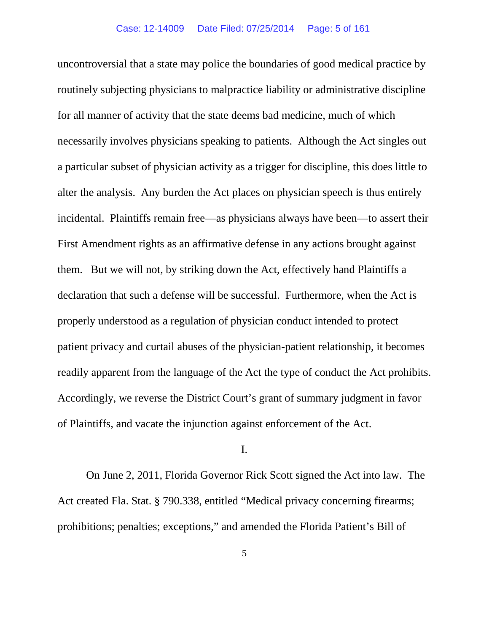uncontroversial that a state may police the boundaries of good medical practice by routinely subjecting physicians to malpractice liability or administrative discipline for all manner of activity that the state deems bad medicine, much of which necessarily involves physicians speaking to patients. Although the Act singles out a particular subset of physician activity as a trigger for discipline, this does little to alter the analysis. Any burden the Act places on physician speech is thus entirely incidental. Plaintiffs remain free—as physicians always have been—to assert their First Amendment rights as an affirmative defense in any actions brought against them. But we will not, by striking down the Act, effectively hand Plaintiffs a declaration that such a defense will be successful. Furthermore, when the Act is properly understood as a regulation of physician conduct intended to protect patient privacy and curtail abuses of the physician-patient relationship, it becomes readily apparent from the language of the Act the type of conduct the Act prohibits. Accordingly, we reverse the District Court's grant of summary judgment in favor of Plaintiffs, and vacate the injunction against enforcement of the Act.

## I.

On June 2, 2011, Florida Governor Rick Scott signed the Act into law. The Act created Fla. Stat. § 790.338, entitled "Medical privacy concerning firearms; prohibitions; penalties; exceptions," and amended the Florida Patient's Bill of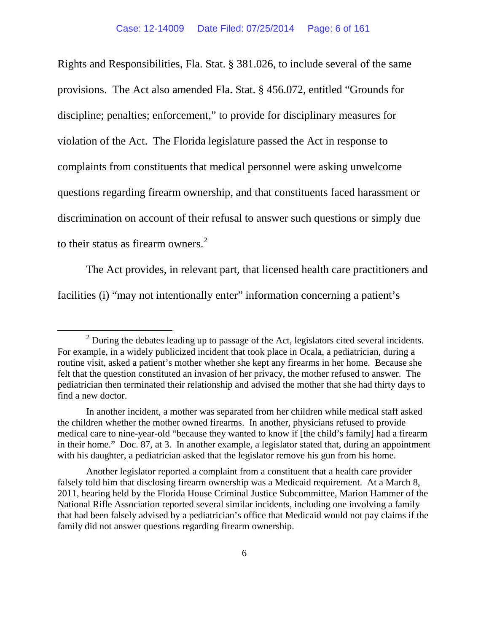Rights and Responsibilities, Fla. Stat. § 381.026, to include several of the same provisions. The Act also amended Fla. Stat. § 456.072, entitled "Grounds for discipline; penalties; enforcement," to provide for disciplinary measures for violation of the Act. The Florida legislature passed the Act in response to complaints from constituents that medical personnel were asking unwelcome questions regarding firearm ownership, and that constituents faced harassment or discrimination on account of their refusal to answer such questions or simply due to their status as firearm owners. $2$ 

The Act provides, in relevant part, that licensed health care practitioners and facilities (i) "may not intentionally enter" information concerning a patient's

<span id="page-5-0"></span> $2$  During the debates leading up to passage of the Act, legislators cited several incidents. For example, in a widely publicized incident that took place in Ocala, a pediatrician, during a routine visit, asked a patient's mother whether she kept any firearms in her home. Because she felt that the question constituted an invasion of her privacy, the mother refused to answer. The pediatrician then terminated their relationship and advised the mother that she had thirty days to find a new doctor.

In another incident, a mother was separated from her children while medical staff asked the children whether the mother owned firearms. In another, physicians refused to provide medical care to nine-year-old "because they wanted to know if [the child's family] had a firearm in their home." Doc. 87, at 3. In another example, a legislator stated that, during an appointment with his daughter, a pediatrician asked that the legislator remove his gun from his home.

Another legislator reported a complaint from a constituent that a health care provider falsely told him that disclosing firearm ownership was a Medicaid requirement. At a March 8, 2011, hearing held by the Florida House Criminal Justice Subcommittee, Marion Hammer of the National Rifle Association reported several similar incidents, including one involving a family that had been falsely advised by a pediatrician's office that Medicaid would not pay claims if the family did not answer questions regarding firearm ownership.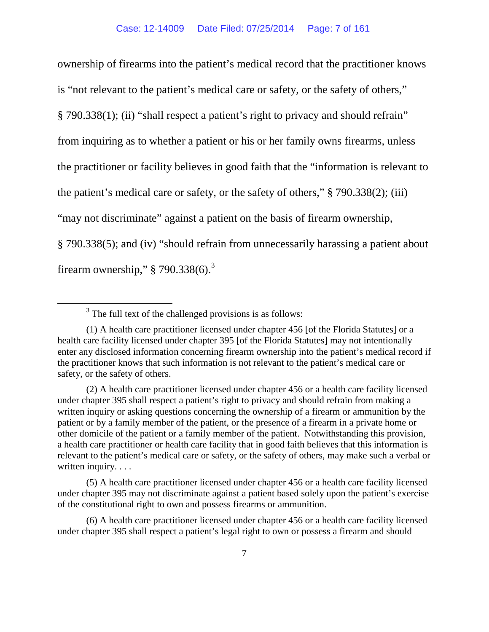ownership of firearms into the patient's medical record that the practitioner knows is "not relevant to the patient's medical care or safety, or the safety of others," § 790.338(1); (ii) "shall respect a patient's right to privacy and should refrain" from inquiring as to whether a patient or his or her family owns firearms, unless the practitioner or facility believes in good faith that the "information is relevant to the patient's medical care or safety, or the safety of others," § 790.338(2); (iii) "may not discriminate" against a patient on the basis of firearm ownership, § 790.338(5); and (iv) "should refrain from unnecessarily harassing a patient about firearm ownership,"  $\S$  790.[3](#page-6-0)38(6).<sup>3</sup>

<sup>&</sup>lt;sup>3</sup> The full text of the challenged provisions is as follows:

<span id="page-6-0"></span><sup>(1)</sup> A health care practitioner licensed under chapter 456 [of the Florida Statutes] or a health care facility licensed under chapter 395 [of the Florida Statutes] may not intentionally enter any disclosed information concerning firearm ownership into the patient's medical record if the practitioner knows that such information is not relevant to the patient's medical care or safety, or the safety of others.

<sup>(2)</sup> A health care practitioner licensed under chapter 456 or a health care facility licensed under chapter 395 shall respect a patient's right to privacy and should refrain from making a written inquiry or asking questions concerning the ownership of a firearm or ammunition by the patient or by a family member of the patient, or the presence of a firearm in a private home or other domicile of the patient or a family member of the patient. Notwithstanding this provision, a health care practitioner or health care facility that in good faith believes that this information is relevant to the patient's medical care or safety, or the safety of others, may make such a verbal or written inquiry. . . .

<sup>(5)</sup> A health care practitioner licensed under chapter 456 or a health care facility licensed under chapter 395 may not discriminate against a patient based solely upon the patient's exercise of the constitutional right to own and possess firearms or ammunition.

<sup>(6)</sup> A health care practitioner licensed under chapter 456 or a health care facility licensed under chapter 395 shall respect a patient's legal right to own or possess a firearm and should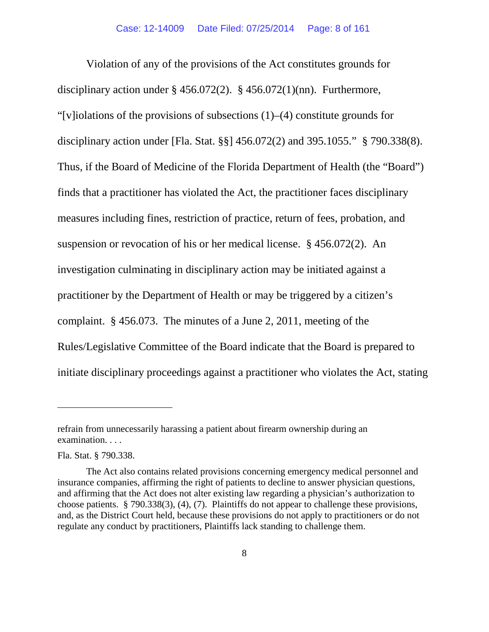Violation of any of the provisions of the Act constitutes grounds for disciplinary action under  $\S$  456.072(2).  $\S$  456.072(1)(nn). Furthermore, "[v]iolations of the provisions of subsections  $(1)$ – $(4)$  constitute grounds for disciplinary action under [Fla. Stat. §§] 456.072(2) and 395.1055." § 790.338(8). Thus, if the Board of Medicine of the Florida Department of Health (the "Board") finds that a practitioner has violated the Act, the practitioner faces disciplinary measures including fines, restriction of practice, return of fees, probation, and suspension or revocation of his or her medical license. § 456.072(2). An investigation culminating in disciplinary action may be initiated against a practitioner by the Department of Health or may be triggered by a citizen's complaint. § 456.073. The minutes of a June 2, 2011, meeting of the Rules/Legislative Committee of the Board indicate that the Board is prepared to initiate disciplinary proceedings against a practitioner who violates the Act, stating

 $\overline{a}$ 

refrain from unnecessarily harassing a patient about firearm ownership during an examination. . . .

Fla. Stat. § 790.338.

The Act also contains related provisions concerning emergency medical personnel and insurance companies, affirming the right of patients to decline to answer physician questions, and affirming that the Act does not alter existing law regarding a physician's authorization to choose patients. § 790.338(3), (4), (7). Plaintiffs do not appear to challenge these provisions, and, as the District Court held, because these provisions do not apply to practitioners or do not regulate any conduct by practitioners, Plaintiffs lack standing to challenge them.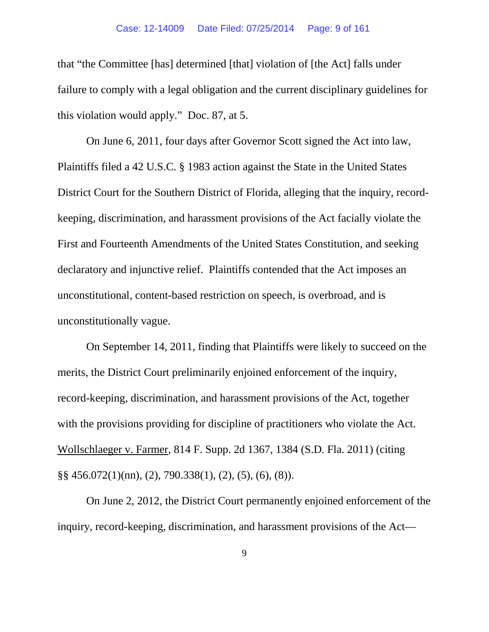### Case: 12-14009 Date Filed: 07/25/2014 Page: 9 of 161

that "the Committee [has] determined [that] violation of [the Act] falls under failure to comply with a legal obligation and the current disciplinary guidelines for this violation would apply." Doc. 87, at 5.

On June 6, 2011, four days after Governor Scott signed the Act into law, Plaintiffs filed a 42 U.S.C. § 1983 action against the State in the United States District Court for the Southern District of Florida, alleging that the inquiry, recordkeeping, discrimination, and harassment provisions of the Act facially violate the First and Fourteenth Amendments of the United States Constitution, and seeking declaratory and injunctive relief. Plaintiffs contended that the Act imposes an unconstitutional, content-based restriction on speech, is overbroad, and is unconstitutionally vague.

On September 14, 2011, finding that Plaintiffs were likely to succeed on the merits, the District Court preliminarily enjoined enforcement of the inquiry, record-keeping, discrimination, and harassment provisions of the Act, together with the provisions providing for discipline of practitioners who violate the Act. Wollschlaeger v. Farmer, 814 F. Supp. 2d 1367, 1384 (S.D. Fla. 2011) (citing §§ 456.072(1)(nn), (2), 790.338(1), (2), (5), (6), (8)).

On June 2, 2012, the District Court permanently enjoined enforcement of the inquiry, record-keeping, discrimination, and harassment provisions of the Act—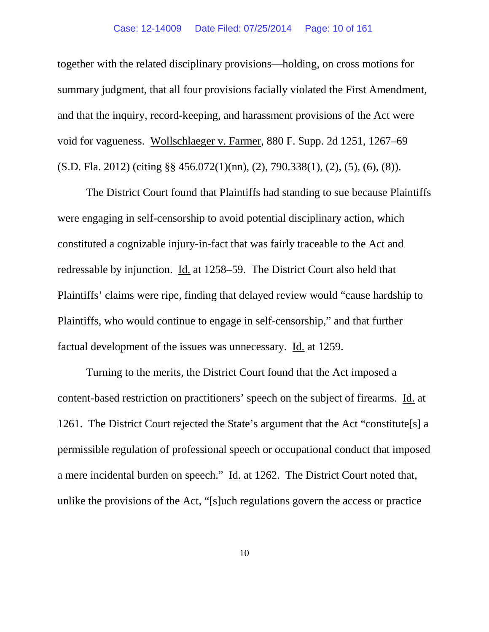together with the related disciplinary provisions—holding, on cross motions for summary judgment, that all four provisions facially violated the First Amendment, and that the inquiry, record-keeping, and harassment provisions of the Act were void for vagueness. Wollschlaeger v. Farmer, 880 F. Supp. 2d 1251, 1267–69 (S.D. Fla. 2012) (citing §§ 456.072(1)(nn), (2), 790.338(1), (2), (5), (6), (8)).

The District Court found that Plaintiffs had standing to sue because Plaintiffs were engaging in self-censorship to avoid potential disciplinary action, which constituted a cognizable injury-in-fact that was fairly traceable to the Act and redressable by injunction. Id. at 1258–59. The District Court also held that Plaintiffs' claims were ripe, finding that delayed review would "cause hardship to Plaintiffs, who would continue to engage in self-censorship," and that further factual development of the issues was unnecessary. Id. at 1259.

Turning to the merits, the District Court found that the Act imposed a content-based restriction on practitioners' speech on the subject of firearms. Id. at 1261. The District Court rejected the State's argument that the Act "constitute[s] a permissible regulation of professional speech or occupational conduct that imposed a mere incidental burden on speech." Id. at 1262. The District Court noted that, unlike the provisions of the Act, "[s]uch regulations govern the access or practice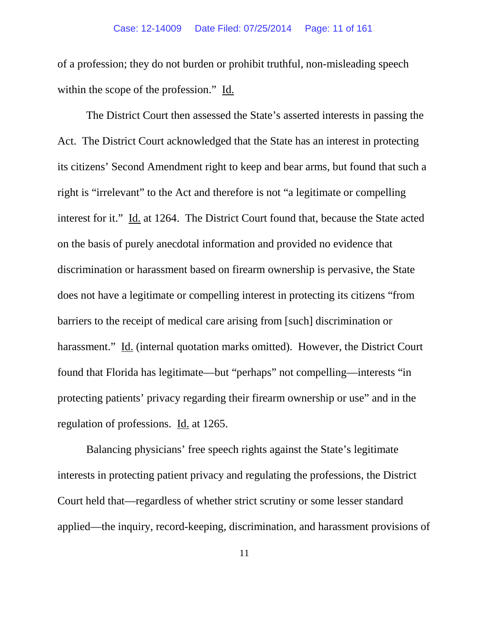of a profession; they do not burden or prohibit truthful, non-misleading speech within the scope of the profession." Id.

The District Court then assessed the State's asserted interests in passing the Act. The District Court acknowledged that the State has an interest in protecting its citizens' Second Amendment right to keep and bear arms, but found that such a right is "irrelevant" to the Act and therefore is not "a legitimate or compelling interest for it." Id. at 1264. The District Court found that, because the State acted on the basis of purely anecdotal information and provided no evidence that discrimination or harassment based on firearm ownership is pervasive, the State does not have a legitimate or compelling interest in protecting its citizens "from barriers to the receipt of medical care arising from [such] discrimination or harassment." Id. (internal quotation marks omitted). However, the District Court found that Florida has legitimate—but "perhaps" not compelling—interests "in protecting patients' privacy regarding their firearm ownership or use" and in the regulation of professions. Id. at 1265.

Balancing physicians' free speech rights against the State's legitimate interests in protecting patient privacy and regulating the professions, the District Court held that—regardless of whether strict scrutiny or some lesser standard applied—the inquiry, record-keeping, discrimination, and harassment provisions of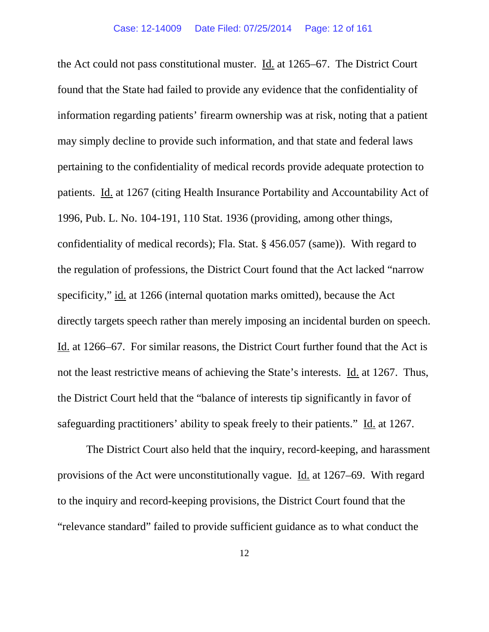the Act could not pass constitutional muster. Id. at 1265–67. The District Court found that the State had failed to provide any evidence that the confidentiality of information regarding patients' firearm ownership was at risk, noting that a patient may simply decline to provide such information, and that state and federal laws pertaining to the confidentiality of medical records provide adequate protection to patients. Id. at 1267 (citing Health Insurance Portability and Accountability Act of 1996, Pub. L. No. 104-191, 110 Stat. 1936 (providing, among other things, confidentiality of medical records); Fla. Stat. § 456.057 (same)). With regard to the regulation of professions, the District Court found that the Act lacked "narrow specificity," id. at 1266 (internal quotation marks omitted), because the Act directly targets speech rather than merely imposing an incidental burden on speech. Id. at 1266–67. For similar reasons, the District Court further found that the Act is not the least restrictive means of achieving the State's interests. Id. at 1267. Thus, the District Court held that the "balance of interests tip significantly in favor of safeguarding practitioners' ability to speak freely to their patients." Id. at 1267.

The District Court also held that the inquiry, record-keeping, and harassment provisions of the Act were unconstitutionally vague. Id. at 1267–69. With regard to the inquiry and record-keeping provisions, the District Court found that the "relevance standard" failed to provide sufficient guidance as to what conduct the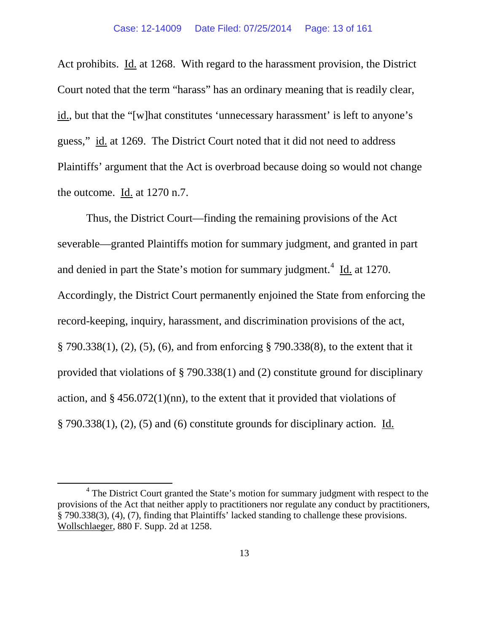Act prohibits. Id. at 1268. With regard to the harassment provision, the District Court noted that the term "harass" has an ordinary meaning that is readily clear, id., but that the "[w]hat constitutes 'unnecessary harassment' is left to anyone's guess," id. at 1269. The District Court noted that it did not need to address Plaintiffs' argument that the Act is overbroad because doing so would not change the outcome.  $\underline{Id}$  at 1270 n.7.

Thus, the District Court—finding the remaining provisions of the Act severable—granted Plaintiffs motion for summary judgment, and granted in part and denied in part the State's motion for summary judgment. $4 \underline{Id}$  $4 \underline{Id}$  at 1270. Accordingly, the District Court permanently enjoined the State from enforcing the record-keeping, inquiry, harassment, and discrimination provisions of the act, § 790.338(1), (2), (5), (6), and from enforcing § 790.338(8), to the extent that it provided that violations of § 790.338(1) and (2) constitute ground for disciplinary action, and  $\S 456.072(1)(nn)$ , to the extent that it provided that violations of § 790.338(1), (2), (5) and (6) constitute grounds for disciplinary action. Id.

<span id="page-12-0"></span><sup>&</sup>lt;sup>4</sup> The District Court granted the State's motion for summary judgment with respect to the provisions of the Act that neither apply to practitioners nor regulate any conduct by practitioners, § 790.338(3), (4), (7), finding that Plaintiffs' lacked standing to challenge these provisions. Wollschlaeger, 880 F. Supp. 2d at 1258.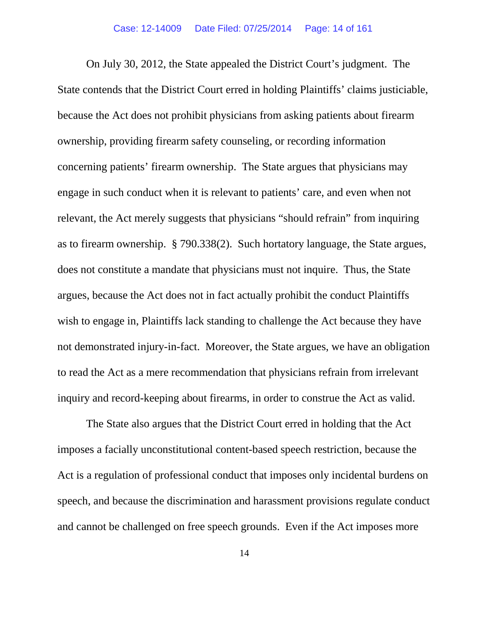On July 30, 2012, the State appealed the District Court's judgment. The State contends that the District Court erred in holding Plaintiffs' claims justiciable, because the Act does not prohibit physicians from asking patients about firearm ownership, providing firearm safety counseling, or recording information concerning patients' firearm ownership. The State argues that physicians may engage in such conduct when it is relevant to patients' care, and even when not relevant, the Act merely suggests that physicians "should refrain" from inquiring as to firearm ownership. § 790.338(2). Such hortatory language, the State argues, does not constitute a mandate that physicians must not inquire. Thus, the State argues, because the Act does not in fact actually prohibit the conduct Plaintiffs wish to engage in, Plaintiffs lack standing to challenge the Act because they have not demonstrated injury-in-fact. Moreover, the State argues, we have an obligation to read the Act as a mere recommendation that physicians refrain from irrelevant inquiry and record-keeping about firearms, in order to construe the Act as valid.

The State also argues that the District Court erred in holding that the Act imposes a facially unconstitutional content-based speech restriction, because the Act is a regulation of professional conduct that imposes only incidental burdens on speech, and because the discrimination and harassment provisions regulate conduct and cannot be challenged on free speech grounds. Even if the Act imposes more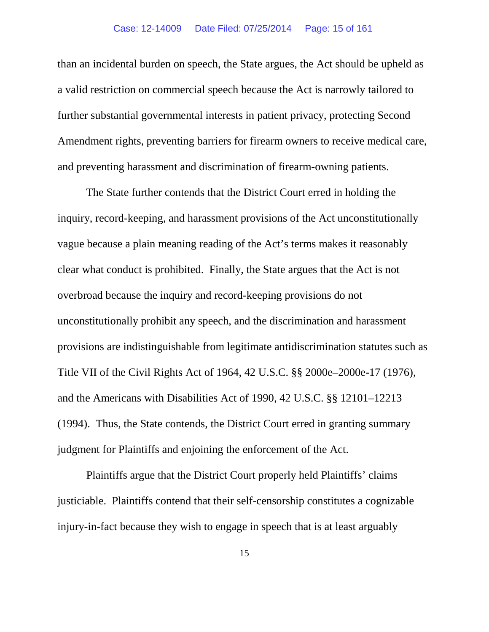than an incidental burden on speech, the State argues, the Act should be upheld as a valid restriction on commercial speech because the Act is narrowly tailored to further substantial governmental interests in patient privacy, protecting Second Amendment rights, preventing barriers for firearm owners to receive medical care, and preventing harassment and discrimination of firearm-owning patients.

The State further contends that the District Court erred in holding the inquiry, record-keeping, and harassment provisions of the Act unconstitutionally vague because a plain meaning reading of the Act's terms makes it reasonably clear what conduct is prohibited. Finally, the State argues that the Act is not overbroad because the inquiry and record-keeping provisions do not unconstitutionally prohibit any speech, and the discrimination and harassment provisions are indistinguishable from legitimate antidiscrimination statutes such as Title VII of the Civil Rights Act of 1964, 42 U.S.C. §§ 2000e–2000e-17 (1976), and the Americans with Disabilities Act of 1990, 42 U.S.C. §§ 12101–12213 (1994). Thus, the State contends, the District Court erred in granting summary judgment for Plaintiffs and enjoining the enforcement of the Act.

Plaintiffs argue that the District Court properly held Plaintiffs' claims justiciable. Plaintiffs contend that their self-censorship constitutes a cognizable injury-in-fact because they wish to engage in speech that is at least arguably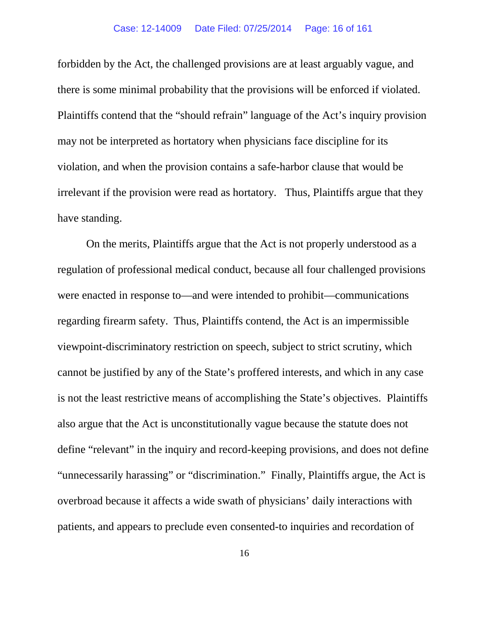forbidden by the Act, the challenged provisions are at least arguably vague, and there is some minimal probability that the provisions will be enforced if violated. Plaintiffs contend that the "should refrain" language of the Act's inquiry provision may not be interpreted as hortatory when physicians face discipline for its violation, and when the provision contains a safe-harbor clause that would be irrelevant if the provision were read as hortatory. Thus, Plaintiffs argue that they have standing.

On the merits, Plaintiffs argue that the Act is not properly understood as a regulation of professional medical conduct, because all four challenged provisions were enacted in response to—and were intended to prohibit—communications regarding firearm safety. Thus, Plaintiffs contend, the Act is an impermissible viewpoint-discriminatory restriction on speech, subject to strict scrutiny, which cannot be justified by any of the State's proffered interests, and which in any case is not the least restrictive means of accomplishing the State's objectives. Plaintiffs also argue that the Act is unconstitutionally vague because the statute does not define "relevant" in the inquiry and record-keeping provisions, and does not define "unnecessarily harassing" or "discrimination." Finally, Plaintiffs argue, the Act is overbroad because it affects a wide swath of physicians' daily interactions with patients, and appears to preclude even consented-to inquiries and recordation of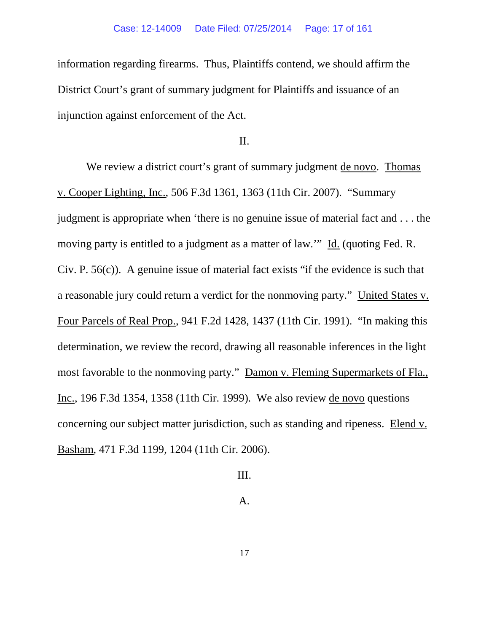information regarding firearms. Thus, Plaintiffs contend, we should affirm the District Court's grant of summary judgment for Plaintiffs and issuance of an injunction against enforcement of the Act.

II.

We review a district court's grant of summary judgment de novo. Thomas v. Cooper Lighting, Inc., 506 F.3d 1361, 1363 (11th Cir. 2007). "Summary judgment is appropriate when 'there is no genuine issue of material fact and . . . the moving party is entitled to a judgment as a matter of law.'" Id. (quoting Fed. R. Civ. P. 56(c)). A genuine issue of material fact exists "if the evidence is such that a reasonable jury could return a verdict for the nonmoving party." United States v. Four Parcels of Real Prop., 941 F.2d 1428, 1437 (11th Cir. 1991). "In making this determination, we review the record, drawing all reasonable inferences in the light most favorable to the nonmoving party." Damon v. Fleming Supermarkets of Fla., Inc., 196 F.3d 1354, 1358 (11th Cir. 1999). We also review de novo questions concerning our subject matter jurisdiction, such as standing and ripeness. Elend v. Basham, 471 F.3d 1199, 1204 (11th Cir. 2006).

III.

A.

17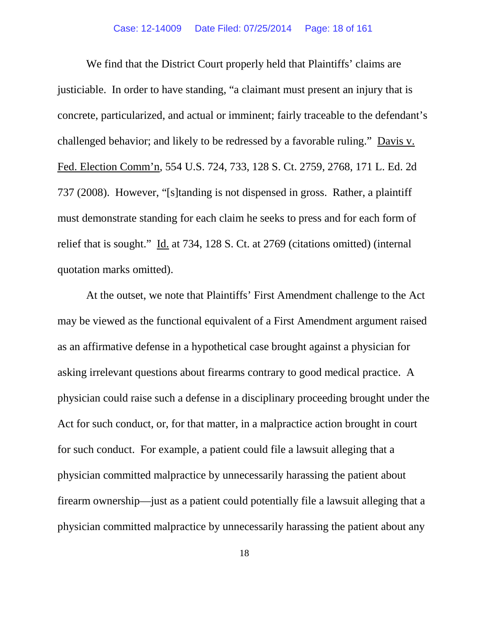We find that the District Court properly held that Plaintiffs' claims are justiciable. In order to have standing, "a claimant must present an injury that is concrete, particularized, and actual or imminent; fairly traceable to the defendant's challenged behavior; and likely to be redressed by a favorable ruling." Davis v. Fed. Election Comm'n, 554 U.S. 724, 733, 128 S. Ct. 2759, 2768, 171 L. Ed. 2d 737 (2008). However, "[s]tanding is not dispensed in gross. Rather, a plaintiff must demonstrate standing for each claim he seeks to press and for each form of relief that is sought." Id. at 734, 128 S. Ct. at 2769 (citations omitted) (internal quotation marks omitted).

At the outset, we note that Plaintiffs' First Amendment challenge to the Act may be viewed as the functional equivalent of a First Amendment argument raised as an affirmative defense in a hypothetical case brought against a physician for asking irrelevant questions about firearms contrary to good medical practice. A physician could raise such a defense in a disciplinary proceeding brought under the Act for such conduct, or, for that matter, in a malpractice action brought in court for such conduct. For example, a patient could file a lawsuit alleging that a physician committed malpractice by unnecessarily harassing the patient about firearm ownership—just as a patient could potentially file a lawsuit alleging that a physician committed malpractice by unnecessarily harassing the patient about any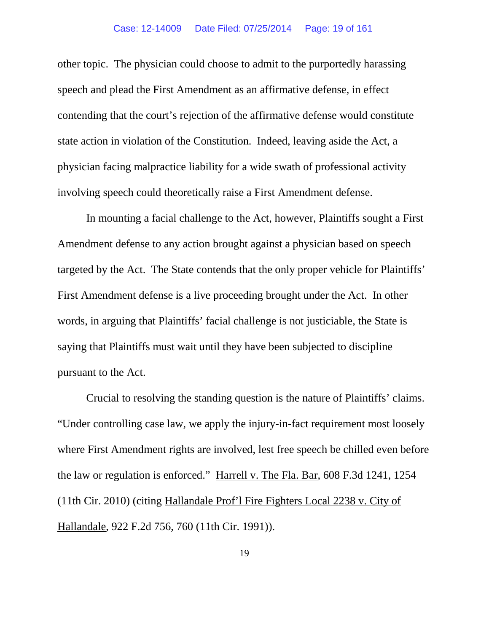other topic. The physician could choose to admit to the purportedly harassing speech and plead the First Amendment as an affirmative defense, in effect contending that the court's rejection of the affirmative defense would constitute state action in violation of the Constitution. Indeed, leaving aside the Act, a physician facing malpractice liability for a wide swath of professional activity involving speech could theoretically raise a First Amendment defense.

In mounting a facial challenge to the Act, however, Plaintiffs sought a First Amendment defense to any action brought against a physician based on speech targeted by the Act. The State contends that the only proper vehicle for Plaintiffs' First Amendment defense is a live proceeding brought under the Act. In other words, in arguing that Plaintiffs' facial challenge is not justiciable, the State is saying that Plaintiffs must wait until they have been subjected to discipline pursuant to the Act.

Crucial to resolving the standing question is the nature of Plaintiffs' claims. "Under controlling case law, we apply the injury-in-fact requirement most loosely where First Amendment rights are involved, lest free speech be chilled even before the law or regulation is enforced." Harrell v. The Fla. Bar, 608 F.3d 1241, 1254 (11th Cir. 2010) (citing Hallandale Prof'l Fire Fighters Local 2238 v. City of Hallandale, 922 F.2d 756, 760 (11th Cir. 1991)).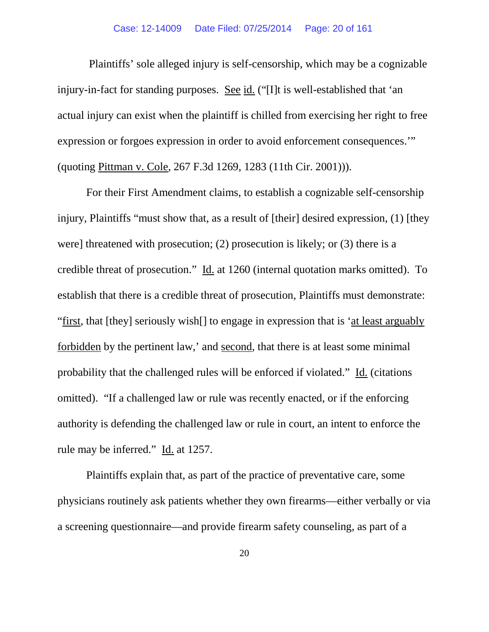### Case: 12-14009 Date Filed: 07/25/2014 Page: 20 of 161

Plaintiffs' sole alleged injury is self-censorship, which may be a cognizable injury-in-fact for standing purposes. See id. ("[I]t is well-established that 'an actual injury can exist when the plaintiff is chilled from exercising her right to free expression or forgoes expression in order to avoid enforcement consequences.'" (quoting Pittman v. Cole, 267 F.3d 1269, 1283 (11th Cir. 2001))).

For their First Amendment claims, to establish a cognizable self-censorship injury, Plaintiffs "must show that, as a result of [their] desired expression, (1) [they were] threatened with prosecution; (2) prosecution is likely; or (3) there is a credible threat of prosecution." Id. at 1260 (internal quotation marks omitted). To establish that there is a credible threat of prosecution, Plaintiffs must demonstrate: "first*,* that [they] seriously wish[] to engage in expression that is 'at least arguably forbidden by the pertinent law,' and second*,* that there is at least some minimal probability that the challenged rules will be enforced if violated." Id. (citations omitted). "If a challenged law or rule was recently enacted, or if the enforcing authority is defending the challenged law or rule in court, an intent to enforce the rule may be inferred." Id. at 1257.

Plaintiffs explain that, as part of the practice of preventative care, some physicians routinely ask patients whether they own firearms—either verbally or via a screening questionnaire—and provide firearm safety counseling, as part of a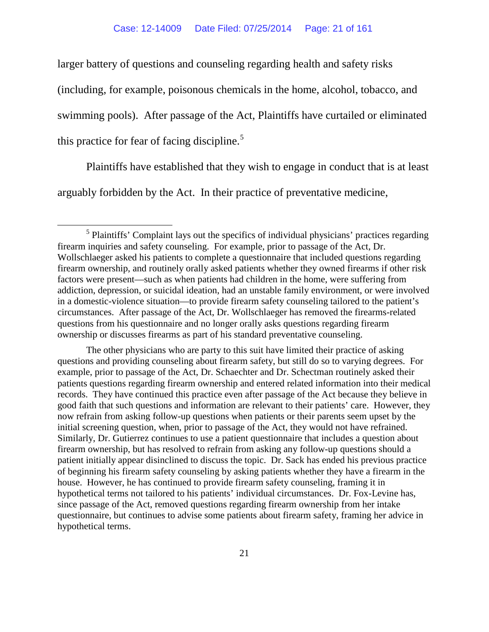larger battery of questions and counseling regarding health and safety risks (including, for example, poisonous chemicals in the home, alcohol, tobacco, and swimming pools). After passage of the Act, Plaintiffs have curtailed or eliminated this practice for fear of facing discipline.<sup>[5](#page-20-0)</sup>

Plaintiffs have established that they wish to engage in conduct that is at least arguably forbidden by the Act. In their practice of preventative medicine,

The other physicians who are party to this suit have limited their practice of asking questions and providing counseling about firearm safety, but still do so to varying degrees. For example, prior to passage of the Act, Dr. Schaechter and Dr. Schectman routinely asked their patients questions regarding firearm ownership and entered related information into their medical records. They have continued this practice even after passage of the Act because they believe in good faith that such questions and information are relevant to their patients' care. However, they now refrain from asking follow-up questions when patients or their parents seem upset by the initial screening question, when, prior to passage of the Act, they would not have refrained. Similarly, Dr. Gutierrez continues to use a patient questionnaire that includes a question about firearm ownership, but has resolved to refrain from asking any follow-up questions should a patient initially appear disinclined to discuss the topic. Dr. Sack has ended his previous practice of beginning his firearm safety counseling by asking patients whether they have a firearm in the house. However, he has continued to provide firearm safety counseling, framing it in hypothetical terms not tailored to his patients' individual circumstances. Dr. Fox-Levine has, since passage of the Act, removed questions regarding firearm ownership from her intake questionnaire, but continues to advise some patients about firearm safety, framing her advice in hypothetical terms.

<span id="page-20-0"></span> $<sup>5</sup>$  Plaintiffs' Complaint lays out the specifics of individual physicians' practices regarding</sup> firearm inquiries and safety counseling. For example, prior to passage of the Act, Dr. Wollschlaeger asked his patients to complete a questionnaire that included questions regarding firearm ownership, and routinely orally asked patients whether they owned firearms if other risk factors were present—such as when patients had children in the home, were suffering from addiction, depression, or suicidal ideation, had an unstable family environment, or were involved in a domestic-violence situation—to provide firearm safety counseling tailored to the patient's circumstances. After passage of the Act, Dr. Wollschlaeger has removed the firearms-related questions from his questionnaire and no longer orally asks questions regarding firearm ownership or discusses firearms as part of his standard preventative counseling.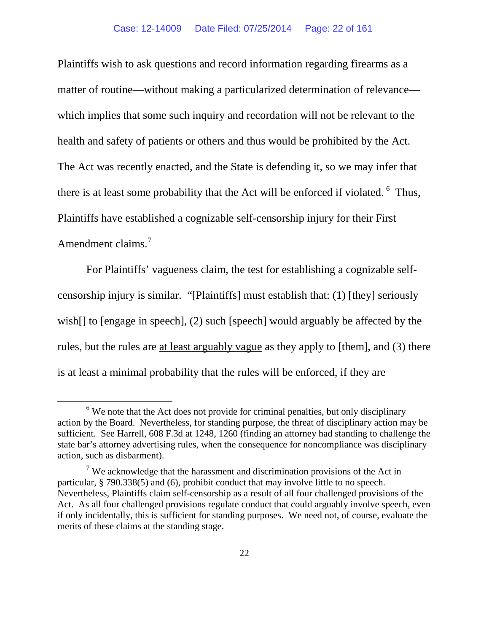Plaintiffs wish to ask questions and record information regarding firearms as a matter of routine—without making a particularized determination of relevance which implies that some such inquiry and recordation will not be relevant to the health and safety of patients or others and thus would be prohibited by the Act. The Act was recently enacted, and the State is defending it, so we may infer that there is at least some probability that the Act will be enforced if violated.  $6$  Thus, Plaintiffs have established a cognizable self-censorship injury for their First Amendment claims.<sup>[7](#page-21-1)</sup>

For Plaintiffs' vagueness claim, the test for establishing a cognizable selfcensorship injury is similar. "[Plaintiffs] must establish that: (1) [they] seriously wish[] to [engage in speech], (2) such [speech] would arguably be affected by the rules, but the rules are at least arguably vague as they apply to [them], and (3) there is at least a minimal probability that the rules will be enforced, if they are

<span id="page-21-0"></span> $6$  We note that the Act does not provide for criminal penalties, but only disciplinary action by the Board. Nevertheless, for standing purpose, the threat of disciplinary action may be sufficient. See Harrell, 608 F.3d at 1248, 1260 (finding an attorney had standing to challenge the state bar's attorney advertising rules, when the consequence for noncompliance was disciplinary action, such as disbarment).

<span id="page-21-1"></span><sup>&</sup>lt;sup>7</sup> We acknowledge that the harassment and discrimination provisions of the Act in particular, § 790.338(5) and (6), prohibit conduct that may involve little to no speech. Nevertheless, Plaintiffs claim self-censorship as a result of all four challenged provisions of the Act. As all four challenged provisions regulate conduct that could arguably involve speech, even if only incidentally, this is sufficient for standing purposes. We need not, of course, evaluate the merits of these claims at the standing stage.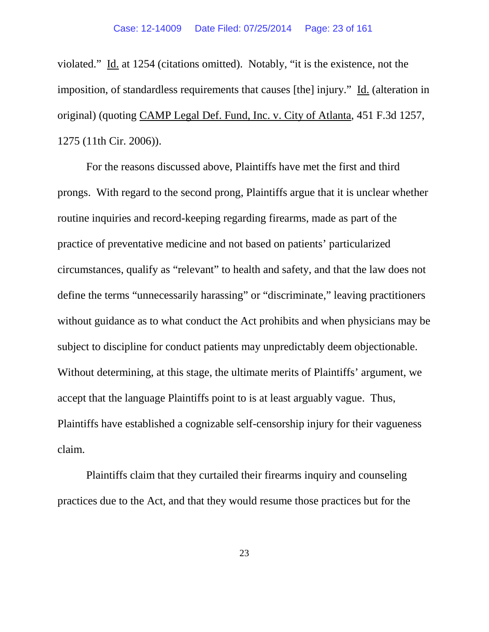violated." Id. at 1254 (citations omitted). Notably, "it is the existence, not the imposition, of standardless requirements that causes [the] injury." Id. (alteration in original) (quoting CAMP Legal Def. Fund, Inc. v. City of Atlanta, 451 F.3d 1257, 1275 (11th Cir. 2006)).

For the reasons discussed above, Plaintiffs have met the first and third prongs. With regard to the second prong, Plaintiffs argue that it is unclear whether routine inquiries and record-keeping regarding firearms, made as part of the practice of preventative medicine and not based on patients' particularized circumstances, qualify as "relevant" to health and safety, and that the law does not define the terms "unnecessarily harassing" or "discriminate," leaving practitioners without guidance as to what conduct the Act prohibits and when physicians may be subject to discipline for conduct patients may unpredictably deem objectionable. Without determining, at this stage, the ultimate merits of Plaintiffs' argument, we accept that the language Plaintiffs point to is at least arguably vague. Thus, Plaintiffs have established a cognizable self-censorship injury for their vagueness claim.

Plaintiffs claim that they curtailed their firearms inquiry and counseling practices due to the Act, and that they would resume those practices but for the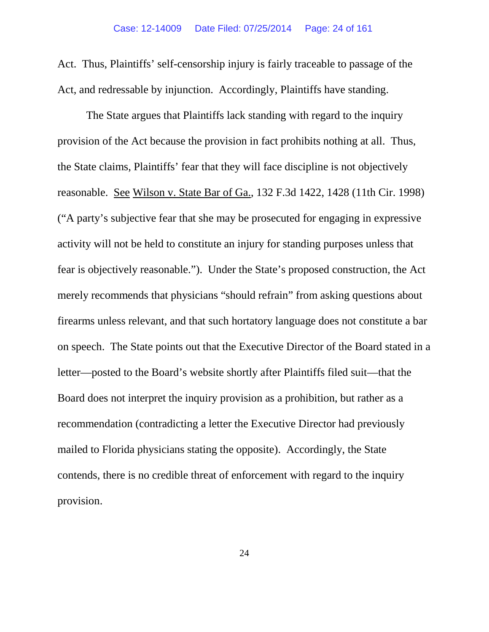Act. Thus, Plaintiffs' self-censorship injury is fairly traceable to passage of the Act, and redressable by injunction. Accordingly, Plaintiffs have standing.

The State argues that Plaintiffs lack standing with regard to the inquiry provision of the Act because the provision in fact prohibits nothing at all. Thus, the State claims, Plaintiffs' fear that they will face discipline is not objectively reasonable. See Wilson v. State Bar of Ga., 132 F.3d 1422, 1428 (11th Cir. 1998) ("A party's subjective fear that she may be prosecuted for engaging in expressive activity will not be held to constitute an injury for standing purposes unless that fear is objectively reasonable."). Under the State's proposed construction, the Act merely recommends that physicians "should refrain" from asking questions about firearms unless relevant, and that such hortatory language does not constitute a bar on speech. The State points out that the Executive Director of the Board stated in a letter—posted to the Board's website shortly after Plaintiffs filed suit—that the Board does not interpret the inquiry provision as a prohibition, but rather as a recommendation (contradicting a letter the Executive Director had previously mailed to Florida physicians stating the opposite). Accordingly, the State contends, there is no credible threat of enforcement with regard to the inquiry provision.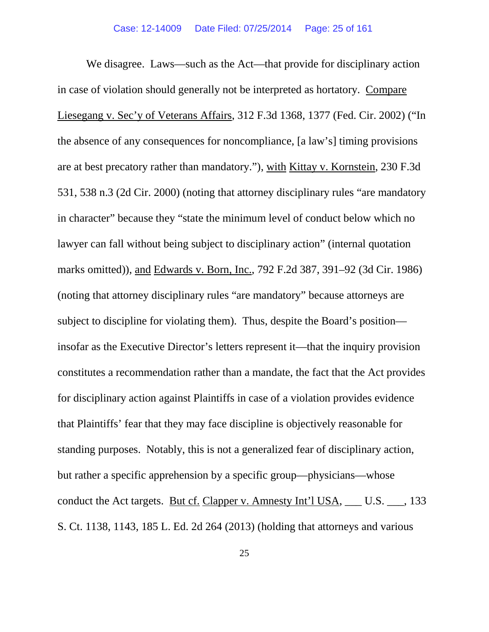We disagree. Laws—such as the Act—that provide for disciplinary action in case of violation should generally not be interpreted as hortatory. Compare Liesegang v. Sec'y of Veterans Affairs, 312 F.3d 1368, 1377 (Fed. Cir. 2002) ("In the absence of any consequences for noncompliance, [a law's] timing provisions are at best precatory rather than mandatory."), with Kittay v. Kornstein, 230 F.3d 531, 538 n.3 (2d Cir. 2000) (noting that attorney disciplinary rules "are mandatory in character" because they "state the minimum level of conduct below which no lawyer can fall without being subject to disciplinary action" (internal quotation marks omitted)), and Edwards v. Born, Inc., 792 F.2d 387, 391–92 (3d Cir. 1986) (noting that attorney disciplinary rules "are mandatory" because attorneys are subject to discipline for violating them). Thus, despite the Board's position insofar as the Executive Director's letters represent it—that the inquiry provision constitutes a recommendation rather than a mandate, the fact that the Act provides for disciplinary action against Plaintiffs in case of a violation provides evidence that Plaintiffs' fear that they may face discipline is objectively reasonable for standing purposes. Notably, this is not a generalized fear of disciplinary action, but rather a specific apprehension by a specific group—physicians—whose conduct the Act targets. But cf. Clapper v. Amnesty Int'l USA, \_\_\_ U.S. \_\_\_, 133 S. Ct. 1138, 1143, 185 L. Ed. 2d 264 (2013) (holding that attorneys and various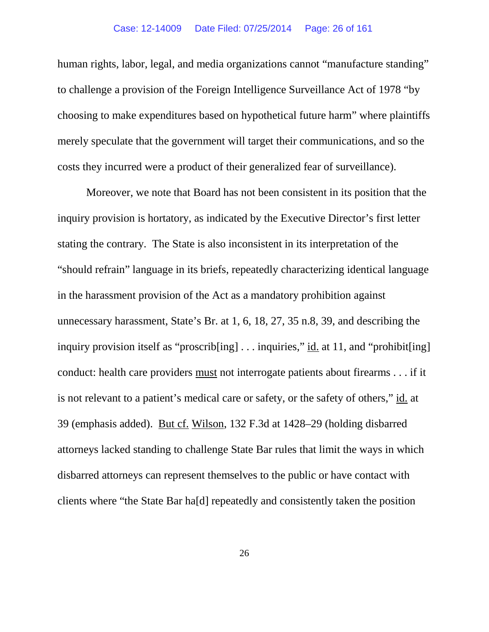human rights, labor, legal, and media organizations cannot "manufacture standing" to challenge a provision of the Foreign Intelligence Surveillance Act of 1978 "by choosing to make expenditures based on hypothetical future harm" where plaintiffs merely speculate that the government will target their communications, and so the costs they incurred were a product of their generalized fear of surveillance).

Moreover, we note that Board has not been consistent in its position that the inquiry provision is hortatory, as indicated by the Executive Director's first letter stating the contrary. The State is also inconsistent in its interpretation of the "should refrain" language in its briefs, repeatedly characterizing identical language in the harassment provision of the Act as a mandatory prohibition against unnecessary harassment, State's Br. at 1, 6, 18, 27, 35 n.8, 39, and describing the inquiry provision itself as "proscrib[ing] . . . inquiries," id. at 11, and "prohibit[ing] conduct: health care providers must not interrogate patients about firearms . . . if it is not relevant to a patient's medical care or safety, or the safety of others," id. at 39 (emphasis added). But cf. Wilson, 132 F.3d at 1428–29 (holding disbarred attorneys lacked standing to challenge State Bar rules that limit the ways in which disbarred attorneys can represent themselves to the public or have contact with clients where "the State Bar ha[d] repeatedly and consistently taken the position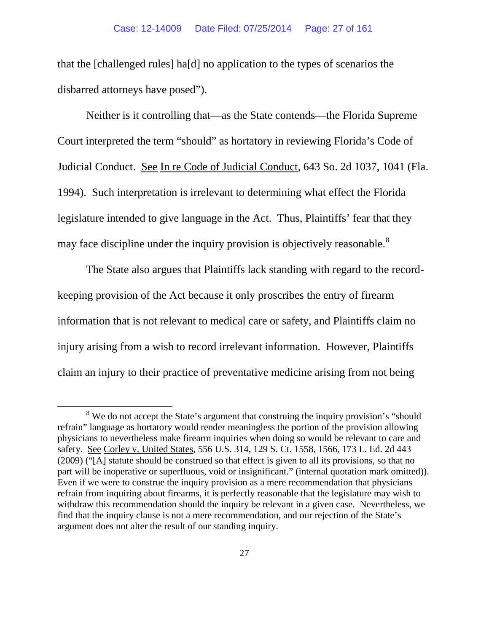that the [challenged rules] ha[d] no application to the types of scenarios the disbarred attorneys have posed").

Neither is it controlling that—as the State contends—the Florida Supreme Court interpreted the term "should" as hortatory in reviewing Florida's Code of Judicial Conduct. See In re Code of Judicial Conduct, 643 So. 2d 1037, 1041 (Fla. 1994). Such interpretation is irrelevant to determining what effect the Florida legislature intended to give language in the Act. Thus, Plaintiffs' fear that they may face discipline under the inquiry provision is objectively reasonable.<sup>[8](#page-26-0)</sup>

The State also argues that Plaintiffs lack standing with regard to the recordkeeping provision of the Act because it only proscribes the entry of firearm information that is not relevant to medical care or safety, and Plaintiffs claim no injury arising from a wish to record irrelevant information. However, Plaintiffs claim an injury to their practice of preventative medicine arising from not being

<span id="page-26-0"></span><sup>&</sup>lt;sup>8</sup> We do not accept the State's argument that construing the inquiry provision's "should" refrain" language as hortatory would render meaningless the portion of the provision allowing physicians to nevertheless make firearm inquiries when doing so would be relevant to care and safety. See Corley v. United States, 556 U.S. 314, 129 S. Ct. 1558, 1566, 173 L. Ed. 2d 443 (2009) ("[A] statute should be construed so that effect is given to all its provisions, so that no part will be inoperative or superfluous, void or insignificant." (internal quotation mark omitted)). Even if we were to construe the inquiry provision as a mere recommendation that physicians refrain from inquiring about firearms, it is perfectly reasonable that the legislature may wish to withdraw this recommendation should the inquiry be relevant in a given case. Nevertheless, we find that the inquiry clause is not a mere recommendation, and our rejection of the State's argument does not alter the result of our standing inquiry.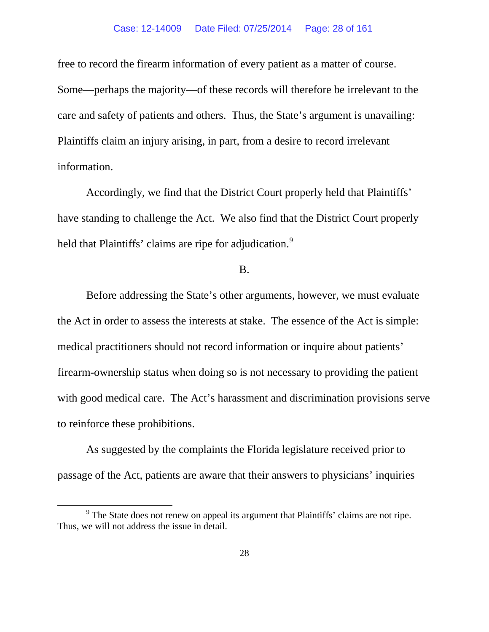free to record the firearm information of every patient as a matter of course. Some—perhaps the majority—of these records will therefore be irrelevant to the care and safety of patients and others. Thus, the State's argument is unavailing: Plaintiffs claim an injury arising, in part, from a desire to record irrelevant information.

Accordingly, we find that the District Court properly held that Plaintiffs' have standing to challenge the Act. We also find that the District Court properly held that Plaintiffs' claims are ripe for adjudication.<sup>[9](#page-27-0)</sup>

### B.

Before addressing the State's other arguments, however, we must evaluate the Act in order to assess the interests at stake. The essence of the Act is simple: medical practitioners should not record information or inquire about patients' firearm-ownership status when doing so is not necessary to providing the patient with good medical care. The Act's harassment and discrimination provisions serve to reinforce these prohibitions.

As suggested by the complaints the Florida legislature received prior to passage of the Act, patients are aware that their answers to physicians' inquiries

<span id="page-27-0"></span> $9<sup>9</sup>$  The State does not renew on appeal its argument that Plaintiffs' claims are not ripe. Thus, we will not address the issue in detail.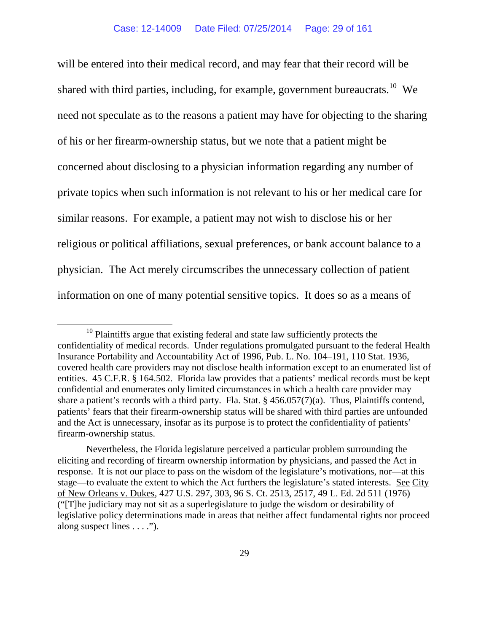will be entered into their medical record, and may fear that their record will be shared with third parties, including, for example, government bureaucrats.<sup>10</sup> We need not speculate as to the reasons a patient may have for objecting to the sharing of his or her firearm-ownership status, but we note that a patient might be concerned about disclosing to a physician information regarding any number of private topics when such information is not relevant to his or her medical care for similar reasons. For example, a patient may not wish to disclose his or her religious or political affiliations, sexual preferences, or bank account balance to a physician. The Act merely circumscribes the unnecessary collection of patient information on one of many potential sensitive topics. It does so as a means of

<span id="page-28-0"></span><sup>&</sup>lt;sup>10</sup> Plaintiffs argue that existing federal and state law sufficiently protects the confidentiality of medical records. Under regulations promulgated pursuant to the federal Health Insurance Portability and Accountability Act of 1996, Pub. L. No. 104–191, 110 Stat. 1936, covered health care providers may not disclose health information except to an enumerated list of entities. 45 C.F.R. § 164.502. Florida law provides that a patients' medical records must be kept confidential and enumerates only limited circumstances in which a health care provider may share a patient's records with a third party. Fla. Stat. § 456.057(7)(a). Thus, Plaintiffs contend, patients' fears that their firearm-ownership status will be shared with third parties are unfounded and the Act is unnecessary, insofar as its purpose is to protect the confidentiality of patients' firearm-ownership status.

Nevertheless, the Florida legislature perceived a particular problem surrounding the eliciting and recording of firearm ownership information by physicians, and passed the Act in response. It is not our place to pass on the wisdom of the legislature's motivations, nor—at this stage—to evaluate the extent to which the Act furthers the legislature's stated interests. See City of New Orleans v. Dukes, 427 U.S. 297, 303, 96 S. Ct. 2513, 2517, 49 L. Ed. 2d 511 (1976) ("[T]he judiciary may not sit as a superlegislature to judge the wisdom or desirability of legislative policy determinations made in areas that neither affect fundamental rights nor proceed along suspect lines  $\dots$ .").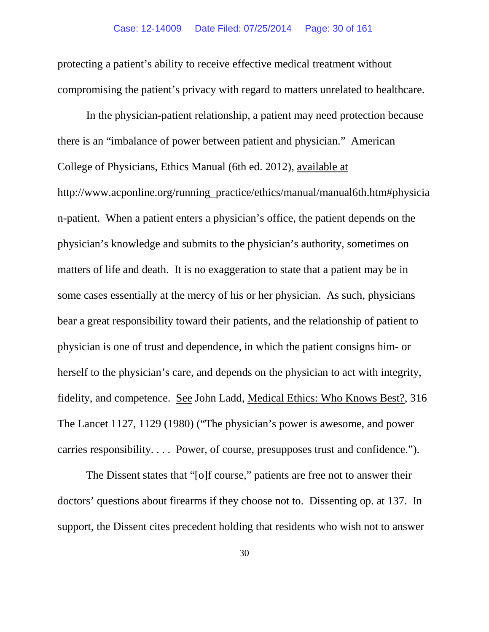protecting a patient's ability to receive effective medical treatment without compromising the patient's privacy with regard to matters unrelated to healthcare.

In the physician-patient relationship, a patient may need protection because there is an "imbalance of power between patient and physician." American College of Physicians, Ethics Manual (6th ed. 2012), available at http://www.acponline.org/running\_practice/ethics/manual/manual6th.htm#physicia n-patient. When a patient enters a physician's office, the patient depends on the physician's knowledge and submits to the physician's authority, sometimes on matters of life and death. It is no exaggeration to state that a patient may be in some cases essentially at the mercy of his or her physician. As such, physicians bear a great responsibility toward their patients, and the relationship of patient to physician is one of trust and dependence, in which the patient consigns him- or herself to the physician's care, and depends on the physician to act with integrity, fidelity, and competence. See John Ladd, Medical Ethics: Who Knows Best?, 316 The Lancet 1127, 1129 (1980) ("The physician's power is awesome, and power carries responsibility. . . . Power, of course, presupposes trust and confidence.").

The Dissent states that "[o]f course," patients are free not to answer their doctors' questions about firearms if they choose not to. Dissenting op. at 137. In support, the Dissent cites precedent holding that residents who wish not to answer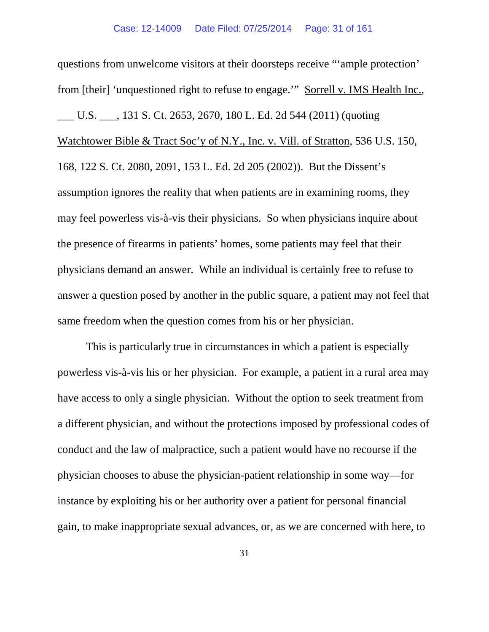questions from unwelcome visitors at their doorsteps receive "'ample protection' from [their] 'unquestioned right to refuse to engage.'" Sorrell v. IMS Health Inc., \_\_\_ U.S. \_\_\_, 131 S. Ct. 2653, 2670, 180 L. Ed. 2d 544 (2011) (quoting Watchtower Bible & Tract Soc'y of N.Y., Inc. v. Vill. of Stratton, 536 U.S. 150, 168, 122 S. Ct. 2080, 2091, 153 L. Ed. 2d 205 (2002)). But the Dissent's assumption ignores the reality that when patients are in examining rooms, they may feel powerless vis-à-vis their physicians. So when physicians inquire about the presence of firearms in patients' homes, some patients may feel that their physicians demand an answer. While an individual is certainly free to refuse to answer a question posed by another in the public square, a patient may not feel that same freedom when the question comes from his or her physician.

This is particularly true in circumstances in which a patient is especially powerless vis-à-vis his or her physician. For example, a patient in a rural area may have access to only a single physician. Without the option to seek treatment from a different physician, and without the protections imposed by professional codes of conduct and the law of malpractice, such a patient would have no recourse if the physician chooses to abuse the physician-patient relationship in some way—for instance by exploiting his or her authority over a patient for personal financial gain, to make inappropriate sexual advances, or, as we are concerned with here, to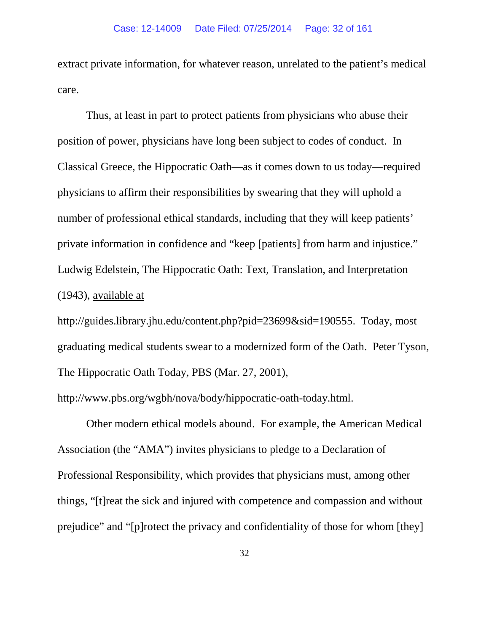extract private information, for whatever reason, unrelated to the patient's medical care.

Thus, at least in part to protect patients from physicians who abuse their position of power, physicians have long been subject to codes of conduct. In Classical Greece, the Hippocratic Oath—as it comes down to us today—required physicians to affirm their responsibilities by swearing that they will uphold a number of professional ethical standards, including that they will keep patients' private information in confidence and "keep [patients] from harm and injustice." Ludwig Edelstein, The Hippocratic Oath: Text, Translation, and Interpretation (1943), available at

[http://guides.library.jhu.edu/content.php?pid=23699&sid=190555.](http://guides.library.jhu.edu/content.php?pid=23699&sid=190555) Today, most graduating medical students swear to a modernized form of the Oath. Peter Tyson, The Hippocratic Oath Today, PBS (Mar. 27, 2001),

[http://www.pbs.org/wgbh/nova/body/hippocratic-oath-today.html.](http://www.pbs.org/wgbh/nova/body/hippocratic-oath-today.html)

Other modern ethical models abound. For example, the American Medical Association (the "AMA") invites physicians to pledge to a Declaration of Professional Responsibility, which provides that physicians must, among other things, "[t]reat the sick and injured with competence and compassion and without prejudice" and "[p]rotect the privacy and confidentiality of those for whom [they]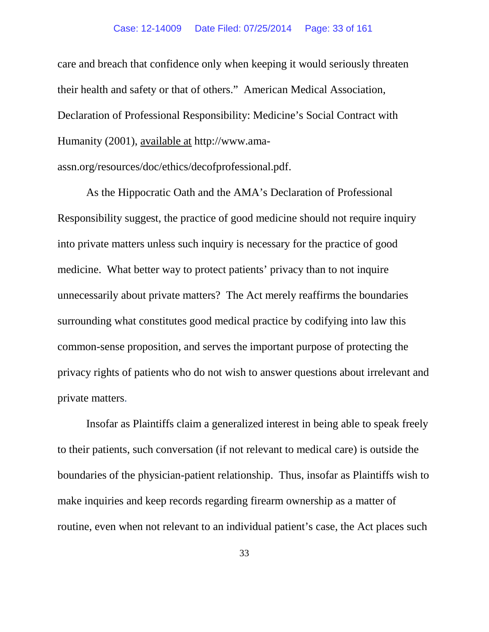#### Case: 12-14009 Date Filed: 07/25/2014 Page: 33 of 161

care and breach that confidence only when keeping it would seriously threaten their health and safety or that of others." American Medical Association, Declaration of Professional Responsibility: Medicine's Social Contract with Humanity (2001), available at http://www.amaassn.org/resources/doc/ethics/decofprofessional.pdf.

As the Hippocratic Oath and the AMA's Declaration of Professional Responsibility suggest, the practice of good medicine should not require inquiry into private matters unless such inquiry is necessary for the practice of good medicine. What better way to protect patients' privacy than to not inquire unnecessarily about private matters? The Act merely reaffirms the boundaries surrounding what constitutes good medical practice by codifying into law this common-sense proposition, and serves the important purpose of protecting the privacy rights of patients who do not wish to answer questions about irrelevant and private matters.

Insofar as Plaintiffs claim a generalized interest in being able to speak freely to their patients, such conversation (if not relevant to medical care) is outside the boundaries of the physician-patient relationship. Thus, insofar as Plaintiffs wish to make inquiries and keep records regarding firearm ownership as a matter of routine, even when not relevant to an individual patient's case, the Act places such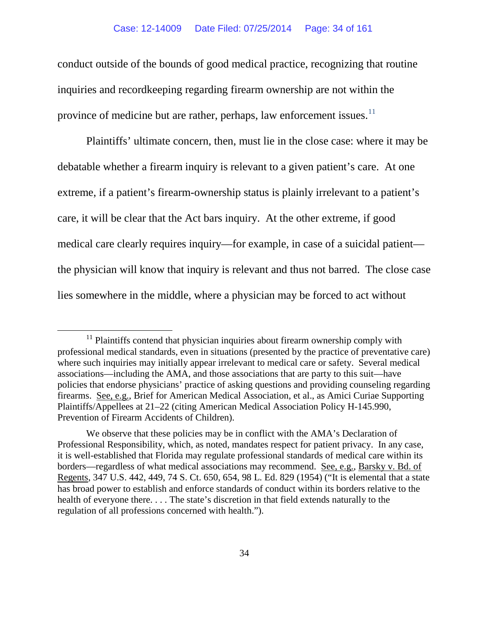conduct outside of the bounds of good medical practice, recognizing that routine inquiries and recordkeeping regarding firearm ownership are not within the province of medicine but are rather, perhaps, law enforcement issues.<sup>[11](#page-33-0)</sup>

Plaintiffs' ultimate concern, then, must lie in the close case: where it may be debatable whether a firearm inquiry is relevant to a given patient's care. At one extreme, if a patient's firearm-ownership status is plainly irrelevant to a patient's care, it will be clear that the Act bars inquiry. At the other extreme, if good medical care clearly requires inquiry—for example, in case of a suicidal patient the physician will know that inquiry is relevant and thus not barred. The close case lies somewhere in the middle, where a physician may be forced to act without

<span id="page-33-0"></span> $11$  Plaintiffs contend that physician inquiries about firearm ownership comply with professional medical standards, even in situations (presented by the practice of preventative care) where such inquiries may initially appear irrelevant to medical care or safety. Several medical associations—including the AMA, and those associations that are party to this suit—have policies that endorse physicians' practice of asking questions and providing counseling regarding firearms. See, e.g., Brief for American Medical Association, et al., as Amici Curiae Supporting Plaintiffs/Appellees at 21–22 (citing American Medical Association Policy H-145.990, Prevention of Firearm Accidents of Children).

We observe that these policies may be in conflict with the AMA's Declaration of Professional Responsibility, which, as noted, mandates respect for patient privacy. In any case, it is well-established that Florida may regulate professional standards of medical care within its borders—regardless of what medical associations may recommend. See, e.g., Barsky v. Bd. of Regents, 347 U.S. 442, 449, 74 S. Ct. 650, 654, 98 L. Ed. 829 (1954) ("It is elemental that a state has broad power to establish and enforce standards of conduct within its borders relative to the health of everyone there. . . . The state's discretion in that field extends naturally to the regulation of all professions concerned with health.").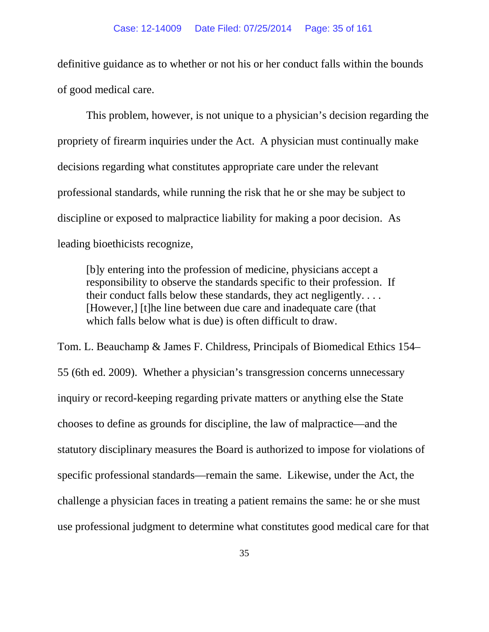definitive guidance as to whether or not his or her conduct falls within the bounds of good medical care.

This problem, however, is not unique to a physician's decision regarding the propriety of firearm inquiries under the Act. A physician must continually make decisions regarding what constitutes appropriate care under the relevant professional standards, while running the risk that he or she may be subject to discipline or exposed to malpractice liability for making a poor decision. As leading bioethicists recognize,

[b]y entering into the profession of medicine, physicians accept a responsibility to observe the standards specific to their profession. If their conduct falls below these standards, they act negligently. . . . [However,] [t]he line between due care and inadequate care (that which falls below what is due) is often difficult to draw.

Tom. L. Beauchamp & James F. Childress, Principals of Biomedical Ethics 154– 55 (6th ed. 2009). Whether a physician's transgression concerns unnecessary inquiry or record-keeping regarding private matters or anything else the State chooses to define as grounds for discipline, the law of malpractice—and the statutory disciplinary measures the Board is authorized to impose for violations of specific professional standards—remain the same. Likewise, under the Act, the challenge a physician faces in treating a patient remains the same: he or she must use professional judgment to determine what constitutes good medical care for that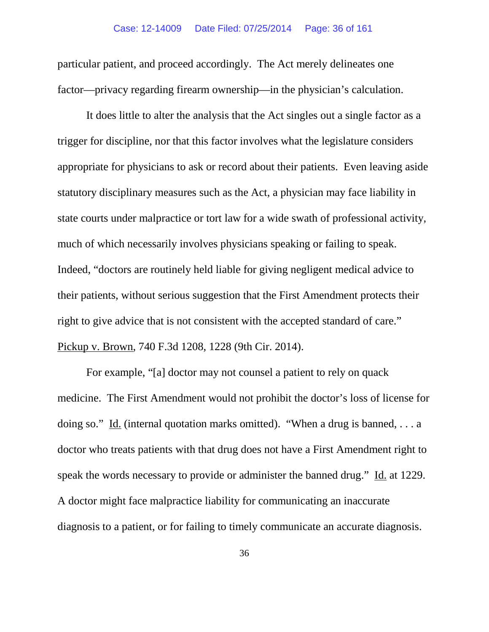particular patient, and proceed accordingly. The Act merely delineates one factor—privacy regarding firearm ownership—in the physician's calculation.

It does little to alter the analysis that the Act singles out a single factor as a trigger for discipline, nor that this factor involves what the legislature considers appropriate for physicians to ask or record about their patients. Even leaving aside statutory disciplinary measures such as the Act, a physician may face liability in state courts under malpractice or tort law for a wide swath of professional activity, much of which necessarily involves physicians speaking or failing to speak. Indeed, "doctors are routinely held liable for giving negligent medical advice to their patients, without serious suggestion that the First Amendment protects their right to give advice that is not consistent with the accepted standard of care." Pickup v. Brown, 740 F.3d 1208, 1228 (9th Cir. 2014).

For example, "[a] doctor may not counsel a patient to rely on quack medicine. The First Amendment would not prohibit the doctor's loss of license for doing so." Id. (internal quotation marks omitted). "When a drug is banned, . . . a doctor who treats patients with that drug does not have a First Amendment right to speak the words necessary to provide or administer the banned drug." Id. at 1229. A doctor might face malpractice liability for communicating an inaccurate diagnosis to a patient, or for failing to timely communicate an accurate diagnosis.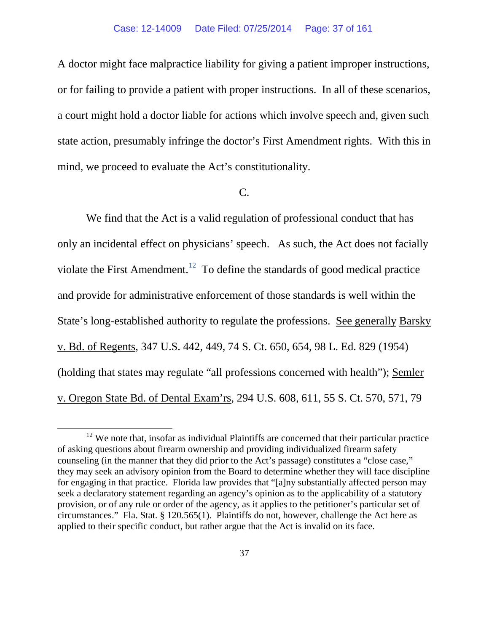A doctor might face malpractice liability for giving a patient improper instructions, or for failing to provide a patient with proper instructions. In all of these scenarios, a court might hold a doctor liable for actions which involve speech and, given such state action, presumably infringe the doctor's First Amendment rights. With this in mind, we proceed to evaluate the Act's constitutionality.

### C.

We find that the Act is a valid regulation of professional conduct that has only an incidental effect on physicians' speech. As such, the Act does not facially violate the First Amendment.<sup>12</sup> To define the standards of good medical practice and provide for administrative enforcement of those standards is well within the State's long-established authority to regulate the professions. See generally Barsky v. Bd. of Regents, 347 U.S. 442, 449, 74 S. Ct. 650, 654, 98 L. Ed. 829 (1954) (holding that states may regulate "all professions concerned with health"); Semler v. Oregon State Bd. of Dental Exam'rs, 294 U.S. 608, 611, 55 S. Ct. 570, 571, 79

<span id="page-36-0"></span> $12$  We note that, insofar as individual Plaintiffs are concerned that their particular practice of asking questions about firearm ownership and providing individualized firearm safety counseling (in the manner that they did prior to the Act's passage) constitutes a "close case," they may seek an advisory opinion from the Board to determine whether they will face discipline for engaging in that practice. Florida law provides that "[a]ny substantially affected person may seek a declaratory statement regarding an agency's opinion as to the applicability of a statutory provision, or of any rule or order of the agency, as it applies to the petitioner's particular set of circumstances." Fla. Stat. § 120.565(1). Plaintiffs do not, however, challenge the Act here as applied to their specific conduct, but rather argue that the Act is invalid on its face.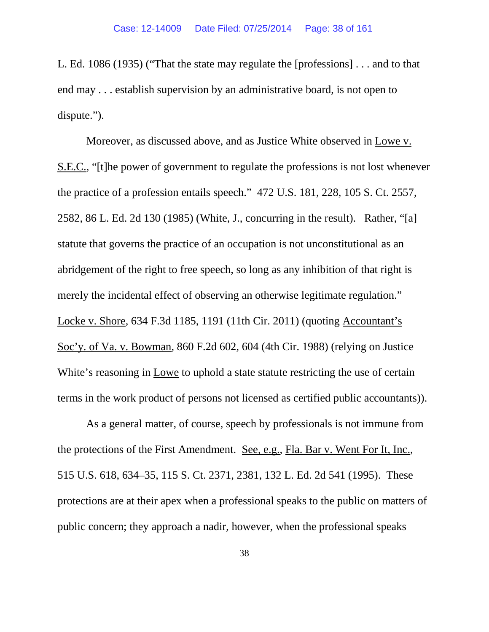L. Ed. 1086 (1935) ("That the state may regulate the [professions] . . . and to that end may . . . establish supervision by an administrative board, is not open to dispute.").

Moreover, as discussed above, and as Justice White observed in Lowe v. S.E.C., "[t]he power of government to regulate the professions is not lost whenever the practice of a profession entails speech." 472 U.S. 181, 228, 105 S. Ct. 2557, 2582, 86 L. Ed. 2d 130 (1985) (White, J., concurring in the result). Rather, "[a] statute that governs the practice of an occupation is not unconstitutional as an abridgement of the right to free speech, so long as any inhibition of that right is merely the incidental effect of observing an otherwise legitimate regulation." Locke v. Shore, 634 F.3d 1185, 1191 (11th Cir. 2011) (quoting Accountant's Soc'y. of Va. v. Bowman, 860 F.2d 602, 604 (4th Cir. 1988) (relying on Justice White's reasoning in Lowe to uphold a state statute restricting the use of certain terms in the work product of persons not licensed as certified public accountants)).

As a general matter, of course, speech by professionals is not immune from the protections of the First Amendment. See, e.g., Fla. Bar v. Went For It, Inc., 515 U.S. 618, 634–35, 115 S. Ct. 2371, 2381, 132 L. Ed. 2d 541 (1995). These protections are at their apex when a professional speaks to the public on matters of public concern; they approach a nadir, however, when the professional speaks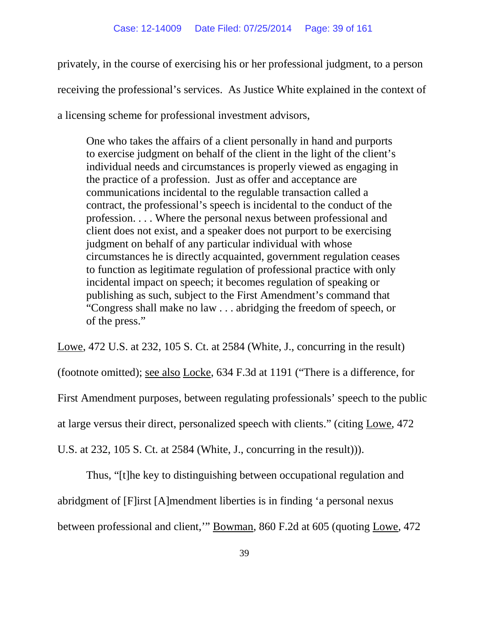privately, in the course of exercising his or her professional judgment, to a person receiving the professional's services. As Justice White explained in the context of a licensing scheme for professional investment advisors,

One who takes the affairs of a client personally in hand and purports to exercise judgment on behalf of the client in the light of the client's individual needs and circumstances is properly viewed as engaging in the practice of a profession. Just as offer and acceptance are communications incidental to the regulable transaction called a contract, the professional's speech is incidental to the conduct of the profession. . . . Where the personal nexus between professional and client does not exist, and a speaker does not purport to be exercising judgment on behalf of any particular individual with whose circumstances he is directly acquainted, government regulation ceases to function as legitimate regulation of professional practice with only incidental impact on speech; it becomes regulation of speaking or publishing as such, subject to the First Amendment's command that "Congress shall make no law . . . abridging the freedom of speech, or of the press."

Lowe, 472 U.S. at 232, 105 S. Ct. at 2584 (White, J., concurring in the result) (footnote omitted); see also Locke, 634 F.3d at 1191 ("There is a difference, for First Amendment purposes, between regulating professionals' speech to the public at large versus their direct, personalized speech with clients." (citing Lowe, 472 U.S. at 232, 105 S. Ct. at 2584 (White, J., concurring in the result))).

Thus, "[t]he key to distinguishing between occupational regulation and abridgment of [F]irst [A]mendment liberties is in finding 'a personal nexus between professional and client,'" Bowman, 860 F.2d at 605 (quoting Lowe, 472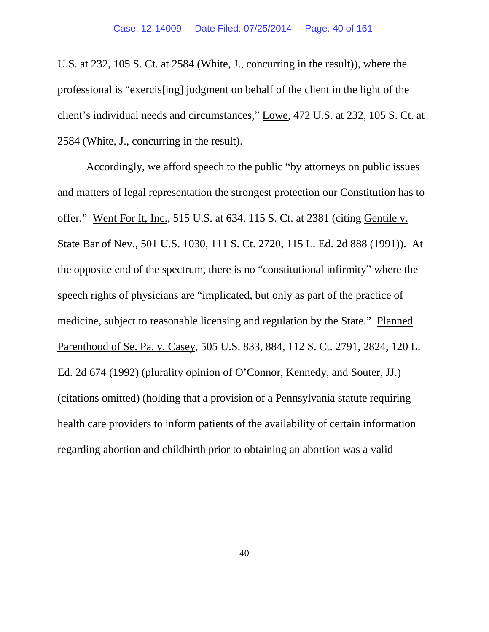U.S. at 232, 105 S. Ct. at 2584 (White, J., concurring in the result)), where the professional is "exercis[ing] judgment on behalf of the client in the light of the client's individual needs and circumstances," Lowe, 472 U.S. at 232, 105 S. Ct. at 2584 (White, J., concurring in the result).

Accordingly, we afford speech to the public "by attorneys on public issues and matters of legal representation the strongest protection our Constitution has to offer." Went For It, Inc., 515 U.S. at 634, 115 S. Ct. at 2381 (citing Gentile v. State Bar of Nev., 501 U.S. 1030, 111 S. Ct. 2720, 115 L. Ed. 2d 888 (1991)). At the opposite end of the spectrum, there is no "constitutional infirmity" where the speech rights of physicians are "implicated, but only as part of the practice of medicine, subject to reasonable licensing and regulation by the State." Planned Parenthood of Se. Pa. v. Casey, 505 U.S. 833, 884, 112 S. Ct. 2791, 2824, 120 L. Ed. 2d 674 (1992) (plurality opinion of O'Connor, Kennedy, and Souter, JJ.) (citations omitted) (holding that a provision of a Pennsylvania statute requiring health care providers to inform patients of the availability of certain information regarding abortion and childbirth prior to obtaining an abortion was a valid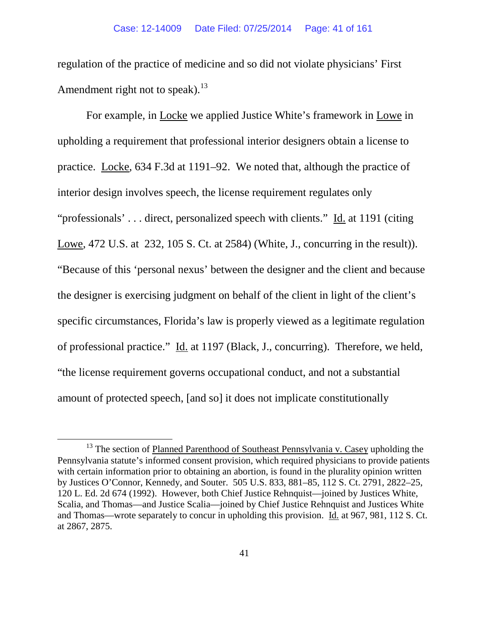regulation of the practice of medicine and so did not violate physicians' First Amendment right not to speak).<sup>[13](#page-40-0)</sup>

For example, in Locke we applied Justice White's framework in Lowe in upholding a requirement that professional interior designers obtain a license to practice. Locke, 634 F.3d at 1191–92. We noted that, although the practice of interior design involves speech, the license requirement regulates only "professionals' . . . direct, personalized speech with clients." Id. at 1191 (citing Lowe, 472 U.S. at 232, 105 S. Ct. at 2584) (White, J., concurring in the result)). "Because of this 'personal nexus' between the designer and the client and because the designer is exercising judgment on behalf of the client in light of the client's specific circumstances, Florida's law is properly viewed as a legitimate regulation of professional practice." Id. at 1197 (Black, J., concurring). Therefore, we held, "the license requirement governs occupational conduct, and not a substantial amount of protected speech, [and so] it does not implicate constitutionally

<span id="page-40-0"></span><sup>&</sup>lt;sup>13</sup> The section of Planned Parenthood of Southeast Pennsylvania v. Casey upholding the Pennsylvania statute's informed consent provision, which required physicians to provide patients with certain information prior to obtaining an abortion, is found in the plurality opinion written by Justices O'Connor, Kennedy, and Souter. 505 U.S. 833, 881–85, 112 S. Ct. 2791, 2822–25, 120 L. Ed. 2d 674 (1992). However, both Chief Justice Rehnquist—joined by Justices White, Scalia, and Thomas—and Justice Scalia—joined by Chief Justice Rehnquist and Justices White and Thomas—wrote separately to concur in upholding this provision. Id. at 967, 981, 112 S. Ct. at 2867, 2875.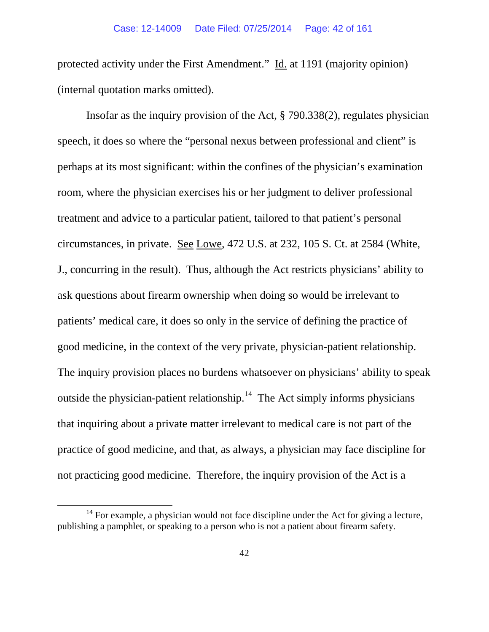protected activity under the First Amendment." Id. at 1191 (majority opinion) (internal quotation marks omitted).

Insofar as the inquiry provision of the Act, § 790.338(2), regulates physician speech, it does so where the "personal nexus between professional and client" is perhaps at its most significant: within the confines of the physician's examination room, where the physician exercises his or her judgment to deliver professional treatment and advice to a particular patient, tailored to that patient's personal circumstances, in private. See Lowe, 472 U.S. at 232, 105 S. Ct. at 2584 (White, J., concurring in the result). Thus, although the Act restricts physicians' ability to ask questions about firearm ownership when doing so would be irrelevant to patients' medical care, it does so only in the service of defining the practice of good medicine, in the context of the very private, physician-patient relationship. The inquiry provision places no burdens whatsoever on physicians' ability to speak outside the physician-patient relationship.<sup>14</sup> The Act simply informs physicians that inquiring about a private matter irrelevant to medical care is not part of the practice of good medicine, and that, as always, a physician may face discipline for not practicing good medicine. Therefore, the inquiry provision of the Act is a

<span id="page-41-0"></span> $14$  For example, a physician would not face discipline under the Act for giving a lecture, publishing a pamphlet, or speaking to a person who is not a patient about firearm safety.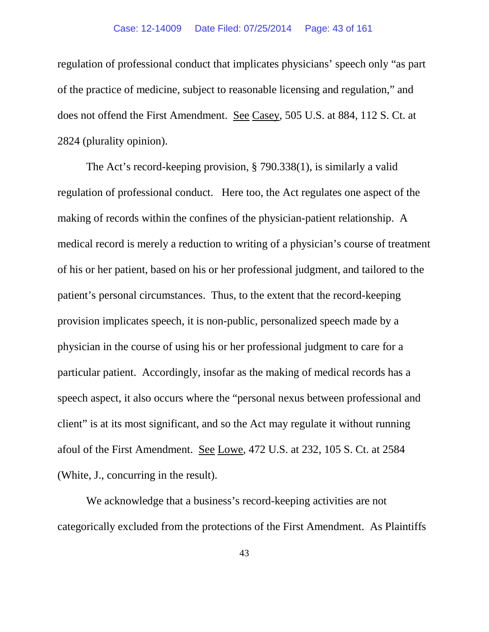regulation of professional conduct that implicates physicians' speech only "as part of the practice of medicine, subject to reasonable licensing and regulation," and does not offend the First Amendment. See Casey, 505 U.S. at 884, 112 S. Ct. at 2824 (plurality opinion).

The Act's record-keeping provision, § 790.338(1), is similarly a valid regulation of professional conduct. Here too, the Act regulates one aspect of the making of records within the confines of the physician-patient relationship. A medical record is merely a reduction to writing of a physician's course of treatment of his or her patient, based on his or her professional judgment, and tailored to the patient's personal circumstances. Thus, to the extent that the record-keeping provision implicates speech, it is non-public, personalized speech made by a physician in the course of using his or her professional judgment to care for a particular patient. Accordingly, insofar as the making of medical records has a speech aspect, it also occurs where the "personal nexus between professional and client" is at its most significant, and so the Act may regulate it without running afoul of the First Amendment. See Lowe, 472 U.S. at 232, 105 S. Ct. at 2584 (White, J., concurring in the result).

We acknowledge that a business's record-keeping activities are not categorically excluded from the protections of the First Amendment. As Plaintiffs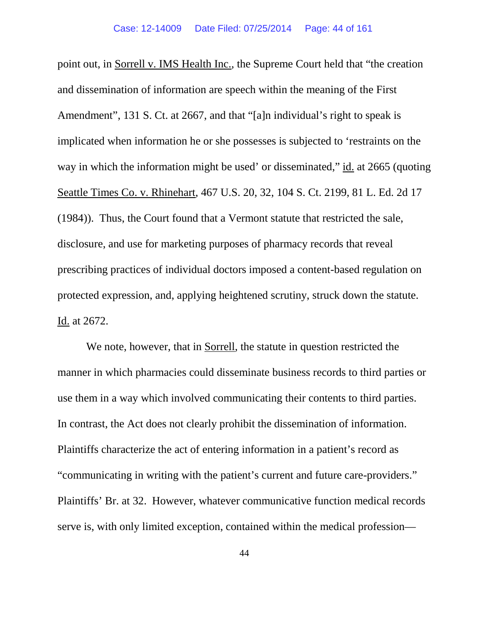point out, in Sorrell v. IMS Health Inc., the Supreme Court held that "the creation and dissemination of information are speech within the meaning of the First Amendment", 131 S. Ct. at 2667, and that "[a]n individual's right to speak is implicated when information he or she possesses is subjected to 'restraints on the way in which the information might be used' or disseminated," id. at 2665 (quoting Seattle Times Co. v. Rhinehart, 467 U.S. 20, 32, 104 S. Ct. 2199, 81 L. Ed. 2d 17 (1984)). Thus, the Court found that a Vermont statute that restricted the sale, disclosure, and use for marketing purposes of pharmacy records that reveal prescribing practices of individual doctors imposed a content-based regulation on protected expression, and, applying heightened scrutiny, struck down the statute. Id. at 2672.

We note, however, that in Sorrell, the statute in question restricted the manner in which pharmacies could disseminate business records to third parties or use them in a way which involved communicating their contents to third parties. In contrast, the Act does not clearly prohibit the dissemination of information. Plaintiffs characterize the act of entering information in a patient's record as "communicating in writing with the patient's current and future care-providers." Plaintiffs' Br. at 32. However, whatever communicative function medical records serve is, with only limited exception, contained within the medical profession—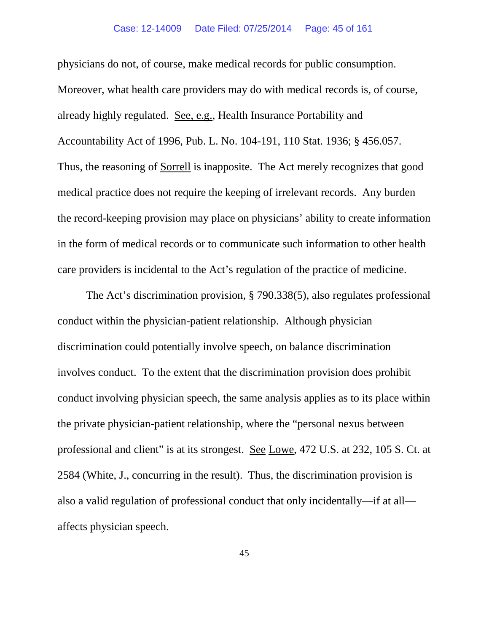physicians do not, of course, make medical records for public consumption. Moreover, what health care providers may do with medical records is, of course, already highly regulated. See, e.g., Health Insurance Portability and Accountability Act of 1996, Pub. L. No. 104-191, 110 Stat. 1936; § 456.057. Thus, the reasoning of Sorrell is inapposite. The Act merely recognizes that good medical practice does not require the keeping of irrelevant records. Any burden the record-keeping provision may place on physicians' ability to create information in the form of medical records or to communicate such information to other health care providers is incidental to the Act's regulation of the practice of medicine.

The Act's discrimination provision, § 790.338(5), also regulates professional conduct within the physician-patient relationship. Although physician discrimination could potentially involve speech, on balance discrimination involves conduct. To the extent that the discrimination provision does prohibit conduct involving physician speech, the same analysis applies as to its place within the private physician-patient relationship, where the "personal nexus between professional and client" is at its strongest. See Lowe, 472 U.S. at 232, 105 S. Ct. at 2584 (White, J., concurring in the result). Thus, the discrimination provision is also a valid regulation of professional conduct that only incidentally—if at all affects physician speech.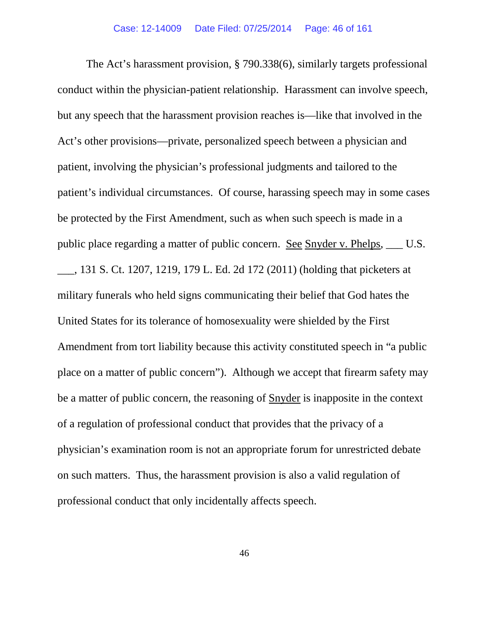The Act's harassment provision, § 790.338(6), similarly targets professional conduct within the physician-patient relationship. Harassment can involve speech, but any speech that the harassment provision reaches is—like that involved in the Act's other provisions—private, personalized speech between a physician and patient, involving the physician's professional judgments and tailored to the patient's individual circumstances. Of course, harassing speech may in some cases be protected by the First Amendment, such as when such speech is made in a public place regarding a matter of public concern. See Snyder v. Phelps, \_\_\_ U.S. \_\_\_, 131 S. Ct. 1207, 1219, 179 L. Ed. 2d 172 (2011) (holding that picketers at military funerals who held signs communicating their belief that God hates the United States for its tolerance of homosexuality were shielded by the First Amendment from tort liability because this activity constituted speech in "a public place on a matter of public concern"). Although we accept that firearm safety may be a matter of public concern, the reasoning of Snyder is inapposite in the context of a regulation of professional conduct that provides that the privacy of a physician's examination room is not an appropriate forum for unrestricted debate on such matters. Thus, the harassment provision is also a valid regulation of professional conduct that only incidentally affects speech.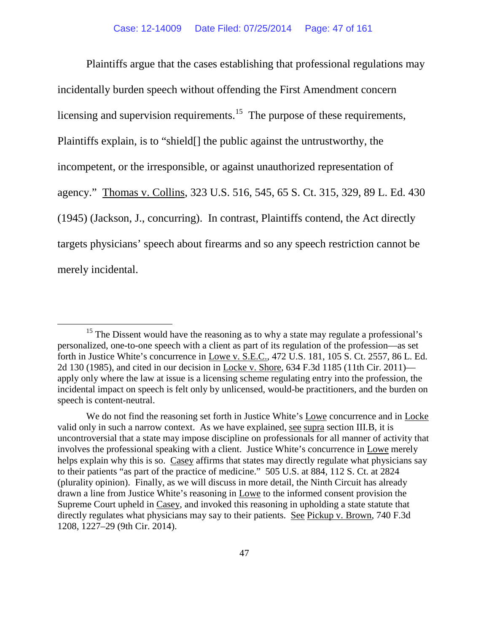Plaintiffs argue that the cases establishing that professional regulations may incidentally burden speech without offending the First Amendment concern licensing and supervision requirements.<sup>[15](#page-46-0)</sup> The purpose of these requirements, Plaintiffs explain, is to "shield[] the public against the untrustworthy, the incompetent, or the irresponsible, or against unauthorized representation of agency." Thomas v. Collins, 323 U.S. 516, 545, 65 S. Ct. 315, 329, 89 L. Ed. 430 (1945) (Jackson, J., concurring). In contrast, Plaintiffs contend, the Act directly targets physicians' speech about firearms and so any speech restriction cannot be merely incidental.

<span id="page-46-0"></span><sup>&</sup>lt;sup>15</sup> The Dissent would have the reasoning as to why a state may regulate a professional's personalized, one-to-one speech with a client as part of its regulation of the profession—as set forth in Justice White's concurrence in Lowe v. S.E.C., 472 U.S. 181, 105 S. Ct. 2557, 86 L. Ed. 2d 130 (1985), and cited in our decision in Locke v. Shore, 634 F.3d 1185 (11th Cir. 2011) apply only where the law at issue is a licensing scheme regulating entry into the profession, the incidental impact on speech is felt only by unlicensed, would-be practitioners, and the burden on speech is content-neutral.

We do not find the reasoning set forth in Justice White's Lowe concurrence and in Locke valid only in such a narrow context. As we have explained, see supra section III.B, it is uncontroversial that a state may impose discipline on professionals for all manner of activity that involves the professional speaking with a client. Justice White's concurrence in Lowe merely helps explain why this is so. Casey affirms that states may directly regulate what physicians say to their patients "as part of the practice of medicine." 505 U.S. at 884, 112 S. Ct. at 2824 (plurality opinion). Finally, as we will discuss in more detail, the Ninth Circuit has already drawn a line from Justice White's reasoning in Lowe to the informed consent provision the Supreme Court upheld in Casey, and invoked this reasoning in upholding a state statute that directly regulates what physicians may say to their patients. See Pickup v. Brown, 740 F.3d 1208, 1227–29 (9th Cir. 2014).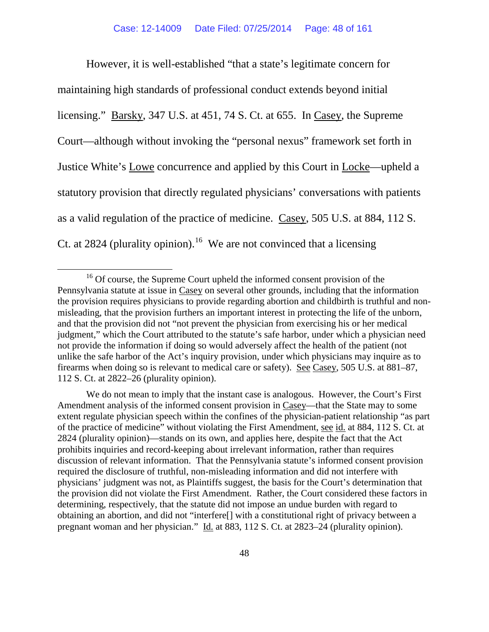However, it is well-established "that a state's legitimate concern for maintaining high standards of professional conduct extends beyond initial licensing." Barsky, 347 U.S. at 451, 74 S. Ct. at 655. In Casey, the Supreme Court—although without invoking the "personal nexus" framework set forth in Justice White's Lowe concurrence and applied by this Court in Locke—upheld a statutory provision that directly regulated physicians' conversations with patients as a valid regulation of the practice of medicine. Casey, 505 U.S. at 884, 112 S. Ct. at 2824 (plurality opinion).<sup>16</sup> We are not convinced that a licensing

We do not mean to imply that the instant case is analogous. However, the Court's First Amendment analysis of the informed consent provision in Casey—that the State may to some extent regulate physician speech within the confines of the physician-patient relationship "as part of the practice of medicine" without violating the First Amendment, see id. at 884, 112 S. Ct. at 2824 (plurality opinion)—stands on its own, and applies here, despite the fact that the Act prohibits inquiries and record-keeping about irrelevant information, rather than requires discussion of relevant information. That the Pennsylvania statute's informed consent provision required the disclosure of truthful, non-misleading information and did not interfere with physicians' judgment was not, as Plaintiffs suggest, the basis for the Court's determination that the provision did not violate the First Amendment. Rather, the Court considered these factors in determining, respectively, that the statute did not impose an undue burden with regard to obtaining an abortion, and did not "interfere[] with a constitutional right of privacy between a pregnant woman and her physician." Id. at 883, 112 S. Ct. at 2823–24 (plurality opinion).

<span id="page-47-0"></span><sup>&</sup>lt;sup>16</sup> Of course, the Supreme Court upheld the informed consent provision of the Pennsylvania statute at issue in Casey on several other grounds, including that the information the provision requires physicians to provide regarding abortion and childbirth is truthful and nonmisleading, that the provision furthers an important interest in protecting the life of the unborn, and that the provision did not "not prevent the physician from exercising his or her medical judgment," which the Court attributed to the statute's safe harbor, under which a physician need not provide the information if doing so would adversely affect the health of the patient (not unlike the safe harbor of the Act's inquiry provision, under which physicians may inquire as to firearms when doing so is relevant to medical care or safety). See Casey, 505 U.S. at 881–87, 112 S. Ct. at 2822–26 (plurality opinion).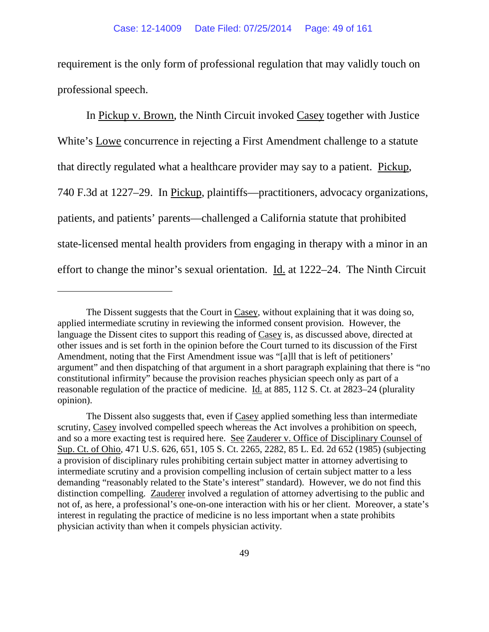requirement is the only form of professional regulation that may validly touch on professional speech.

In Pickup v. Brown, the Ninth Circuit invoked Casey together with Justice White's Lowe concurrence in rejecting a First Amendment challenge to a statute that directly regulated what a healthcare provider may say to a patient. Pickup, 740 F.3d at 1227–29. In Pickup, plaintiffs—practitioners, advocacy organizations, patients, and patients' parents—challenged a California statute that prohibited state-licensed mental health providers from engaging in therapy with a minor in an effort to change the minor's sexual orientation. Id. at 1222–24. The Ninth Circuit

 $\overline{a}$ 

The Dissent suggests that the Court in Casey, without explaining that it was doing so, applied intermediate scrutiny in reviewing the informed consent provision. However, the language the Dissent cites to support this reading of Casey is, as discussed above, directed at other issues and is set forth in the opinion before the Court turned to its discussion of the First Amendment, noting that the First Amendment issue was "[a]ll that is left of petitioners' argument" and then dispatching of that argument in a short paragraph explaining that there is "no constitutional infirmity" because the provision reaches physician speech only as part of a reasonable regulation of the practice of medicine. Id. at 885, 112 S. Ct. at 2823–24 (plurality opinion).

The Dissent also suggests that, even if Casey applied something less than intermediate scrutiny, Casey involved compelled speech whereas the Act involves a prohibition on speech, and so a more exacting test is required here. See Zauderer v. Office of Disciplinary Counsel of Sup. Ct. of Ohio, 471 U.S. 626, 651, 105 S. Ct. 2265, 2282, 85 L. Ed. 2d 652 (1985) (subjecting a provision of disciplinary rules prohibiting certain subject matter in attorney advertising to intermediate scrutiny and a provision compelling inclusion of certain subject matter to a less demanding "reasonably related to the State's interest" standard). However, we do not find this distinction compelling. Zauderer involved a regulation of attorney advertising to the public and not of, as here, a professional's one-on-one interaction with his or her client. Moreover, a state's interest in regulating the practice of medicine is no less important when a state prohibits physician activity than when it compels physician activity.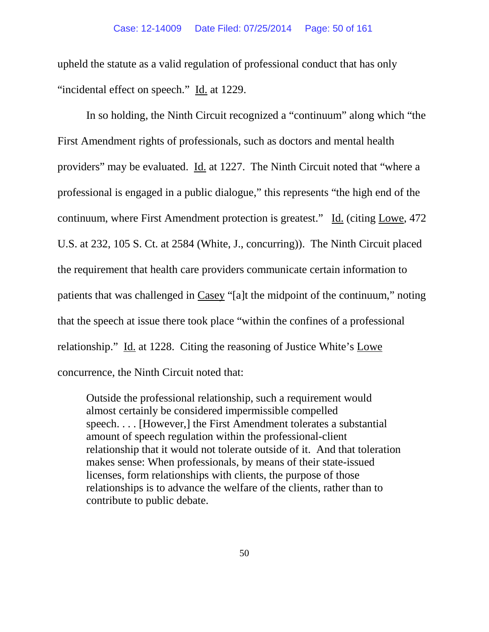upheld the statute as a valid regulation of professional conduct that has only "incidental effect on speech." Id. at 1229.

In so holding, the Ninth Circuit recognized a "continuum" along which "the First Amendment rights of professionals, such as doctors and mental health providers" may be evaluated. Id. at 1227. The Ninth Circuit noted that "where a professional is engaged in a public dialogue," this represents "the high end of the continuum, where First Amendment protection is greatest." Id. (citing Lowe, 472 U.S. at 232, 105 S. Ct. at 2584 (White, J., concurring)). The Ninth Circuit placed the requirement that health care providers communicate certain information to patients that was challenged in Casey "[a]t the midpoint of the continuum," noting that the speech at issue there took place "within the confines of a professional relationship." Id. at 1228. Citing the reasoning of Justice White's Lowe concurrence, the Ninth Circuit noted that:

Outside the professional relationship, such a requirement would almost certainly be considered impermissible compelled speech. . . . [However,] the First Amendment tolerates a substantial amount of speech regulation within the professional-client relationship that it would not tolerate outside of it. And that toleration makes sense: When professionals, by means of their state-issued licenses, form relationships with clients, the purpose of those relationships is to advance the welfare of the clients, rather than to contribute to public debate.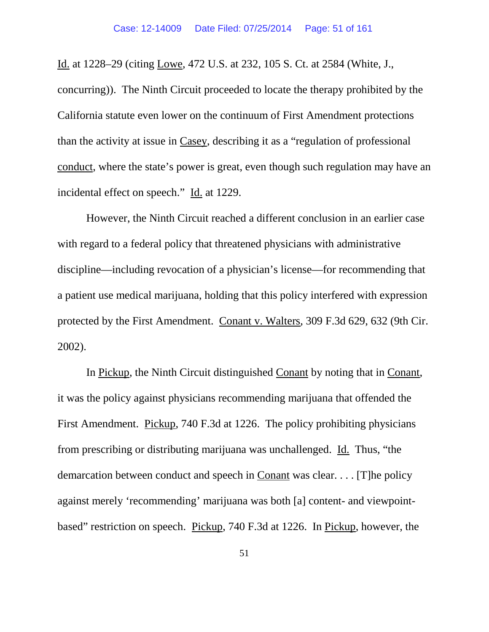Id. at 1228–29 (citing Lowe, 472 U.S. at 232, 105 S. Ct. at 2584 (White, J., concurring)). The Ninth Circuit proceeded to locate the therapy prohibited by the California statute even lower on the continuum of First Amendment protections than the activity at issue in Casey, describing it as a "regulation of professional conduct, where the state's power is great, even though such regulation may have an incidental effect on speech." Id. at 1229.

However, the Ninth Circuit reached a different conclusion in an earlier case with regard to a federal policy that threatened physicians with administrative discipline—including revocation of a physician's license—for recommending that a patient use medical marijuana, holding that this policy interfered with expression protected by the First Amendment. Conant v. Walters, 309 F.3d 629, 632 (9th Cir. 2002).

In Pickup, the Ninth Circuit distinguished Conant by noting that in Conant, it was the policy against physicians recommending marijuana that offended the First Amendment. Pickup, 740 F.3d at 1226. The policy prohibiting physicians from prescribing or distributing marijuana was unchallenged. Id. Thus, "the demarcation between conduct and speech in Conant was clear. . . . [T]he policy against merely 'recommending' marijuana was both [a] content- and viewpointbased" restriction on speech. Pickup, 740 F.3d at 1226. In Pickup, however, the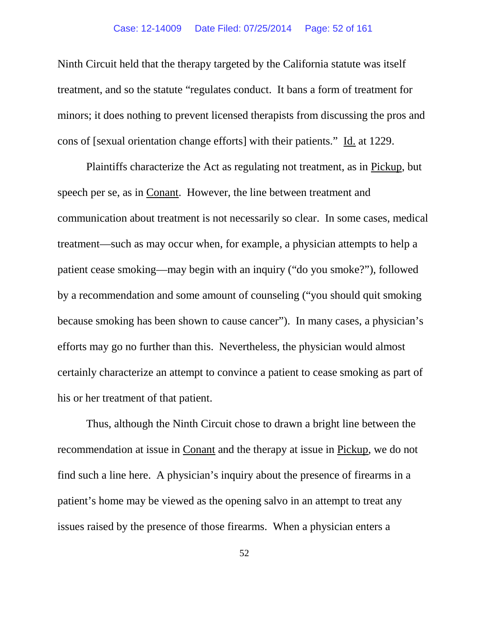Ninth Circuit held that the therapy targeted by the California statute was itself treatment, and so the statute "regulates conduct. It bans a form of treatment for minors; it does nothing to prevent licensed therapists from discussing the pros and cons of [sexual orientation change efforts] with their patients." Id. at 1229.

Plaintiffs characterize the Act as regulating not treatment, as in Pickup, but speech per se, as in Conant. However, the line between treatment and communication about treatment is not necessarily so clear. In some cases, medical treatment—such as may occur when, for example, a physician attempts to help a patient cease smoking—may begin with an inquiry ("do you smoke?"), followed by a recommendation and some amount of counseling ("you should quit smoking because smoking has been shown to cause cancer"). In many cases, a physician's efforts may go no further than this. Nevertheless, the physician would almost certainly characterize an attempt to convince a patient to cease smoking as part of his or her treatment of that patient.

Thus, although the Ninth Circuit chose to drawn a bright line between the recommendation at issue in Conant and the therapy at issue in Pickup, we do not find such a line here. A physician's inquiry about the presence of firearms in a patient's home may be viewed as the opening salvo in an attempt to treat any issues raised by the presence of those firearms. When a physician enters a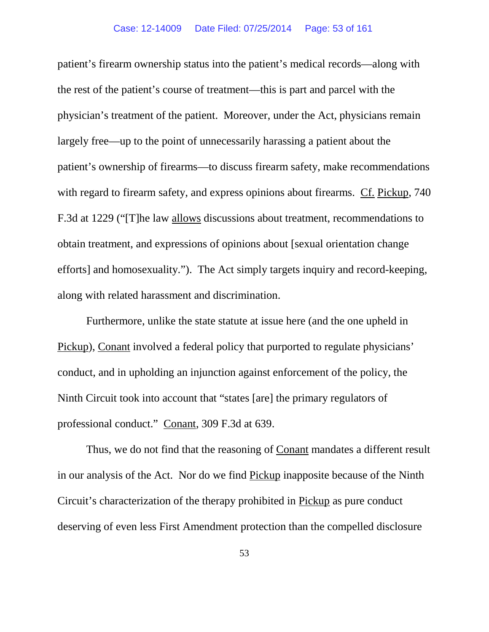patient's firearm ownership status into the patient's medical records—along with the rest of the patient's course of treatment—this is part and parcel with the physician's treatment of the patient. Moreover, under the Act, physicians remain largely free—up to the point of unnecessarily harassing a patient about the patient's ownership of firearms—to discuss firearm safety, make recommendations with regard to firearm safety, and express opinions about firearms. Cf. Pickup, 740 F.3d at 1229 ("[T]he law allows discussions about treatment, recommendations to obtain treatment, and expressions of opinions about [sexual orientation change efforts] and homosexuality."). The Act simply targets inquiry and record-keeping, along with related harassment and discrimination.

Furthermore, unlike the state statute at issue here (and the one upheld in Pickup), Conant involved a federal policy that purported to regulate physicians' conduct, and in upholding an injunction against enforcement of the policy, the Ninth Circuit took into account that "states [are] the primary regulators of professional conduct." Conant, 309 F.3d at 639.

Thus, we do not find that the reasoning of Conant mandates a different result in our analysis of the Act. Nor do we find Pickup inapposite because of the Ninth Circuit's characterization of the therapy prohibited in Pickup as pure conduct deserving of even less First Amendment protection than the compelled disclosure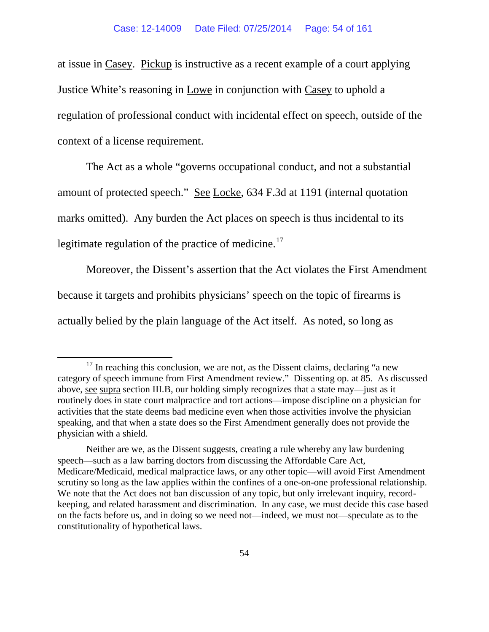at issue in Casey. Pickup is instructive as a recent example of a court applying Justice White's reasoning in Lowe in conjunction with Casey to uphold a regulation of professional conduct with incidental effect on speech, outside of the context of a license requirement.

The Act as a whole "governs occupational conduct, and not a substantial amount of protected speech." See Locke, 634 F.3d at 1191 (internal quotation marks omitted). Any burden the Act places on speech is thus incidental to its legitimate regulation of the practice of medicine.<sup>17</sup>

Moreover, the Dissent's assertion that the Act violates the First Amendment because it targets and prohibits physicians' speech on the topic of firearms is actually belied by the plain language of the Act itself. As noted, so long as

<span id="page-53-0"></span> $17$  In reaching this conclusion, we are not, as the Dissent claims, declaring "a new category of speech immune from First Amendment review." Dissenting op. at 85. As discussed above, see supra section III.B, our holding simply recognizes that a state may—just as it routinely does in state court malpractice and tort actions—impose discipline on a physician for activities that the state deems bad medicine even when those activities involve the physician speaking, and that when a state does so the First Amendment generally does not provide the physician with a shield.

Neither are we, as the Dissent suggests, creating a rule whereby any law burdening speech—such as a law barring doctors from discussing the Affordable Care Act, Medicare/Medicaid, medical malpractice laws, or any other topic—will avoid First Amendment scrutiny so long as the law applies within the confines of a one-on-one professional relationship. We note that the Act does not ban discussion of any topic, but only irrelevant inquiry, recordkeeping, and related harassment and discrimination. In any case, we must decide this case based on the facts before us, and in doing so we need not—indeed, we must not—speculate as to the constitutionality of hypothetical laws.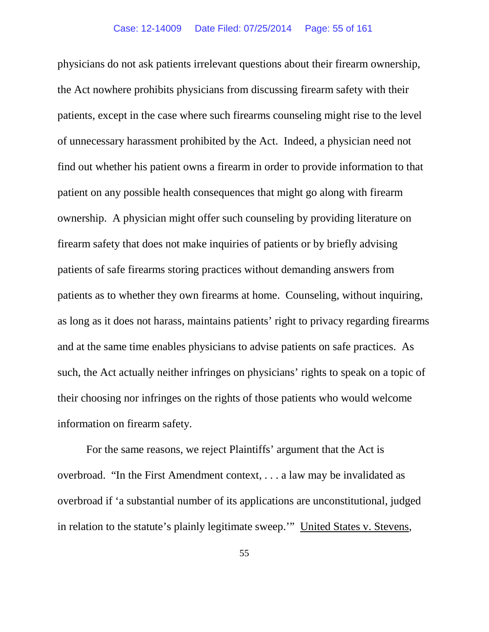physicians do not ask patients irrelevant questions about their firearm ownership, the Act nowhere prohibits physicians from discussing firearm safety with their patients, except in the case where such firearms counseling might rise to the level of unnecessary harassment prohibited by the Act. Indeed, a physician need not find out whether his patient owns a firearm in order to provide information to that patient on any possible health consequences that might go along with firearm ownership. A physician might offer such counseling by providing literature on firearm safety that does not make inquiries of patients or by briefly advising patients of safe firearms storing practices without demanding answers from patients as to whether they own firearms at home. Counseling, without inquiring, as long as it does not harass, maintains patients' right to privacy regarding firearms and at the same time enables physicians to advise patients on safe practices. As such, the Act actually neither infringes on physicians' rights to speak on a topic of their choosing nor infringes on the rights of those patients who would welcome information on firearm safety.

For the same reasons, we reject Plaintiffs' argument that the Act is overbroad. "In the First Amendment context, . . . a law may be invalidated as overbroad if 'a substantial number of its applications are unconstitutional, judged in relation to the statute's plainly legitimate sweep.'" United States v. Stevens,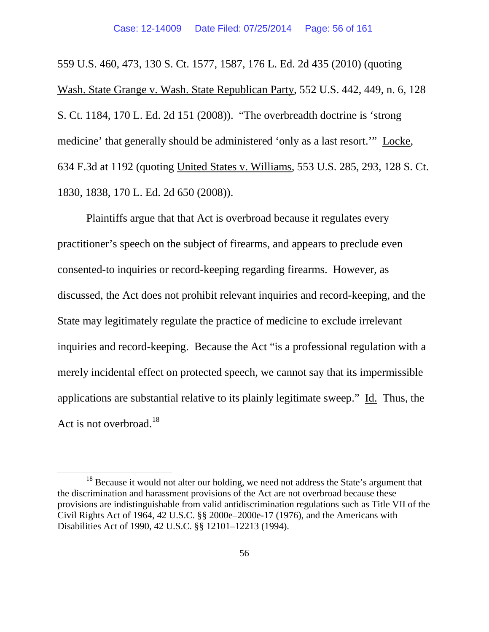559 U.S. 460, 473, 130 S. Ct. 1577, 1587, 176 L. Ed. 2d 435 (2010) (quoting Wash. State Grange v. Wash. State Republican Party, 552 U.S. 442, 449, n. 6, 128 S. Ct. 1184, 170 L. Ed. 2d 151 (2008)). "The overbreadth doctrine is 'strong medicine' that generally should be administered 'only as a last resort.'" Locke, 634 F.3d at 1192 (quoting United States v. Williams, 553 U.S. 285, 293, 128 S. Ct. 1830, 1838, 170 L. Ed. 2d 650 (2008)).

Plaintiffs argue that that Act is overbroad because it regulates every practitioner's speech on the subject of firearms, and appears to preclude even consented-to inquiries or record-keeping regarding firearms. However, as discussed, the Act does not prohibit relevant inquiries and record-keeping, and the State may legitimately regulate the practice of medicine to exclude irrelevant inquiries and record-keeping. Because the Act "is a professional regulation with a merely incidental effect on protected speech, we cannot say that its impermissible applications are substantial relative to its plainly legitimate sweep." Id. Thus, the Act is not overbroad.<sup>[18](#page-55-0)</sup>

<span id="page-55-0"></span> $18$  Because it would not alter our holding, we need not address the State's argument that the discrimination and harassment provisions of the Act are not overbroad because these provisions are indistinguishable from valid antidiscrimination regulations such as Title VII of the Civil Rights Act of 1964, 42 U.S.C. §§ 2000e–2000e-17 (1976), and the Americans with Disabilities Act of 1990, 42 U.S.C. §§ 12101–12213 (1994).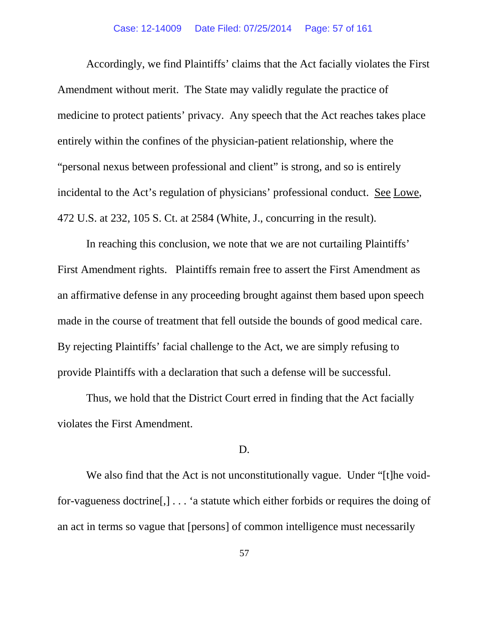#### Case: 12-14009 Date Filed: 07/25/2014 Page: 57 of 161

Accordingly, we find Plaintiffs' claims that the Act facially violates the First Amendment without merit. The State may validly regulate the practice of medicine to protect patients' privacy. Any speech that the Act reaches takes place entirely within the confines of the physician-patient relationship, where the "personal nexus between professional and client" is strong, and so is entirely incidental to the Act's regulation of physicians' professional conduct. See Lowe, 472 U.S. at 232, 105 S. Ct. at 2584 (White, J., concurring in the result).

In reaching this conclusion, we note that we are not curtailing Plaintiffs' First Amendment rights. Plaintiffs remain free to assert the First Amendment as an affirmative defense in any proceeding brought against them based upon speech made in the course of treatment that fell outside the bounds of good medical care. By rejecting Plaintiffs' facial challenge to the Act, we are simply refusing to provide Plaintiffs with a declaration that such a defense will be successful.

Thus, we hold that the District Court erred in finding that the Act facially violates the First Amendment.

# D.

We also find that the Act is not unconstitutionally vague. Under "[t]he voidfor-vagueness doctrine[,] . . . 'a statute which either forbids or requires the doing of an act in terms so vague that [persons] of common intelligence must necessarily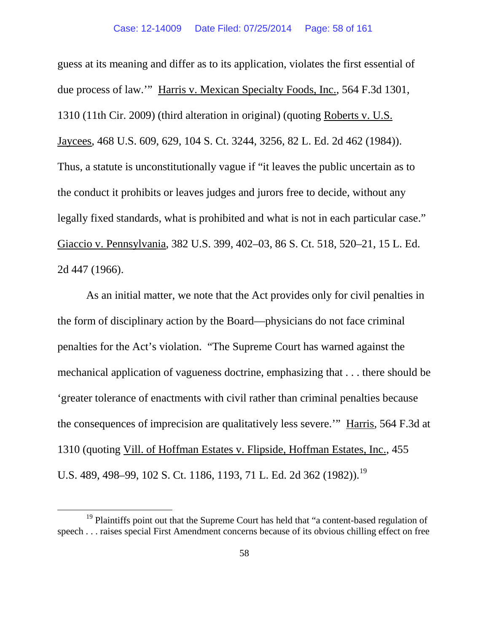guess at its meaning and differ as to its application, violates the first essential of due process of law.'" Harris v. Mexican Specialty Foods, Inc., 564 F.3d 1301, 1310 (11th Cir. 2009) (third alteration in original) (quoting Roberts v. U.S. Jaycees, 468 U.S. 609, 629, 104 S. Ct. 3244, 3256, 82 L. Ed. 2d 462 (1984)). Thus, a statute is unconstitutionally vague if "it leaves the public uncertain as to the conduct it prohibits or leaves judges and jurors free to decide, without any legally fixed standards, what is prohibited and what is not in each particular case." Giaccio v. Pennsylvania, 382 U.S. 399, 402–03, 86 S. Ct. 518, 520–21, 15 L. Ed. 2d 447 (1966).

As an initial matter, we note that the Act provides only for civil penalties in the form of disciplinary action by the Board—physicians do not face criminal penalties for the Act's violation. "The Supreme Court has warned against the mechanical application of vagueness doctrine, emphasizing that . . . there should be 'greater tolerance of enactments with civil rather than criminal penalties because the consequences of imprecision are qualitatively less severe.'" Harris, 564 F.3d at 1310 (quoting Vill. of Hoffman Estates v. Flipside, Hoffman Estates, Inc., 455 U.S. 489, 498–99, 102 S. Ct. 1186, 1[19](#page-57-0)3, 71 L. Ed. 2d 362 (1982)).<sup>19</sup>

<span id="page-57-0"></span><sup>&</sup>lt;sup>19</sup> Plaintiffs point out that the Supreme Court has held that "a content-based regulation of speech . . . raises special First Amendment concerns because of its obvious chilling effect on free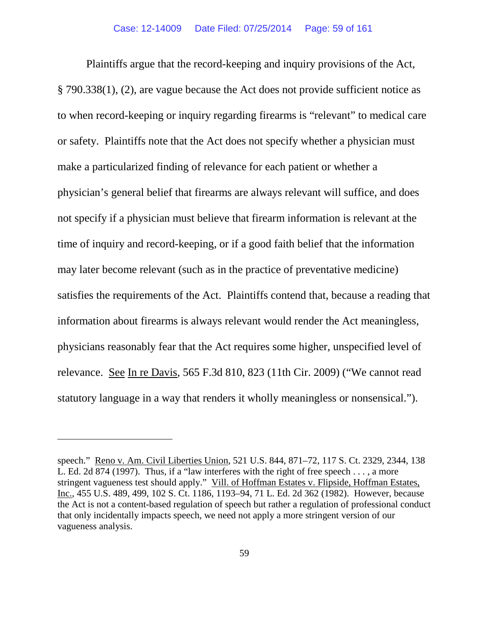Plaintiffs argue that the record-keeping and inquiry provisions of the Act, § 790.338(1), (2), are vague because the Act does not provide sufficient notice as to when record-keeping or inquiry regarding firearms is "relevant" to medical care or safety. Plaintiffs note that the Act does not specify whether a physician must make a particularized finding of relevance for each patient or whether a physician's general belief that firearms are always relevant will suffice, and does not specify if a physician must believe that firearm information is relevant at the time of inquiry and record-keeping, or if a good faith belief that the information may later become relevant (such as in the practice of preventative medicine) satisfies the requirements of the Act. Plaintiffs contend that, because a reading that information about firearms is always relevant would render the Act meaningless, physicians reasonably fear that the Act requires some higher, unspecified level of relevance. See In re Davis, 565 F.3d 810, 823 (11th Cir. 2009) ("We cannot read statutory language in a way that renders it wholly meaningless or nonsensical.").

 $\overline{a}$ 

speech." Reno v. Am. Civil Liberties Union, 521 U.S. 844, 871–72, 117 S. Ct. 2329, 2344, 138 L. Ed. 2d 874 (1997). Thus, if a "law interferes with the right of free speech  $\dots$ , a more stringent vagueness test should apply." Vill. of Hoffman Estates v. Flipside, Hoffman Estates, Inc., 455 U.S. 489, 499, 102 S. Ct. 1186, 1193–94, 71 L. Ed. 2d 362 (1982). However, because the Act is not a content-based regulation of speech but rather a regulation of professional conduct that only incidentally impacts speech, we need not apply a more stringent version of our vagueness analysis.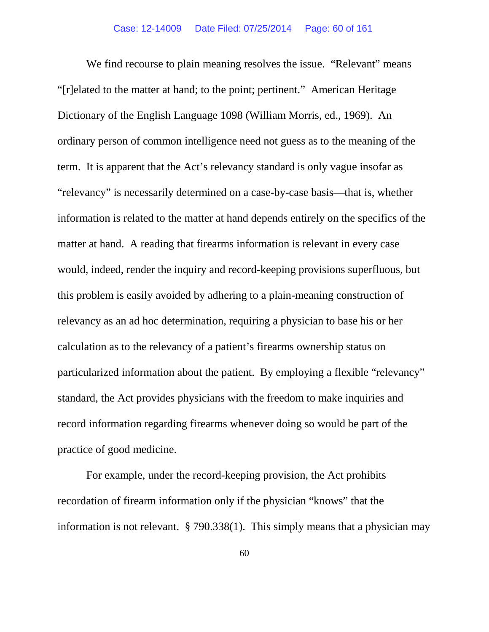We find recourse to plain meaning resolves the issue. "Relevant" means "[r]elated to the matter at hand; to the point; pertinent." American Heritage Dictionary of the English Language 1098 (William Morris, ed., 1969). An ordinary person of common intelligence need not guess as to the meaning of the term. It is apparent that the Act's relevancy standard is only vague insofar as "relevancy" is necessarily determined on a case-by-case basis—that is, whether information is related to the matter at hand depends entirely on the specifics of the matter at hand. A reading that firearms information is relevant in every case would, indeed, render the inquiry and record-keeping provisions superfluous, but this problem is easily avoided by adhering to a plain-meaning construction of relevancy as an ad hoc determination, requiring a physician to base his or her calculation as to the relevancy of a patient's firearms ownership status on particularized information about the patient. By employing a flexible "relevancy" standard, the Act provides physicians with the freedom to make inquiries and record information regarding firearms whenever doing so would be part of the practice of good medicine.

For example, under the record-keeping provision, the Act prohibits recordation of firearm information only if the physician "knows" that the information is not relevant. § 790.338(1). This simply means that a physician may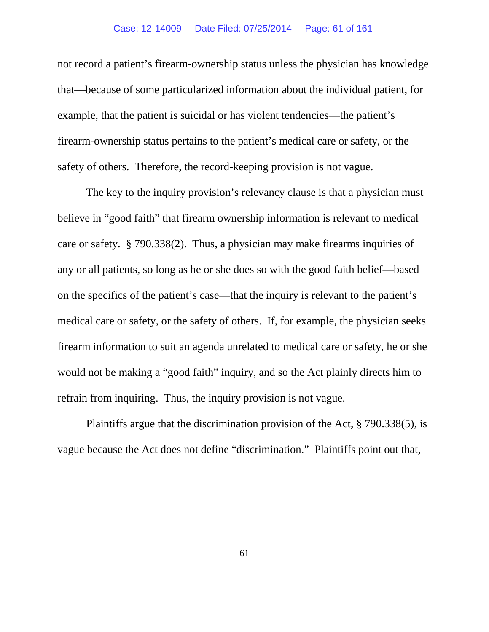not record a patient's firearm-ownership status unless the physician has knowledge that—because of some particularized information about the individual patient, for example, that the patient is suicidal or has violent tendencies—the patient's firearm-ownership status pertains to the patient's medical care or safety, or the safety of others. Therefore, the record-keeping provision is not vague.

The key to the inquiry provision's relevancy clause is that a physician must believe in "good faith" that firearm ownership information is relevant to medical care or safety. § 790.338(2). Thus, a physician may make firearms inquiries of any or all patients, so long as he or she does so with the good faith belief—based on the specifics of the patient's case—that the inquiry is relevant to the patient's medical care or safety, or the safety of others. If, for example, the physician seeks firearm information to suit an agenda unrelated to medical care or safety, he or she would not be making a "good faith" inquiry, and so the Act plainly directs him to refrain from inquiring. Thus, the inquiry provision is not vague.

Plaintiffs argue that the discrimination provision of the Act, § 790.338(5), is vague because the Act does not define "discrimination." Plaintiffs point out that,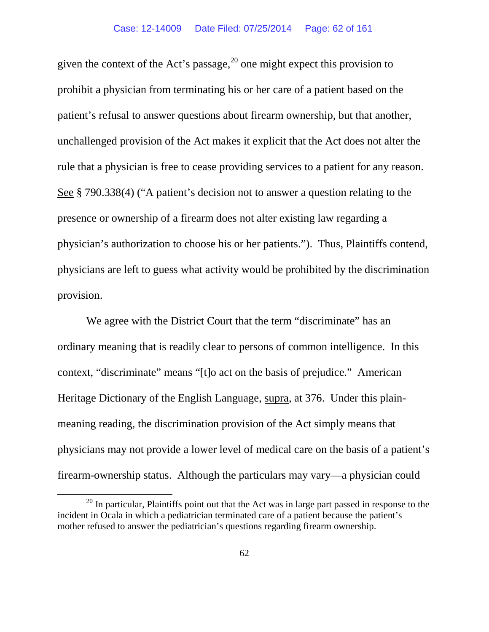given the context of the Act's passage,  $20$  one might expect this provision to prohibit a physician from terminating his or her care of a patient based on the patient's refusal to answer questions about firearm ownership, but that another, unchallenged provision of the Act makes it explicit that the Act does not alter the rule that a physician is free to cease providing services to a patient for any reason. See § 790.338(4) ("A patient's decision not to answer a question relating to the presence or ownership of a firearm does not alter existing law regarding a physician's authorization to choose his or her patients."). Thus, Plaintiffs contend, physicians are left to guess what activity would be prohibited by the discrimination provision.

We agree with the District Court that the term "discriminate" has an ordinary meaning that is readily clear to persons of common intelligence. In this context, "discriminate" means "[t]o act on the basis of prejudice." American Heritage Dictionary of the English Language, supra, at 376. Under this plainmeaning reading, the discrimination provision of the Act simply means that physicians may not provide a lower level of medical care on the basis of a patient's firearm-ownership status. Although the particulars may vary—a physician could

<span id="page-61-0"></span> $20$  In particular, Plaintiffs point out that the Act was in large part passed in response to the incident in Ocala in which a pediatrician terminated care of a patient because the patient's mother refused to answer the pediatrician's questions regarding firearm ownership.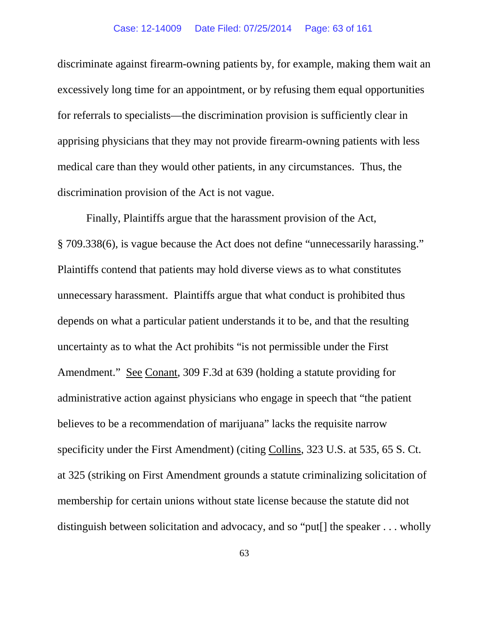discriminate against firearm-owning patients by, for example, making them wait an excessively long time for an appointment, or by refusing them equal opportunities for referrals to specialists—the discrimination provision is sufficiently clear in apprising physicians that they may not provide firearm-owning patients with less medical care than they would other patients, in any circumstances. Thus, the discrimination provision of the Act is not vague.

Finally, Plaintiffs argue that the harassment provision of the Act, § 709.338(6), is vague because the Act does not define "unnecessarily harassing." Plaintiffs contend that patients may hold diverse views as to what constitutes unnecessary harassment. Plaintiffs argue that what conduct is prohibited thus depends on what a particular patient understands it to be, and that the resulting uncertainty as to what the Act prohibits "is not permissible under the First Amendment." See Conant, 309 F.3d at 639 (holding a statute providing for administrative action against physicians who engage in speech that "the patient believes to be a recommendation of marijuana" lacks the requisite narrow specificity under the First Amendment) (citing Collins, 323 U.S. at 535, 65 S. Ct. at 325 (striking on First Amendment grounds a statute criminalizing solicitation of membership for certain unions without state license because the statute did not distinguish between solicitation and advocacy, and so "put[] the speaker . . . wholly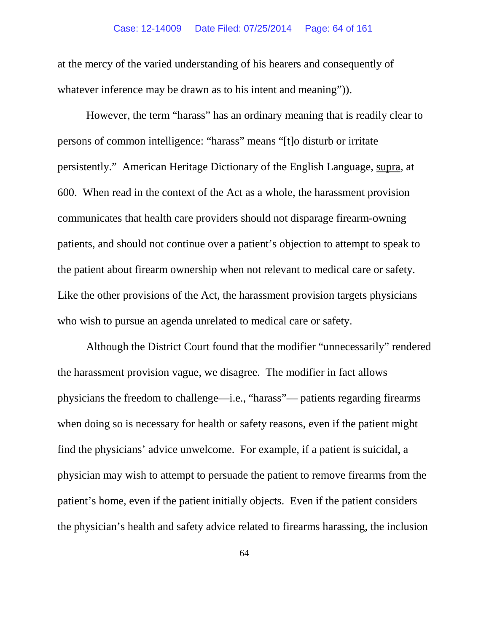### Case: 12-14009 Date Filed: 07/25/2014 Page: 64 of 161

at the mercy of the varied understanding of his hearers and consequently of whatever inference may be drawn as to his intent and meaning".

However, the term "harass" has an ordinary meaning that is readily clear to persons of common intelligence: "harass" means "[t]o disturb or irritate persistently." American Heritage Dictionary of the English Language, supra, at 600. When read in the context of the Act as a whole, the harassment provision communicates that health care providers should not disparage firearm-owning patients, and should not continue over a patient's objection to attempt to speak to the patient about firearm ownership when not relevant to medical care or safety. Like the other provisions of the Act, the harassment provision targets physicians who wish to pursue an agenda unrelated to medical care or safety.

Although the District Court found that the modifier "unnecessarily" rendered the harassment provision vague, we disagree. The modifier in fact allows physicians the freedom to challenge—i.e., "harass"— patients regarding firearms when doing so is necessary for health or safety reasons, even if the patient might find the physicians' advice unwelcome. For example, if a patient is suicidal, a physician may wish to attempt to persuade the patient to remove firearms from the patient's home, even if the patient initially objects. Even if the patient considers the physician's health and safety advice related to firearms harassing, the inclusion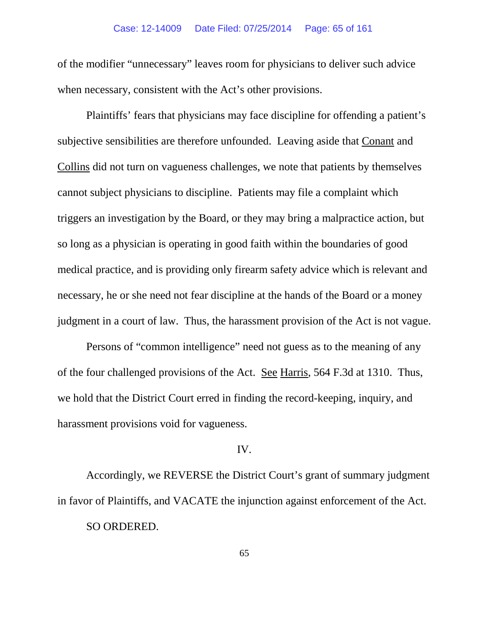### Case: 12-14009 Date Filed: 07/25/2014 Page: 65 of 161

of the modifier "unnecessary" leaves room for physicians to deliver such advice when necessary, consistent with the Act's other provisions.

Plaintiffs' fears that physicians may face discipline for offending a patient's subjective sensibilities are therefore unfounded. Leaving aside that Conant and Collins did not turn on vagueness challenges, we note that patients by themselves cannot subject physicians to discipline. Patients may file a complaint which triggers an investigation by the Board, or they may bring a malpractice action, but so long as a physician is operating in good faith within the boundaries of good medical practice, and is providing only firearm safety advice which is relevant and necessary, he or she need not fear discipline at the hands of the Board or a money judgment in a court of law. Thus, the harassment provision of the Act is not vague.

Persons of "common intelligence" need not guess as to the meaning of any of the four challenged provisions of the Act. See Harris, 564 F.3d at 1310. Thus, we hold that the District Court erred in finding the record-keeping, inquiry, and harassment provisions void for vagueness.

## IV.

Accordingly, we REVERSE the District Court's grant of summary judgment in favor of Plaintiffs, and VACATE the injunction against enforcement of the Act. SO ORDERED.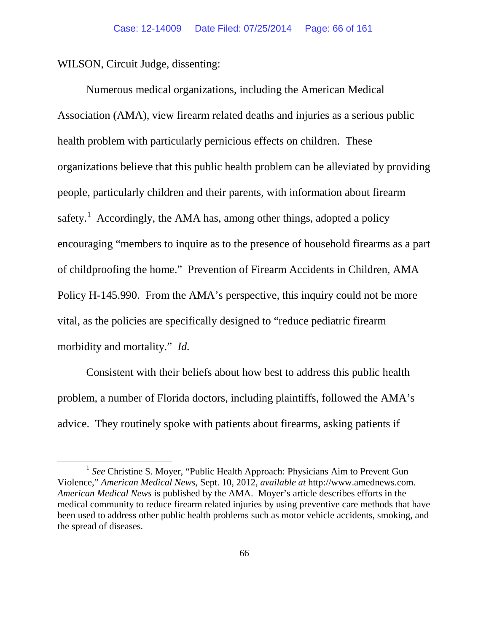WILSON, Circuit Judge, dissenting:

Numerous medical organizations, including the American Medical Association (AMA), view firearm related deaths and injuries as a serious public health problem with particularly pernicious effects on children. These organizations believe that this public health problem can be alleviated by providing people, particularly children and their parents, with information about firearm safety.<sup>[1](#page-65-0)</sup> Accordingly, the AMA has, among other things, adopted a policy encouraging "members to inquire as to the presence of household firearms as a part of childproofing the home." Prevention of Firearm Accidents in Children, AMA Policy H-145.990. From the AMA's perspective, this inquiry could not be more vital, as the policies are specifically designed to "reduce pediatric firearm morbidity and mortality." *Id.*

Consistent with their beliefs about how best to address this public health problem, a number of Florida doctors, including plaintiffs, followed the AMA's advice. They routinely spoke with patients about firearms, asking patients if

<span id="page-65-0"></span><sup>&</sup>lt;sup>1</sup> See Christine S. Moyer, "Public Health Approach: Physicians Aim to Prevent Gun Violence," *American Medical News*, Sept. 10, 2012, *available at* http://www.amednews.com. *American Medical News* is published by the AMA. Moyer's article describes efforts in the medical community to reduce firearm related injuries by using preventive care methods that have been used to address other public health problems such as motor vehicle accidents, smoking, and the spread of diseases.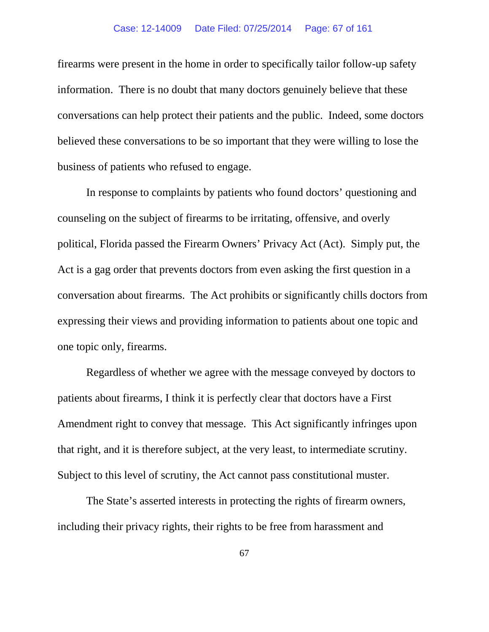firearms were present in the home in order to specifically tailor follow-up safety information. There is no doubt that many doctors genuinely believe that these conversations can help protect their patients and the public. Indeed, some doctors believed these conversations to be so important that they were willing to lose the business of patients who refused to engage.

In response to complaints by patients who found doctors' questioning and counseling on the subject of firearms to be irritating, offensive, and overly political, Florida passed the Firearm Owners' Privacy Act (Act). Simply put, the Act is a gag order that prevents doctors from even asking the first question in a conversation about firearms. The Act prohibits or significantly chills doctors from expressing their views and providing information to patients about one topic and one topic only, firearms.

Regardless of whether we agree with the message conveyed by doctors to patients about firearms, I think it is perfectly clear that doctors have a First Amendment right to convey that message. This Act significantly infringes upon that right, and it is therefore subject, at the very least, to intermediate scrutiny. Subject to this level of scrutiny, the Act cannot pass constitutional muster.

The State's asserted interests in protecting the rights of firearm owners, including their privacy rights, their rights to be free from harassment and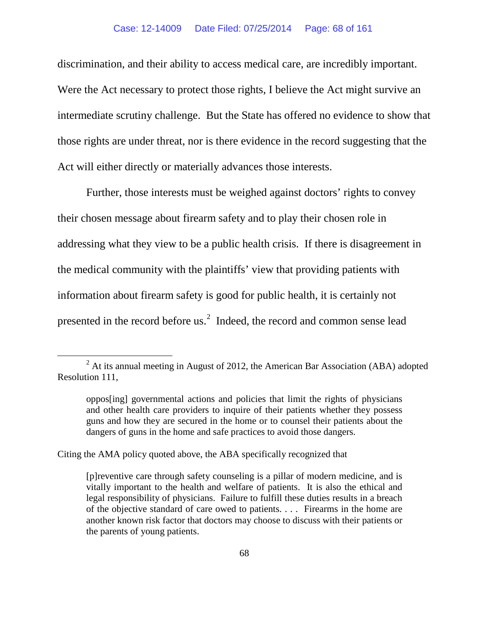discrimination, and their ability to access medical care, are incredibly important. Were the Act necessary to protect those rights, I believe the Act might survive an intermediate scrutiny challenge. But the State has offered no evidence to show that those rights are under threat, nor is there evidence in the record suggesting that the Act will either directly or materially advances those interests.

Further, those interests must be weighed against doctors' rights to convey their chosen message about firearm safety and to play their chosen role in addressing what they view to be a public health crisis. If there is disagreement in the medical community with the plaintiffs' view that providing patients with information about firearm safety is good for public health, it is certainly not presented in the record before us. $2 \text{ Indeed}$  $2 \text{ Indeed}$ , the record and common sense lead

Citing the AMA policy quoted above, the ABA specifically recognized that

<span id="page-67-0"></span> $2$  At its annual meeting in August of 2012, the American Bar Association (ABA) adopted Resolution 111,

oppos[ing] governmental actions and policies that limit the rights of physicians and other health care providers to inquire of their patients whether they possess guns and how they are secured in the home or to counsel their patients about the dangers of guns in the home and safe practices to avoid those dangers.

<sup>[</sup>p]reventive care through safety counseling is a pillar of modern medicine, and is vitally important to the health and welfare of patients. It is also the ethical and legal responsibility of physicians. Failure to fulfill these duties results in a breach of the objective standard of care owed to patients. . . . Firearms in the home are another known risk factor that doctors may choose to discuss with their patients or the parents of young patients.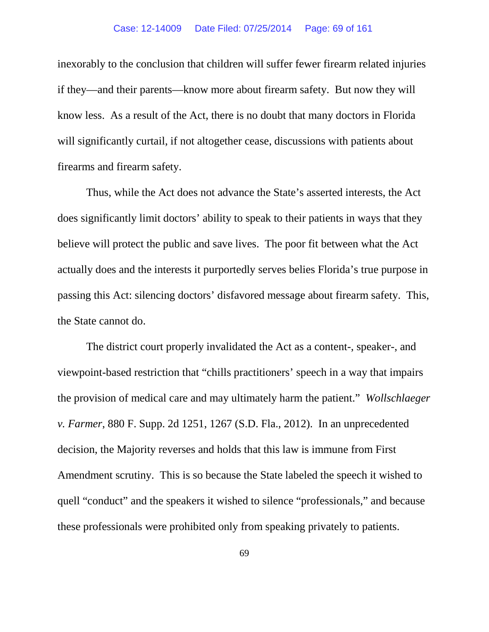inexorably to the conclusion that children will suffer fewer firearm related injuries if they—and their parents—know more about firearm safety. But now they will know less. As a result of the Act, there is no doubt that many doctors in Florida will significantly curtail, if not altogether cease, discussions with patients about firearms and firearm safety.

Thus, while the Act does not advance the State's asserted interests, the Act does significantly limit doctors' ability to speak to their patients in ways that they believe will protect the public and save lives. The poor fit between what the Act actually does and the interests it purportedly serves belies Florida's true purpose in passing this Act: silencing doctors' disfavored message about firearm safety. This, the State cannot do.

The district court properly invalidated the Act as a content-, speaker-, and viewpoint-based restriction that "chills practitioners' speech in a way that impairs the provision of medical care and may ultimately harm the patient." *Wollschlaeger v. Farmer*, 880 F. Supp. 2d 1251, 1267 (S.D. Fla., 2012).In an unprecedented decision, the Majority reverses and holds that this law is immune from First Amendment scrutiny. This is so because the State labeled the speech it wished to quell "conduct" and the speakers it wished to silence "professionals," and because these professionals were prohibited only from speaking privately to patients.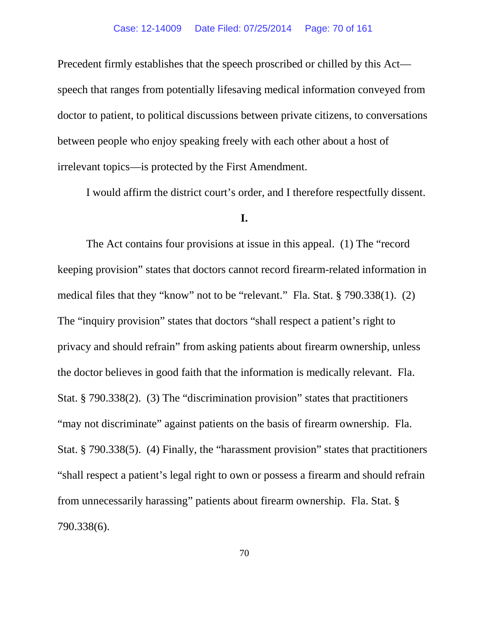Precedent firmly establishes that the speech proscribed or chilled by this Act speech that ranges from potentially lifesaving medical information conveyed from doctor to patient, to political discussions between private citizens, to conversations between people who enjoy speaking freely with each other about a host of irrelevant topics—is protected by the First Amendment.

I would affirm the district court's order, and I therefore respectfully dissent.

## **I.**

The Act contains four provisions at issue in this appeal. (1) The "record keeping provision" states that doctors cannot record firearm-related information in medical files that they "know" not to be "relevant." Fla. Stat. § 790.338(1). (2) The "inquiry provision" states that doctors "shall respect a patient's right to privacy and should refrain" from asking patients about firearm ownership, unless the doctor believes in good faith that the information is medically relevant. Fla. Stat. § 790.338(2). (3) The "discrimination provision" states that practitioners "may not discriminate" against patients on the basis of firearm ownership. Fla. Stat. § 790.338(5). (4) Finally, the "harassment provision" states that practitioners "shall respect a patient's legal right to own or possess a firearm and should refrain from unnecessarily harassing" patients about firearm ownership. Fla. Stat. § 790.338(6).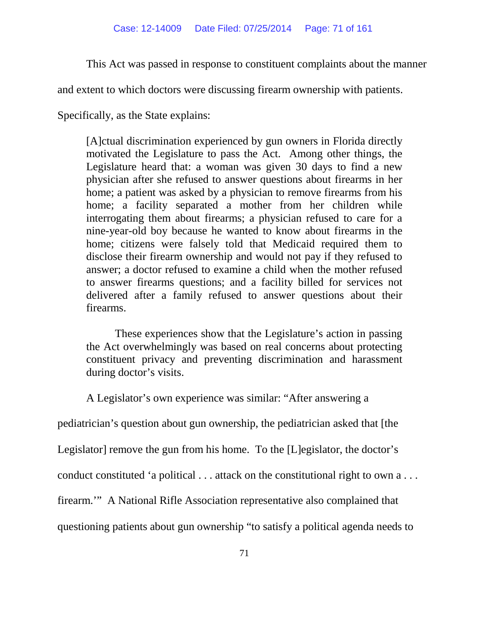This Act was passed in response to constituent complaints about the manner

and extent to which doctors were discussing firearm ownership with patients.

Specifically, as the State explains:

[A]ctual discrimination experienced by gun owners in Florida directly motivated the Legislature to pass the Act. Among other things, the Legislature heard that: a woman was given 30 days to find a new physician after she refused to answer questions about firearms in her home; a patient was asked by a physician to remove firearms from his home; a facility separated a mother from her children while interrogating them about firearms; a physician refused to care for a nine-year-old boy because he wanted to know about firearms in the home; citizens were falsely told that Medicaid required them to disclose their firearm ownership and would not pay if they refused to answer; a doctor refused to examine a child when the mother refused to answer firearms questions; and a facility billed for services not delivered after a family refused to answer questions about their firearms.

These experiences show that the Legislature's action in passing the Act overwhelmingly was based on real concerns about protecting constituent privacy and preventing discrimination and harassment during doctor's visits.

A Legislator's own experience was similar: "After answering a

pediatrician's question about gun ownership, the pediatrician asked that [the

Legislator] remove the gun from his home. To the [L]egislator, the doctor's

conduct constituted 'a political . . . attack on the constitutional right to own a . . .

firearm.'" A National Rifle Association representative also complained that

questioning patients about gun ownership "to satisfy a political agenda needs to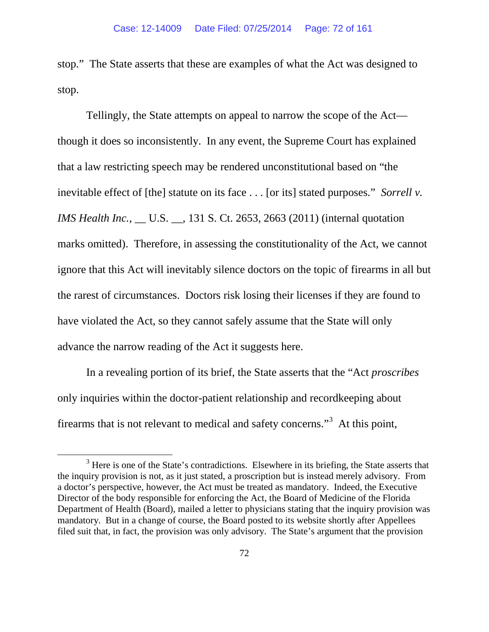stop." The State asserts that these are examples of what the Act was designed to stop.

Tellingly, the State attempts on appeal to narrow the scope of the Act though it does so inconsistently. In any event, the Supreme Court has explained that a law restricting speech may be rendered unconstitutional based on "the inevitable effect of [the] statute on its face . . . [or its] stated purposes." *Sorrell v. IMS Health Inc.*, \_\_ U.S. \_\_, 131 S. Ct. 2653, 2663 (2011) (internal quotation marks omitted). Therefore, in assessing the constitutionality of the Act, we cannot ignore that this Act will inevitably silence doctors on the topic of firearms in all but the rarest of circumstances. Doctors risk losing their licenses if they are found to have violated the Act, so they cannot safely assume that the State will only advance the narrow reading of the Act it suggests here.

In a revealing portion of its brief, the State asserts that the "Act *proscribes* only inquiries within the doctor-patient relationship and recordkeeping about firearms that is not relevant to medical and safety concerns."<sup>[3](#page-71-0)</sup> At this point,

<span id="page-71-0"></span> $3$  Here is one of the State's contradictions. Elsewhere in its briefing, the State asserts that the inquiry provision is not, as it just stated, a proscription but is instead merely advisory. From a doctor's perspective, however, the Act must be treated as mandatory. Indeed, the Executive Director of the body responsible for enforcing the Act, the Board of Medicine of the Florida Department of Health (Board), mailed a letter to physicians stating that the inquiry provision was mandatory. But in a change of course, the Board posted to its website shortly after Appellees filed suit that, in fact, the provision was only advisory. The State's argument that the provision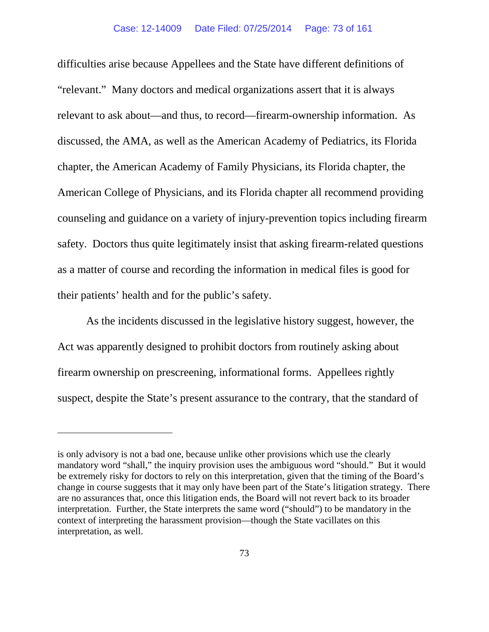difficulties arise because Appellees and the State have different definitions of "relevant." Many doctors and medical organizations assert that it is always relevant to ask about—and thus, to record—firearm-ownership information. As discussed, the AMA, as well as the American Academy of Pediatrics, its Florida chapter, the American Academy of Family Physicians, its Florida chapter, the American College of Physicians, and its Florida chapter all recommend providing counseling and guidance on a variety of injury-prevention topics including firearm safety. Doctors thus quite legitimately insist that asking firearm-related questions as a matter of course and recording the information in medical files is good for their patients' health and for the public's safety.

As the incidents discussed in the legislative history suggest, however, the Act was apparently designed to prohibit doctors from routinely asking about firearm ownership on prescreening, informational forms. Appellees rightly suspect, despite the State's present assurance to the contrary, that the standard of

 $\overline{a}$ 

is only advisory is not a bad one, because unlike other provisions which use the clearly mandatory word "shall," the inquiry provision uses the ambiguous word "should." But it would be extremely risky for doctors to rely on this interpretation, given that the timing of the Board's change in course suggests that it may only have been part of the State's litigation strategy. There are no assurances that, once this litigation ends, the Board will not revert back to its broader interpretation. Further, the State interprets the same word ("should") to be mandatory in the context of interpreting the harassment provision—though the State vacillates on this interpretation, as well.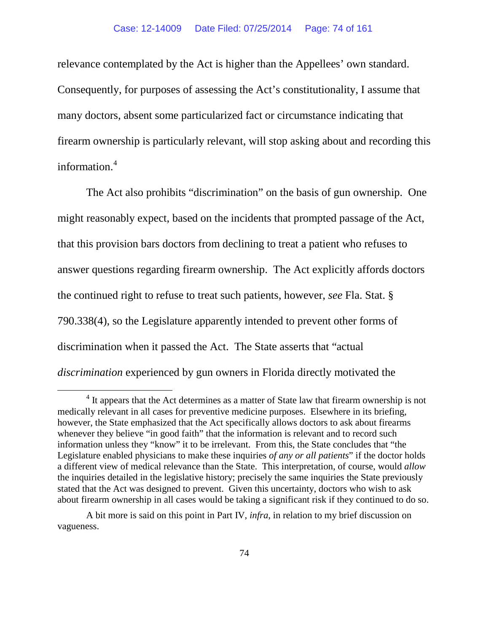relevance contemplated by the Act is higher than the Appellees' own standard. Consequently, for purposes of assessing the Act's constitutionality, I assume that many doctors, absent some particularized fact or circumstance indicating that firearm ownership is particularly relevant, will stop asking about and recording this information.<sup>[4](#page-73-0)</sup>

The Act also prohibits "discrimination" on the basis of gun ownership. One might reasonably expect, based on the incidents that prompted passage of the Act, that this provision bars doctors from declining to treat a patient who refuses to answer questions regarding firearm ownership. The Act explicitly affords doctors the continued right to refuse to treat such patients, however, *see* Fla. Stat. § 790.338(4), so the Legislature apparently intended to prevent other forms of discrimination when it passed the Act. The State asserts that "actual *discrimination* experienced by gun owners in Florida directly motivated the

<span id="page-73-0"></span><sup>&</sup>lt;sup>4</sup> It appears that the Act determines as a matter of State law that firearm ownership is not medically relevant in all cases for preventive medicine purposes. Elsewhere in its briefing, however, the State emphasized that the Act specifically allows doctors to ask about firearms whenever they believe "in good faith" that the information is relevant and to record such information unless they "know" it to be irrelevant. From this, the State concludes that "the Legislature enabled physicians to make these inquiries *of any or all patients*" if the doctor holds a different view of medical relevance than the State. This interpretation, of course, would *allow*  the inquiries detailed in the legislative history; precisely the same inquiries the State previously stated that the Act was designed to prevent. Given this uncertainty, doctors who wish to ask about firearm ownership in all cases would be taking a significant risk if they continued to do so.

A bit more is said on this point in Part IV, *infra*, in relation to my brief discussion on vagueness.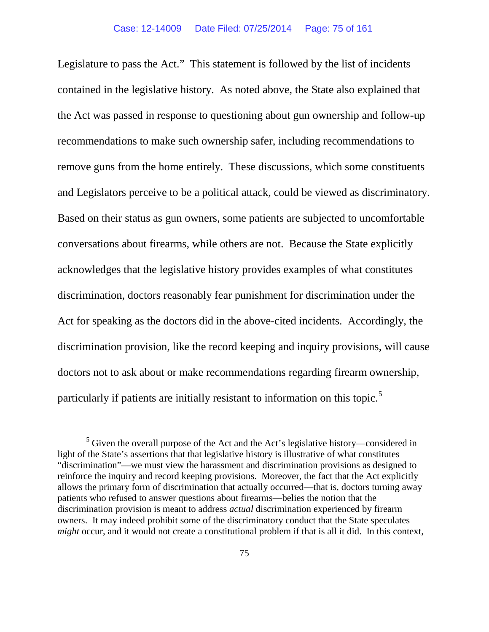Legislature to pass the Act." This statement is followed by the list of incidents contained in the legislative history. As noted above, the State also explained that the Act was passed in response to questioning about gun ownership and follow-up recommendations to make such ownership safer, including recommendations to remove guns from the home entirely. These discussions, which some constituents and Legislators perceive to be a political attack, could be viewed as discriminatory. Based on their status as gun owners, some patients are subjected to uncomfortable conversations about firearms, while others are not. Because the State explicitly acknowledges that the legislative history provides examples of what constitutes discrimination, doctors reasonably fear punishment for discrimination under the Act for speaking as the doctors did in the above-cited incidents. Accordingly, the discrimination provision, like the record keeping and inquiry provisions, will cause doctors not to ask about or make recommendations regarding firearm ownership, particularly if patients are initially resistant to information on this topic.<sup>[5](#page-74-0)</sup>

<span id="page-74-0"></span><sup>&</sup>lt;sup>5</sup> Given the overall purpose of the Act and the Act's legislative history—considered in light of the State's assertions that that legislative history is illustrative of what constitutes "discrimination"—we must view the harassment and discrimination provisions as designed to reinforce the inquiry and record keeping provisions. Moreover, the fact that the Act explicitly allows the primary form of discrimination that actually occurred—that is, doctors turning away patients who refused to answer questions about firearms—belies the notion that the discrimination provision is meant to address *actual* discrimination experienced by firearm owners. It may indeed prohibit some of the discriminatory conduct that the State speculates *might* occur, and it would not create a constitutional problem if that is all it did. In this context,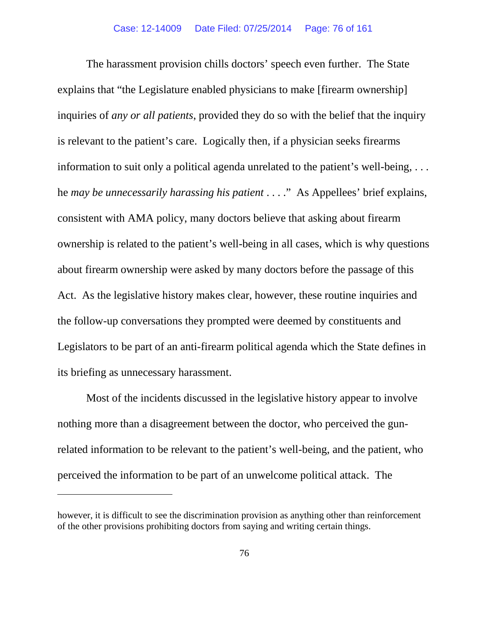The harassment provision chills doctors' speech even further. The State explains that "the Legislature enabled physicians to make [firearm ownership] inquiries of *any or all patients*, provided they do so with the belief that the inquiry is relevant to the patient's care. Logically then, if a physician seeks firearms information to suit only a political agenda unrelated to the patient's well-being, . . . he *may be unnecessarily harassing his patient* . . . ." As Appellees' brief explains, consistent with AMA policy, many doctors believe that asking about firearm ownership is related to the patient's well-being in all cases, which is why questions about firearm ownership were asked by many doctors before the passage of this Act. As the legislative history makes clear, however, these routine inquiries and the follow-up conversations they prompted were deemed by constituents and Legislators to be part of an anti-firearm political agenda which the State defines in its briefing as unnecessary harassment.

Most of the incidents discussed in the legislative history appear to involve nothing more than a disagreement between the doctor, who perceived the gunrelated information to be relevant to the patient's well-being, and the patient, who perceived the information to be part of an unwelcome political attack. The

 $\overline{a}$ 

however, it is difficult to see the discrimination provision as anything other than reinforcement of the other provisions prohibiting doctors from saying and writing certain things.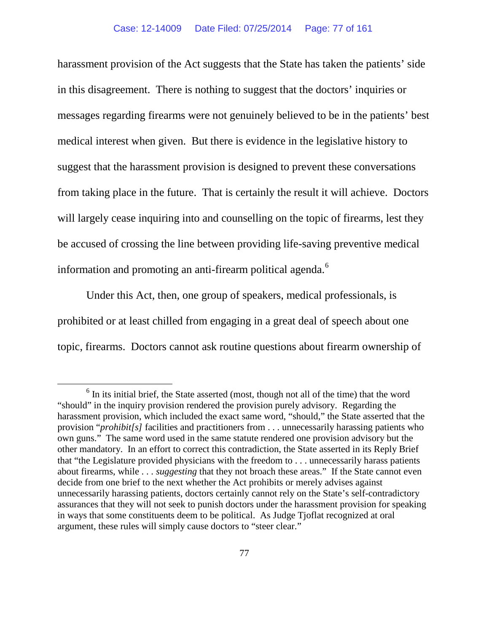harassment provision of the Act suggests that the State has taken the patients' side in this disagreement. There is nothing to suggest that the doctors' inquiries or messages regarding firearms were not genuinely believed to be in the patients' best medical interest when given. But there is evidence in the legislative history to suggest that the harassment provision is designed to prevent these conversations from taking place in the future. That is certainly the result it will achieve. Doctors will largely cease inquiring into and counselling on the topic of firearms, lest they be accused of crossing the line between providing life-saving preventive medical information and promoting an anti-firearm political agenda.<sup>[6](#page-76-0)</sup>

Under this Act, then, one group of speakers, medical professionals, is prohibited or at least chilled from engaging in a great deal of speech about one topic, firearms. Doctors cannot ask routine questions about firearm ownership of

<span id="page-76-0"></span> $6$  In its initial brief, the State asserted (most, though not all of the time) that the word "should" in the inquiry provision rendered the provision purely advisory. Regarding the harassment provision, which included the exact same word, "should," the State asserted that the provision "*prohibit[s]* facilities and practitioners from . . . unnecessarily harassing patients who own guns." The same word used in the same statute rendered one provision advisory but the other mandatory. In an effort to correct this contradiction, the State asserted in its Reply Brief that "the Legislature provided physicians with the freedom to . . . unnecessarily harass patients about firearms, while . . . *suggesting* that they not broach these areas." If the State cannot even decide from one brief to the next whether the Act prohibits or merely advises against unnecessarily harassing patients, doctors certainly cannot rely on the State's self-contradictory assurances that they will not seek to punish doctors under the harassment provision for speaking in ways that some constituents deem to be political. As Judge Tjoflat recognized at oral argument, these rules will simply cause doctors to "steer clear."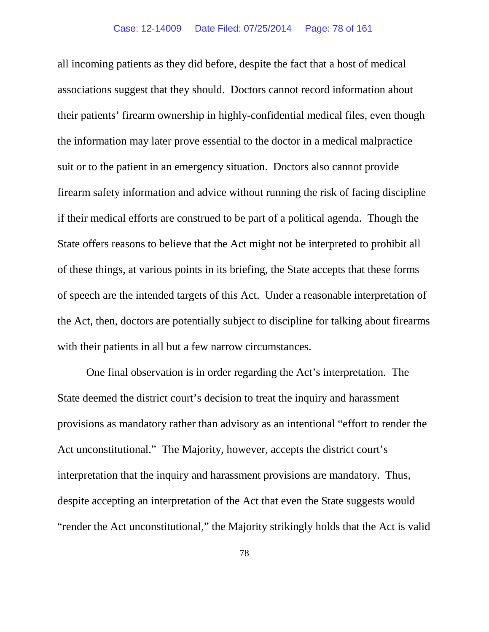all incoming patients as they did before, despite the fact that a host of medical associations suggest that they should. Doctors cannot record information about their patients' firearm ownership in highly-confidential medical files, even though the information may later prove essential to the doctor in a medical malpractice suit or to the patient in an emergency situation. Doctors also cannot provide firearm safety information and advice without running the risk of facing discipline if their medical efforts are construed to be part of a political agenda. Though the State offers reasons to believe that the Act might not be interpreted to prohibit all of these things, at various points in its briefing, the State accepts that these forms of speech are the intended targets of this Act. Under a reasonable interpretation of the Act, then, doctors are potentially subject to discipline for talking about firearms with their patients in all but a few narrow circumstances.

One final observation is in order regarding the Act's interpretation. The State deemed the district court's decision to treat the inquiry and harassment provisions as mandatory rather than advisory as an intentional "effort to render the Act unconstitutional." The Majority, however, accepts the district court's interpretation that the inquiry and harassment provisions are mandatory. Thus, despite accepting an interpretation of the Act that even the State suggests would "render the Act unconstitutional," the Majority strikingly holds that the Act is valid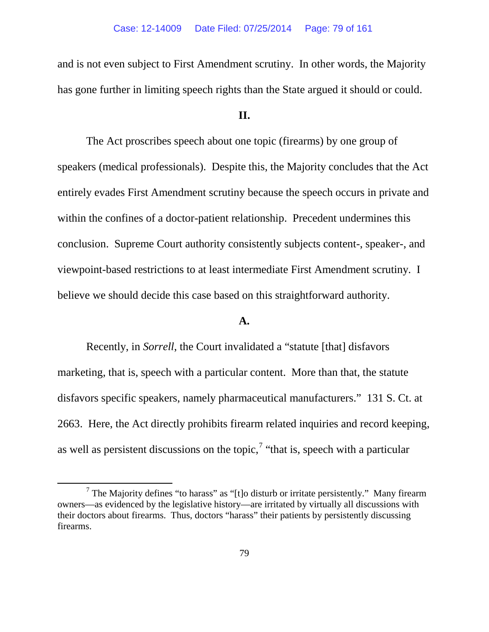and is not even subject to First Amendment scrutiny. In other words, the Majority has gone further in limiting speech rights than the State argued it should or could.

## **II.**

The Act proscribes speech about one topic (firearms) by one group of speakers (medical professionals). Despite this, the Majority concludes that the Act entirely evades First Amendment scrutiny because the speech occurs in private and within the confines of a doctor-patient relationship. Precedent undermines this conclusion. Supreme Court authority consistently subjects content-, speaker-, and viewpoint-based restrictions to at least intermediate First Amendment scrutiny. I believe we should decide this case based on this straightforward authority.

# **A.**

Recently, in *Sorrell*, the Court invalidated a "statute [that] disfavors marketing, that is, speech with a particular content. More than that, the statute disfavors specific speakers, namely pharmaceutical manufacturers." 131 S. Ct. at 2663. Here, the Act directly prohibits firearm related inquiries and record keeping, as well as persistent discussions on the topic,  $\alpha$  "that is, speech with a particular"

<span id="page-78-0"></span> $<sup>7</sup>$  The Majority defines "to harass" as "[t]o disturb or irritate persistently." Many firearm</sup> owners—as evidenced by the legislative history—are irritated by virtually all discussions with their doctors about firearms. Thus, doctors "harass" their patients by persistently discussing firearms.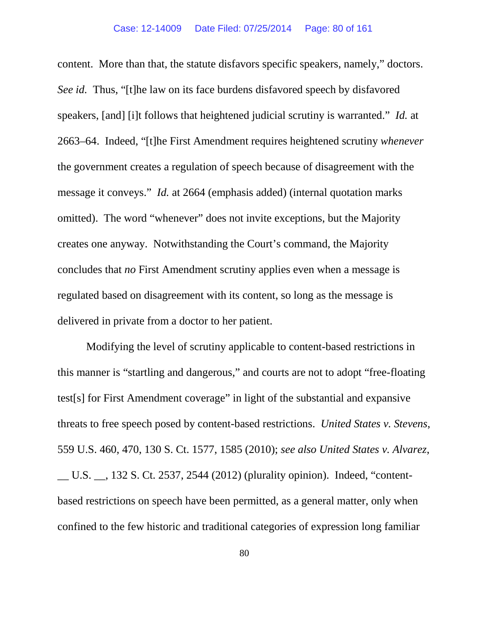content. More than that, the statute disfavors specific speakers, namely," doctors. *See id.* Thus, "[t]he law on its face burdens disfavored speech by disfavored speakers, [and] [i]t follows that heightened judicial scrutiny is warranted." *Id.* at 2663–64. Indeed, "[t]he First Amendment requires heightened scrutiny *whenever* the government creates a regulation of speech because of disagreement with the message it conveys." *Id.* at 2664 (emphasis added) (internal quotation marks omitted). The word "whenever" does not invite exceptions, but the Majority creates one anyway. Notwithstanding the Court's command, the Majority concludes that *no* First Amendment scrutiny applies even when a message is regulated based on disagreement with its content, so long as the message is delivered in private from a doctor to her patient.

Modifying the level of scrutiny applicable to content-based restrictions in this manner is "startling and dangerous," and courts are not to adopt "free-floating test[s] for First Amendment coverage" in light of the substantial and expansive threats to free speech posed by content-based restrictions. *United States v. Stevens*, 559 U.S. 460, 470, 130 S. Ct. 1577, 1585 (2010); *see also United States v. Alvarez*, U.S.  $\therefore$  132 S. Ct. 2537, 2544 (2012) (plurality opinion). Indeed, "contentbased restrictions on speech have been permitted, as a general matter, only when confined to the few historic and traditional categories of expression long familiar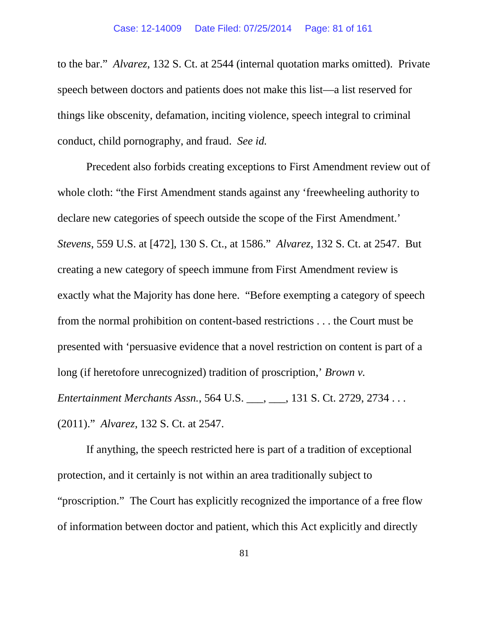to the bar." *Alvarez*, 132 S. Ct. at 2544 (internal quotation marks omitted). Private speech between doctors and patients does not make this list—a list reserved for things like obscenity, defamation, inciting violence, speech integral to criminal conduct, child pornography, and fraud. *See id.*

Precedent also forbids creating exceptions to First Amendment review out of whole cloth: "the First Amendment stands against any 'freewheeling authority to declare new categories of speech outside the scope of the First Amendment.' *Stevens*, 559 U.S. at [472], 130 S. Ct., at 1586." *Alvarez*, 132 S. Ct. at 2547. But creating a new category of speech immune from First Amendment review is exactly what the Majority has done here. "Before exempting a category of speech from the normal prohibition on content-based restrictions . . . the Court must be presented with 'persuasive evidence that a novel restriction on content is part of a long (if heretofore unrecognized) tradition of proscription,' *Brown v. Entertainment Merchants Assn.*, 564 U.S. \_\_\_, \_\_\_, 131 S. Ct. 2729, 2734 . . . (2011)." *Alvarez*, 132 S. Ct. at 2547.

If anything, the speech restricted here is part of a tradition of exceptional protection, and it certainly is not within an area traditionally subject to "proscription." The Court has explicitly recognized the importance of a free flow of information between doctor and patient, which this Act explicitly and directly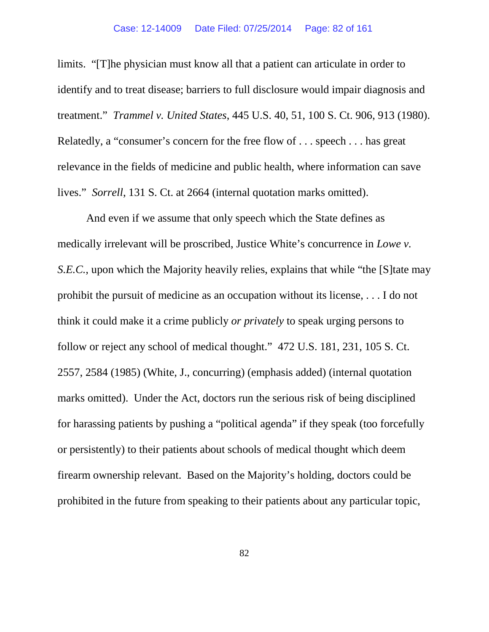limits. "[T]he physician must know all that a patient can articulate in order to identify and to treat disease; barriers to full disclosure would impair diagnosis and treatment." *Trammel v. United States*, 445 U.S. 40, 51, 100 S. Ct. 906, 913 (1980). Relatedly, a "consumer's concern for the free flow of . . . speech . . . has great relevance in the fields of medicine and public health, where information can save lives." *Sorrell*, 131 S. Ct. at 2664 (internal quotation marks omitted).

And even if we assume that only speech which the State defines as medically irrelevant will be proscribed, Justice White's concurrence in *Lowe v. S.E.C.*, upon which the Majority heavily relies, explains that while "the [S]tate may prohibit the pursuit of medicine as an occupation without its license, . . . I do not think it could make it a crime publicly *or privately* to speak urging persons to follow or reject any school of medical thought." 472 U.S. 181, 231, 105 S. Ct. 2557, 2584 (1985) (White, J., concurring) (emphasis added) (internal quotation marks omitted). Under the Act, doctors run the serious risk of being disciplined for harassing patients by pushing a "political agenda" if they speak (too forcefully or persistently) to their patients about schools of medical thought which deem firearm ownership relevant. Based on the Majority's holding, doctors could be prohibited in the future from speaking to their patients about any particular topic,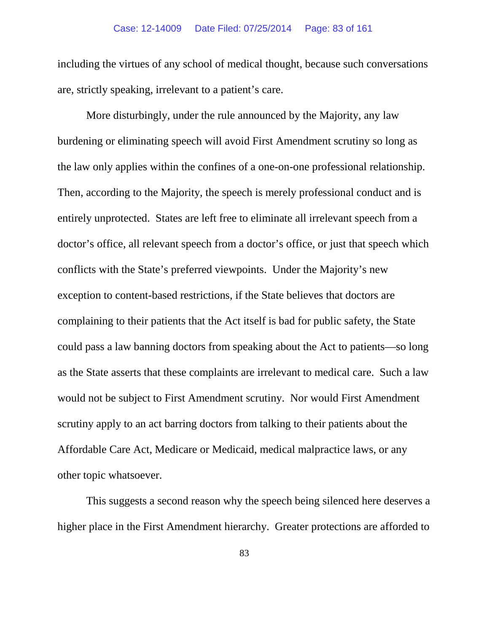including the virtues of any school of medical thought, because such conversations are, strictly speaking, irrelevant to a patient's care.

More disturbingly, under the rule announced by the Majority, any law burdening or eliminating speech will avoid First Amendment scrutiny so long as the law only applies within the confines of a one-on-one professional relationship. Then, according to the Majority, the speech is merely professional conduct and is entirely unprotected. States are left free to eliminate all irrelevant speech from a doctor's office, all relevant speech from a doctor's office, or just that speech which conflicts with the State's preferred viewpoints. Under the Majority's new exception to content-based restrictions, if the State believes that doctors are complaining to their patients that the Act itself is bad for public safety, the State could pass a law banning doctors from speaking about the Act to patients—so long as the State asserts that these complaints are irrelevant to medical care. Such a law would not be subject to First Amendment scrutiny. Nor would First Amendment scrutiny apply to an act barring doctors from talking to their patients about the Affordable Care Act, Medicare or Medicaid, medical malpractice laws, or any other topic whatsoever.

This suggests a second reason why the speech being silenced here deserves a higher place in the First Amendment hierarchy. Greater protections are afforded to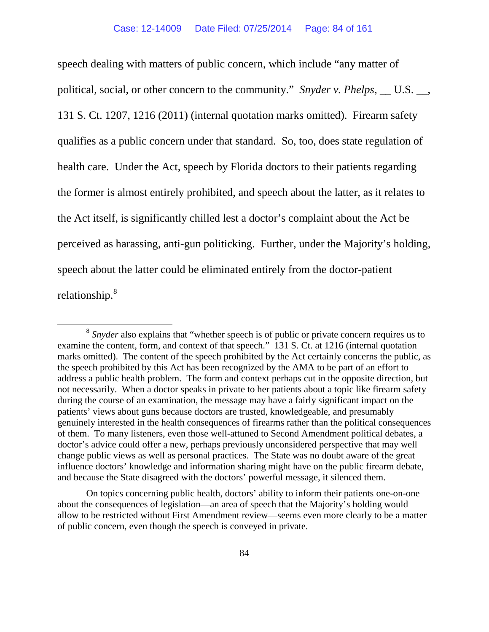speech dealing with matters of public concern, which include "any matter of political, social, or other concern to the community." *Snyder v. Phelps*, \_\_ U.S. \_\_, 131 S. Ct. 1207, 1216 (2011) (internal quotation marks omitted). Firearm safety qualifies as a public concern under that standard. So, too, does state regulation of health care. Under the Act, speech by Florida doctors to their patients regarding the former is almost entirely prohibited, and speech about the latter, as it relates to the Act itself, is significantly chilled lest a doctor's complaint about the Act be perceived as harassing, anti-gun politicking. Further, under the Majority's holding, speech about the latter could be eliminated entirely from the doctor-patient relationship.<sup>[8](#page-83-0)</sup>

<span id="page-83-0"></span> <sup>8</sup> *Snyder* also explains that "whether speech is of public or private concern requires us to examine the content, form, and context of that speech." 131 S. Ct. at 1216 (internal quotation marks omitted). The content of the speech prohibited by the Act certainly concerns the public, as the speech prohibited by this Act has been recognized by the AMA to be part of an effort to address a public health problem. The form and context perhaps cut in the opposite direction, but not necessarily. When a doctor speaks in private to her patients about a topic like firearm safety during the course of an examination, the message may have a fairly significant impact on the patients' views about guns because doctors are trusted, knowledgeable, and presumably genuinely interested in the health consequences of firearms rather than the political consequences of them. To many listeners, even those well-attuned to Second Amendment political debates, a doctor's advice could offer a new, perhaps previously unconsidered perspective that may well change public views as well as personal practices. The State was no doubt aware of the great influence doctors' knowledge and information sharing might have on the public firearm debate, and because the State disagreed with the doctors' powerful message, it silenced them.

On topics concerning public health, doctors' ability to inform their patients one-on-one about the consequences of legislation—an area of speech that the Majority's holding would allow to be restricted without First Amendment review—seems even more clearly to be a matter of public concern, even though the speech is conveyed in private.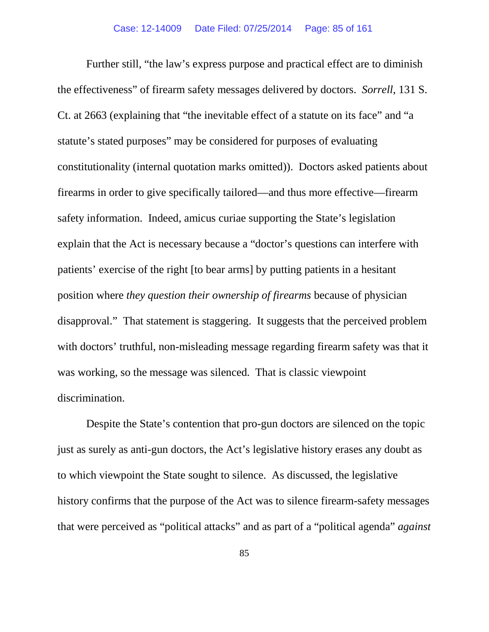Further still, "the law's express purpose and practical effect are to diminish the effectiveness" of firearm safety messages delivered by doctors. *Sorrell*, 131 S. Ct. at 2663 (explaining that "the inevitable effect of a statute on its face" and "a statute's stated purposes" may be considered for purposes of evaluating constitutionality (internal quotation marks omitted)). Doctors asked patients about firearms in order to give specifically tailored—and thus more effective—firearm safety information. Indeed, amicus curiae supporting the State's legislation explain that the Act is necessary because a "doctor's questions can interfere with patients' exercise of the right [to bear arms] by putting patients in a hesitant position where *they question their ownership of firearms* because of physician disapproval." That statement is staggering. It suggests that the perceived problem with doctors' truthful, non-misleading message regarding firearm safety was that it was working, so the message was silenced. That is classic viewpoint discrimination.

Despite the State's contention that pro-gun doctors are silenced on the topic just as surely as anti-gun doctors, the Act's legislative history erases any doubt as to which viewpoint the State sought to silence. As discussed, the legislative history confirms that the purpose of the Act was to silence firearm-safety messages that were perceived as "political attacks" and as part of a "political agenda" *against*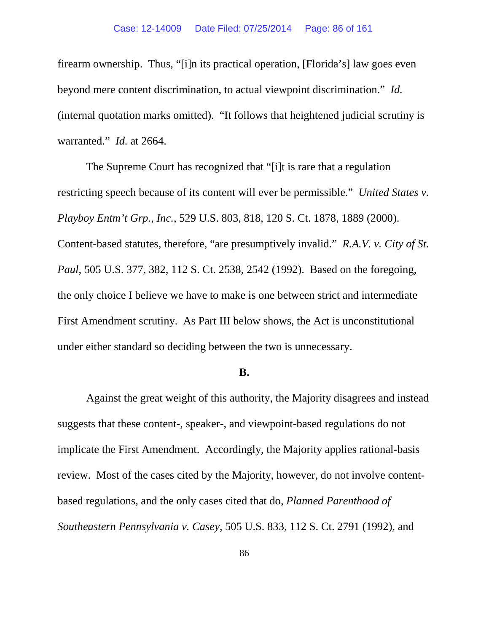firearm ownership. Thus, "[i]n its practical operation, [Florida's] law goes even beyond mere content discrimination, to actual viewpoint discrimination." *Id.*  (internal quotation marks omitted). "It follows that heightened judicial scrutiny is warranted." *Id.* at 2664.

The Supreme Court has recognized that "[i]t is rare that a regulation restricting speech because of its content will ever be permissible." *United States v. Playboy Entm't Grp., Inc.*, 529 U.S. 803, 818, 120 S. Ct. 1878, 1889 (2000). Content-based statutes, therefore, "are presumptively invalid." *R.A.V. v. City of St. Paul*, 505 U.S. 377, 382, 112 S. Ct. 2538, 2542 (1992). Based on the foregoing, the only choice I believe we have to make is one between strict and intermediate First Amendment scrutiny. As Part III below shows, the Act is unconstitutional under either standard so deciding between the two is unnecessary.

### **B.**

Against the great weight of this authority, the Majority disagrees and instead suggests that these content-, speaker-, and viewpoint-based regulations do not implicate the First Amendment. Accordingly, the Majority applies rational-basis review. Most of the cases cited by the Majority, however, do not involve contentbased regulations, and the only cases cited that do, *Planned Parenthood of Southeastern Pennsylvania v. Casey*, 505 U.S. 833, 112 S. Ct. 2791 (1992), and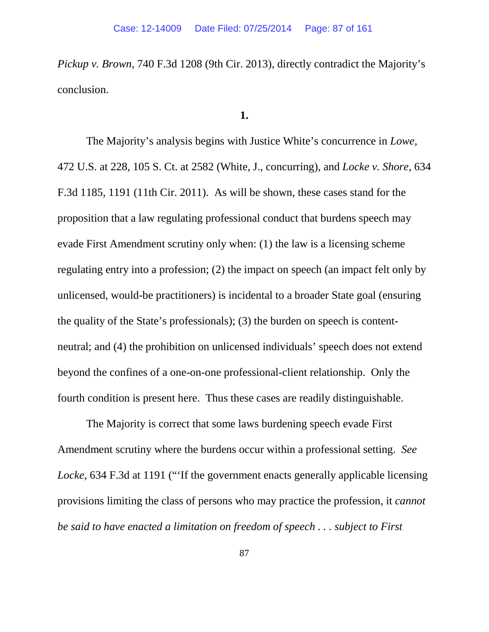*Pickup v. Brown*, 740 F.3d 1208 (9th Cir. 2013), directly contradict the Majority's conclusion.

## **1.**

The Majority's analysis begins with Justice White's concurrence in *Lowe*, 472 U.S. at 228, 105 S. Ct. at 2582 (White, J., concurring), and *Locke v. Shore*, 634 F.3d 1185, 1191 (11th Cir. 2011). As will be shown, these cases stand for the proposition that a law regulating professional conduct that burdens speech may evade First Amendment scrutiny only when: (1) the law is a licensing scheme regulating entry into a profession; (2) the impact on speech (an impact felt only by unlicensed, would-be practitioners) is incidental to a broader State goal (ensuring the quality of the State's professionals); (3) the burden on speech is contentneutral; and (4) the prohibition on unlicensed individuals' speech does not extend beyond the confines of a one-on-one professional-client relationship. Only the fourth condition is present here. Thus these cases are readily distinguishable.

The Majority is correct that some laws burdening speech evade First Amendment scrutiny where the burdens occur within a professional setting. *See Locke*, 634 F.3d at 1191 ("'If the government enacts generally applicable licensing provisions limiting the class of persons who may practice the profession, it *cannot be said to have enacted a limitation on freedom of speech . . . subject to First*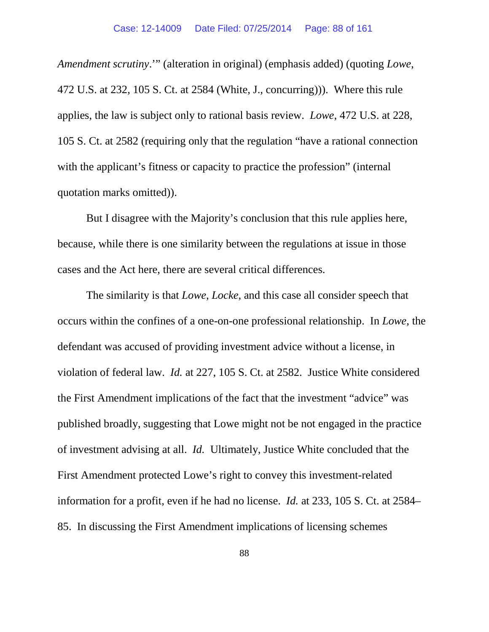*Amendment scrutiny*.'" (alteration in original) (emphasis added) (quoting *Lowe*, 472 U.S. at 232, 105 S. Ct. at 2584 (White, J., concurring))). Where this rule applies, the law is subject only to rational basis review. *Lowe*, 472 U.S. at 228, 105 S. Ct. at 2582 (requiring only that the regulation "have a rational connection with the applicant's fitness or capacity to practice the profession" (internal quotation marks omitted)).

But I disagree with the Majority's conclusion that this rule applies here, because, while there is one similarity between the regulations at issue in those cases and the Act here, there are several critical differences.

The similarity is that *Lowe*, *Locke*, and this case all consider speech that occurs within the confines of a one-on-one professional relationship. In *Lowe*, the defendant was accused of providing investment advice without a license, in violation of federal law. *Id.* at 227, 105 S. Ct. at 2582.Justice White considered the First Amendment implications of the fact that the investment "advice" was published broadly, suggesting that Lowe might not be not engaged in the practice of investment advising at all. *Id.* Ultimately, Justice White concluded that the First Amendment protected Lowe's right to convey this investment-related information for a profit, even if he had no license. *Id.* at 233, 105 S. Ct. at 2584– 85. In discussing the First Amendment implications of licensing schemes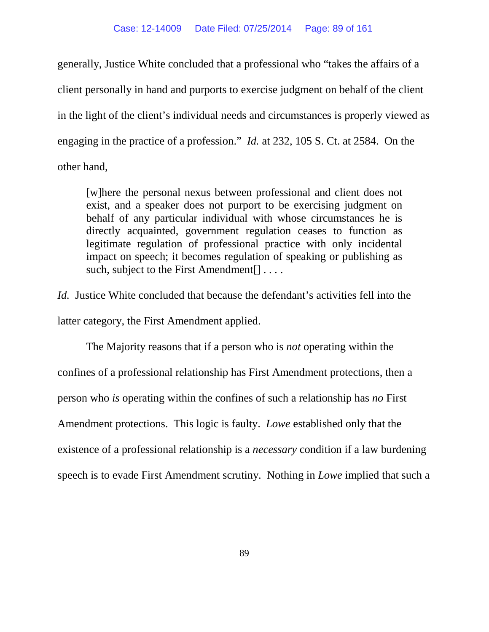generally, Justice White concluded that a professional who "takes the affairs of a client personally in hand and purports to exercise judgment on behalf of the client in the light of the client's individual needs and circumstances is properly viewed as engaging in the practice of a profession." *Id.* at 232, 105 S. Ct. at 2584. On the other hand,

[w]here the personal nexus between professional and client does not exist, and a speaker does not purport to be exercising judgment on behalf of any particular individual with whose circumstances he is directly acquainted, government regulation ceases to function as legitimate regulation of professional practice with only incidental impact on speech; it becomes regulation of speaking or publishing as such, subject to the First Amendment.

*Id.* Justice White concluded that because the defendant's activities fell into the latter category, the First Amendment applied.

The Majority reasons that if a person who is *not* operating within the confines of a professional relationship has First Amendment protections, then a person who *is* operating within the confines of such a relationship has *no* First Amendment protections. This logic is faulty. *Lowe* established only that the existence of a professional relationship is a *necessary* condition if a law burdening speech is to evade First Amendment scrutiny. Nothing in *Lowe* implied that such a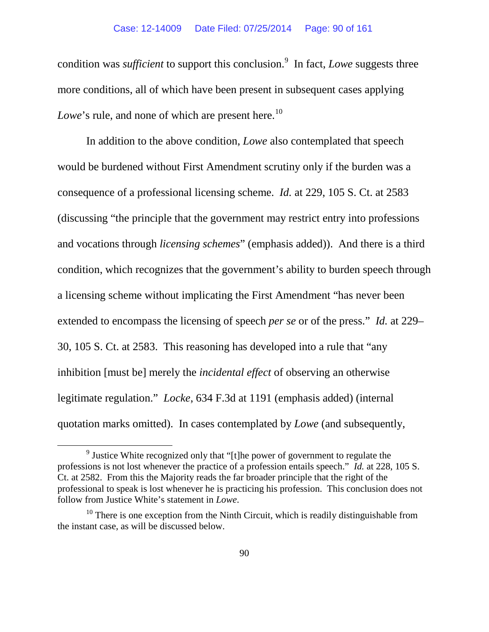condition was *sufficient* to support this conclusion.<sup>[9](#page-89-0)</sup> In fact, *Lowe* suggests three more conditions, all of which have been present in subsequent cases applying *Lowe*'s rule, and none of which are present here.<sup>10</sup>

In addition to the above condition, *Lowe* also contemplated that speech would be burdened without First Amendment scrutiny only if the burden was a consequence of a professional licensing scheme. *Id.* at 229, 105 S. Ct. at 2583 (discussing "the principle that the government may restrict entry into professions and vocations through *licensing schemes*" (emphasis added)). And there is a third condition, which recognizes that the government's ability to burden speech through a licensing scheme without implicating the First Amendment "has never been extended to encompass the licensing of speech *per se* or of the press." *Id.* at 229– 30, 105 S. Ct. at 2583. This reasoning has developed into a rule that "any inhibition [must be] merely the *incidental effect* of observing an otherwise legitimate regulation." *Locke*, 634 F.3d at 1191 (emphasis added) (internal quotation marks omitted). In cases contemplated by *Lowe* (and subsequently,

<span id="page-89-0"></span><sup>&</sup>lt;sup>9</sup> Justice White recognized only that "[t]he power of government to regulate the professions is not lost whenever the practice of a profession entails speech." *Id.* at 228, 105 S. Ct. at 2582. From this the Majority reads the far broader principle that the right of the professional to speak is lost whenever he is practicing his profession. This conclusion does not follow from Justice White's statement in *Lowe*.

<span id="page-89-1"></span> $10$  There is one exception from the Ninth Circuit, which is readily distinguishable from the instant case, as will be discussed below.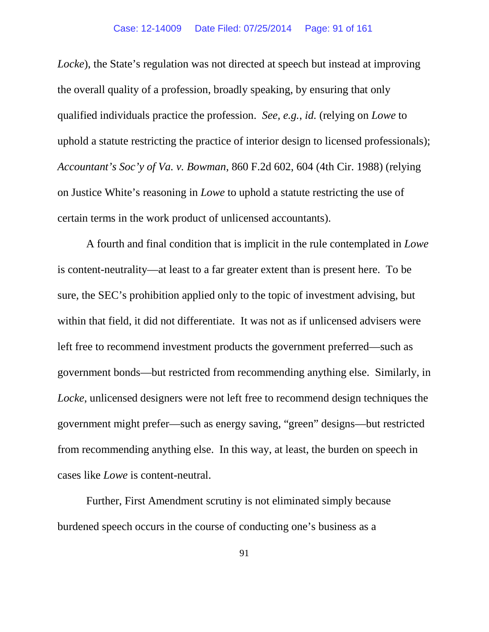*Locke*), the State's regulation was not directed at speech but instead at improving the overall quality of a profession, broadly speaking, by ensuring that only qualified individuals practice the profession. *See, e.g.*, *id.* (relying on *Lowe* to uphold a statute restricting the practice of interior design to licensed professionals); *Accountant's Soc'y of Va. v. Bowman*, 860 F.2d 602, 604 (4th Cir. 1988) (relying on Justice White's reasoning in *Lowe* to uphold a statute restricting the use of certain terms in the work product of unlicensed accountants).

A fourth and final condition that is implicit in the rule contemplated in *Lowe*  is content-neutrality—at least to a far greater extent than is present here. To be sure, the SEC's prohibition applied only to the topic of investment advising, but within that field, it did not differentiate. It was not as if unlicensed advisers were left free to recommend investment products the government preferred—such as government bonds—but restricted from recommending anything else. Similarly, in *Locke*, unlicensed designers were not left free to recommend design techniques the government might prefer—such as energy saving, "green" designs—but restricted from recommending anything else. In this way, at least, the burden on speech in cases like *Lowe* is content-neutral.

Further, First Amendment scrutiny is not eliminated simply because burdened speech occurs in the course of conducting one's business as a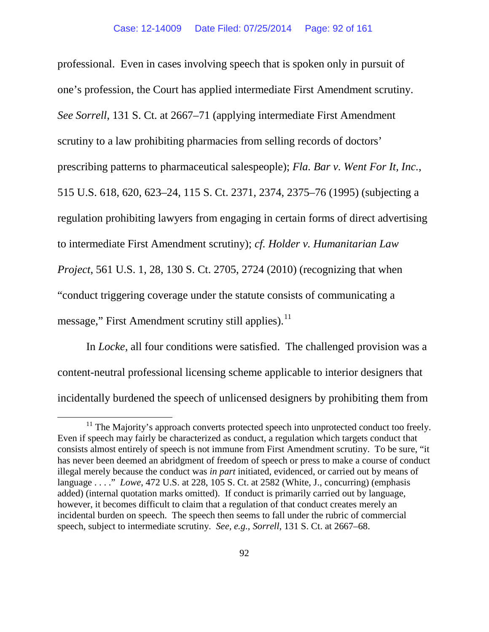professional. Even in cases involving speech that is spoken only in pursuit of one's profession, the Court has applied intermediate First Amendment scrutiny. *See Sorrell*, 131 S. Ct. at 2667–71 (applying intermediate First Amendment scrutiny to a law prohibiting pharmacies from selling records of doctors' prescribing patterns to pharmaceutical salespeople); *Fla. Bar v. Went For It, Inc.*, 515 U.S. 618, 620, 623–24, 115 S. Ct. 2371, 2374, 2375–76 (1995) (subjecting a regulation prohibiting lawyers from engaging in certain forms of direct advertising to intermediate First Amendment scrutiny); *cf. Holder v. Humanitarian Law Project*, 561 U.S. 1, 28, 130 S. Ct. 2705, 2724 (2010) (recognizing that when "conduct triggering coverage under the statute consists of communicating a message," First Amendment scrutiny still applies).<sup>[11](#page-91-0)</sup>

In *Locke*, all four conditions were satisfied. The challenged provision was a content-neutral professional licensing scheme applicable to interior designers that incidentally burdened the speech of unlicensed designers by prohibiting them from

<span id="page-91-0"></span> $11$  The Majority's approach converts protected speech into unprotected conduct too freely. Even if speech may fairly be characterized as conduct, a regulation which targets conduct that consists almost entirely of speech is not immune from First Amendment scrutiny. To be sure, "it has never been deemed an abridgment of freedom of speech or press to make a course of conduct illegal merely because the conduct was *in part* initiated, evidenced, or carried out by means of language . . . ." *Lowe*, 472 U.S. at 228, 105 S. Ct. at 2582 (White, J., concurring) (emphasis added) (internal quotation marks omitted). If conduct is primarily carried out by language, however, it becomes difficult to claim that a regulation of that conduct creates merely an incidental burden on speech. The speech then seems to fall under the rubric of commercial speech, subject to intermediate scrutiny. *See, e.g.*, *Sorrell*, 131 S. Ct. at 2667–68.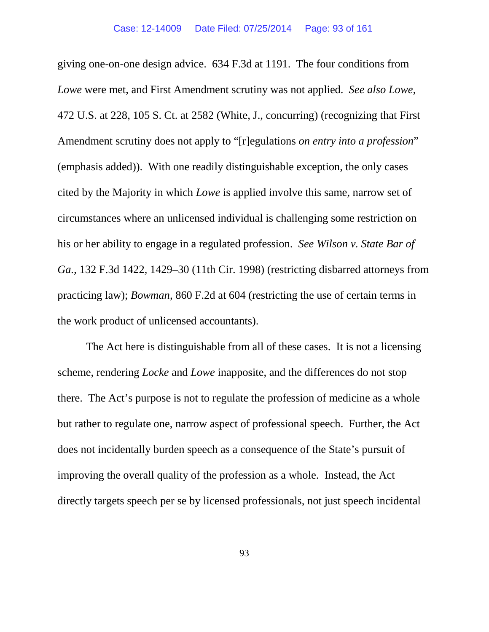giving one-on-one design advice. 634 F.3d at 1191. The four conditions from *Lowe* were met, and First Amendment scrutiny was not applied. *See also Lowe*, 472 U.S. at 228, 105 S. Ct. at 2582 (White, J., concurring) (recognizing that First Amendment scrutiny does not apply to "[r]egulations *on entry into a profession*" (emphasis added)). With one readily distinguishable exception, the only cases cited by the Majority in which *Lowe* is applied involve this same, narrow set of circumstances where an unlicensed individual is challenging some restriction on his or her ability to engage in a regulated profession. *See Wilson v. State Bar of Ga.*, 132 F.3d 1422, 1429–30 (11th Cir. 1998) (restricting disbarred attorneys from practicing law); *Bowman*, 860 F.2d at 604 (restricting the use of certain terms in the work product of unlicensed accountants).

The Act here is distinguishable from all of these cases. It is not a licensing scheme, rendering *Locke* and *Lowe* inapposite, and the differences do not stop there. The Act's purpose is not to regulate the profession of medicine as a whole but rather to regulate one, narrow aspect of professional speech. Further, the Act does not incidentally burden speech as a consequence of the State's pursuit of improving the overall quality of the profession as a whole. Instead, the Act directly targets speech per se by licensed professionals, not just speech incidental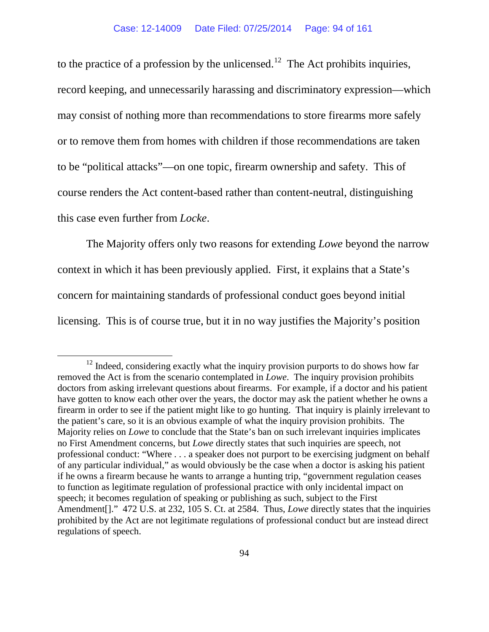to the practice of a profession by the unlicensed.<sup>12</sup> The Act prohibits inquiries, record keeping, and unnecessarily harassing and discriminatory expression—which may consist of nothing more than recommendations to store firearms more safely or to remove them from homes with children if those recommendations are taken to be "political attacks"—on one topic, firearm ownership and safety. This of course renders the Act content-based rather than content-neutral, distinguishing this case even further from *Locke*.

The Majority offers only two reasons for extending *Lowe* beyond the narrow context in which it has been previously applied. First, it explains that a State's concern for maintaining standards of professional conduct goes beyond initial licensing. This is of course true, but it in no way justifies the Majority's position

<span id="page-93-0"></span> $12$  Indeed, considering exactly what the inquiry provision purports to do shows how far removed the Act is from the scenario contemplated in *Lowe*. The inquiry provision prohibits doctors from asking irrelevant questions about firearms. For example, if a doctor and his patient have gotten to know each other over the years, the doctor may ask the patient whether he owns a firearm in order to see if the patient might like to go hunting. That inquiry is plainly irrelevant to the patient's care, so it is an obvious example of what the inquiry provision prohibits. The Majority relies on *Lowe* to conclude that the State's ban on such irrelevant inquiries implicates no First Amendment concerns, but *Lowe* directly states that such inquiries are speech, not professional conduct: "Where . . . a speaker does not purport to be exercising judgment on behalf of any particular individual," as would obviously be the case when a doctor is asking his patient if he owns a firearm because he wants to arrange a hunting trip, "government regulation ceases to function as legitimate regulation of professional practice with only incidental impact on speech; it becomes regulation of speaking or publishing as such, subject to the First Amendment[]." 472 U.S. at 232, 105 S. Ct. at 2584. Thus, *Lowe* directly states that the inquiries prohibited by the Act are not legitimate regulations of professional conduct but are instead direct regulations of speech.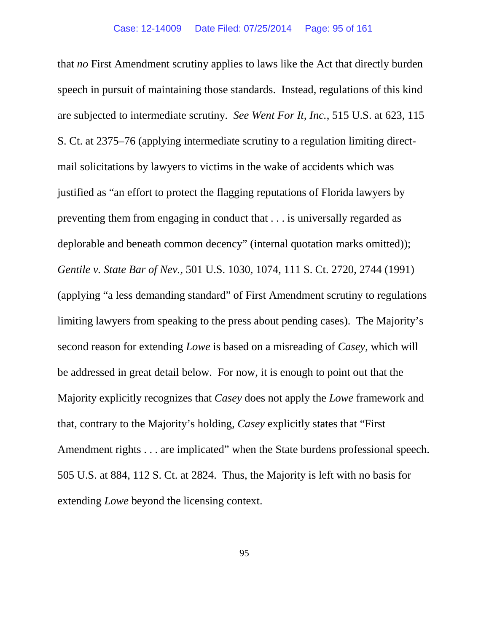that *no* First Amendment scrutiny applies to laws like the Act that directly burden speech in pursuit of maintaining those standards. Instead, regulations of this kind are subjected to intermediate scrutiny. *See Went For It, Inc.*, 515 U.S. at 623, 115 S. Ct. at 2375–76 (applying intermediate scrutiny to a regulation limiting directmail solicitations by lawyers to victims in the wake of accidents which was justified as "an effort to protect the flagging reputations of Florida lawyers by preventing them from engaging in conduct that . . . is universally regarded as deplorable and beneath common decency" (internal quotation marks omitted)); *Gentile v. State Bar of Nev.*, 501 U.S. 1030, 1074, 111 S. Ct. 2720, 2744 (1991) (applying "a less demanding standard" of First Amendment scrutiny to regulations limiting lawyers from speaking to the press about pending cases). The Majority's second reason for extending *Lowe* is based on a misreading of *Casey*, which will be addressed in great detail below. For now, it is enough to point out that the Majority explicitly recognizes that *Casey* does not apply the *Lowe* framework and that, contrary to the Majority's holding, *Casey* explicitly states that "First Amendment rights . . . are implicated" when the State burdens professional speech. 505 U.S. at 884, 112 S. Ct. at 2824. Thus, the Majority is left with no basis for extending *Lowe* beyond the licensing context.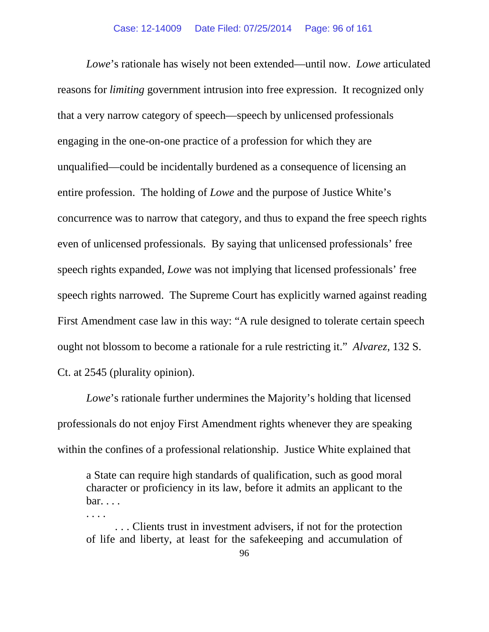*Lowe*'s rationale has wisely not been extended—until now. *Lowe* articulated reasons for *limiting* government intrusion into free expression. It recognized only that a very narrow category of speech—speech by unlicensed professionals engaging in the one-on-one practice of a profession for which they are unqualified—could be incidentally burdened as a consequence of licensing an entire profession. The holding of *Lowe* and the purpose of Justice White's concurrence was to narrow that category, and thus to expand the free speech rights even of unlicensed professionals. By saying that unlicensed professionals' free speech rights expanded, *Lowe* was not implying that licensed professionals' free speech rights narrowed. The Supreme Court has explicitly warned against reading First Amendment case law in this way: "A rule designed to tolerate certain speech ought not blossom to become a rationale for a rule restricting it." *Alvarez*, 132 S. Ct. at 2545 (plurality opinion).

*Lowe*'s rationale further undermines the Majority's holding that licensed professionals do not enjoy First Amendment rights whenever they are speaking within the confines of a professional relationship. Justice White explained that

a State can require high standards of qualification, such as good moral character or proficiency in its law, before it admits an applicant to the bar. . . .

. . . .

. . . Clients trust in investment advisers, if not for the protection of life and liberty, at least for the safekeeping and accumulation of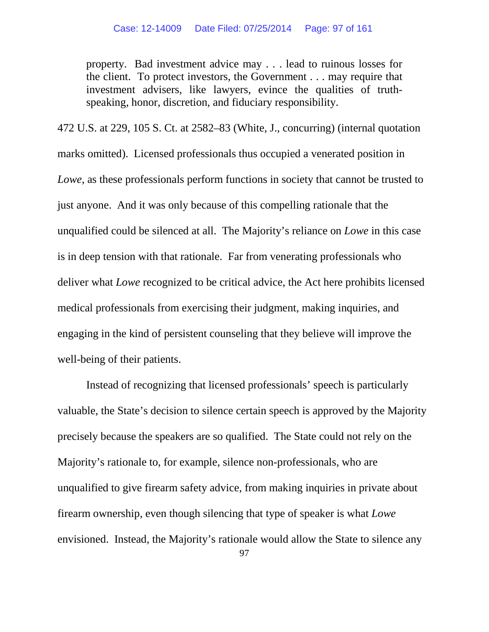property. Bad investment advice may . . . lead to ruinous losses for the client. To protect investors, the Government . . . may require that investment advisers, like lawyers, evince the qualities of truthspeaking, honor, discretion, and fiduciary responsibility.

472 U.S. at 229, 105 S. Ct. at 2582–83 (White, J., concurring) (internal quotation marks omitted). Licensed professionals thus occupied a venerated position in *Lowe*, as these professionals perform functions in society that cannot be trusted to just anyone. And it was only because of this compelling rationale that the unqualified could be silenced at all. The Majority's reliance on *Lowe* in this case is in deep tension with that rationale. Far from venerating professionals who deliver what *Lowe* recognized to be critical advice, the Act here prohibits licensed medical professionals from exercising their judgment, making inquiries, and engaging in the kind of persistent counseling that they believe will improve the well-being of their patients.

Instead of recognizing that licensed professionals' speech is particularly valuable, the State's decision to silence certain speech is approved by the Majority precisely because the speakers are so qualified. The State could not rely on the Majority's rationale to, for example, silence non-professionals, who are unqualified to give firearm safety advice, from making inquiries in private about firearm ownership, even though silencing that type of speaker is what *Lowe*  envisioned. Instead, the Majority's rationale would allow the State to silence any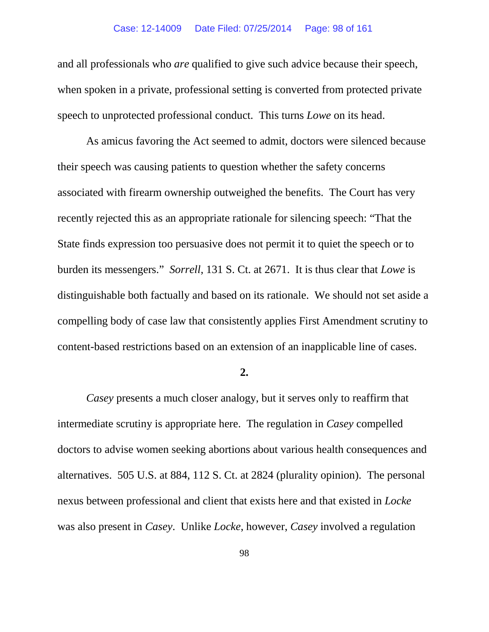#### Case: 12-14009 Date Filed: 07/25/2014 Page: 98 of 161

and all professionals who *are* qualified to give such advice because their speech, when spoken in a private, professional setting is converted from protected private speech to unprotected professional conduct. This turns *Lowe* on its head.

As amicus favoring the Act seemed to admit, doctors were silenced because their speech was causing patients to question whether the safety concerns associated with firearm ownership outweighed the benefits. The Court has very recently rejected this as an appropriate rationale for silencing speech: "That the State finds expression too persuasive does not permit it to quiet the speech or to burden its messengers." *Sorrell*, 131 S. Ct. at 2671. It is thus clear that *Lowe* is distinguishable both factually and based on its rationale. We should not set aside a compelling body of case law that consistently applies First Amendment scrutiny to content-based restrictions based on an extension of an inapplicable line of cases.

## **2.**

*Casey* presents a much closer analogy, but it serves only to reaffirm that intermediate scrutiny is appropriate here. The regulation in *Casey* compelled doctors to advise women seeking abortions about various health consequences and alternatives. 505 U.S. at 884, 112 S. Ct. at 2824 (plurality opinion). The personal nexus between professional and client that exists here and that existed in *Locke* was also present in *Casey*. Unlike *Locke*, however, *Casey* involved a regulation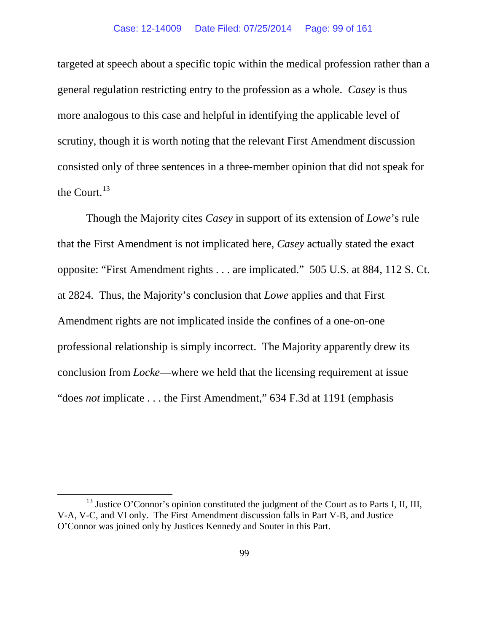targeted at speech about a specific topic within the medical profession rather than a general regulation restricting entry to the profession as a whole. *Casey* is thus more analogous to this case and helpful in identifying the applicable level of scrutiny, though it is worth noting that the relevant First Amendment discussion consisted only of three sentences in a three-member opinion that did not speak for the Court. $^{13}$  $^{13}$  $^{13}$ 

Though the Majority cites *Casey* in support of its extension of *Lowe*'s rule that the First Amendment is not implicated here, *Casey* actually stated the exact opposite: "First Amendment rights . . . are implicated." 505 U.S. at 884, 112 S. Ct. at 2824. Thus, the Majority's conclusion that *Lowe* applies and that First Amendment rights are not implicated inside the confines of a one-on-one professional relationship is simply incorrect. The Majority apparently drew its conclusion from *Locke*—where we held that the licensing requirement at issue "does *not* implicate . . . the First Amendment," 634 F.3d at 1191 (emphasis

<span id="page-98-0"></span> $13$  Justice O'Connor's opinion constituted the judgment of the Court as to Parts I, II, III, V-A, V-C, and VI only. The First Amendment discussion falls in Part V-B, and Justice O'Connor was joined only by Justices Kennedy and Souter in this Part.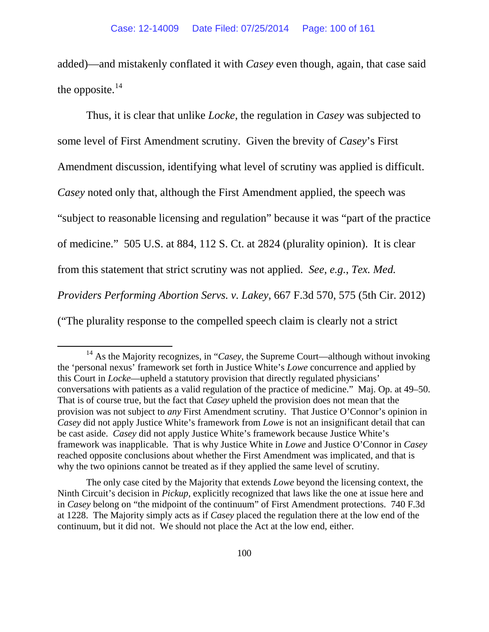added)—and mistakenly conflated it with *Casey* even though, again, that case said the opposite.<sup>[14](#page-99-0)</sup>

Thus, it is clear that unlike *Locke*, the regulation in *Casey* was subjected to some level of First Amendment scrutiny. Given the brevity of *Casey*'s First Amendment discussion, identifying what level of scrutiny was applied is difficult. *Casey* noted only that, although the First Amendment applied, the speech was "subject to reasonable licensing and regulation" because it was "part of the practice of medicine." 505 U.S. at 884, 112 S. Ct. at 2824 (plurality opinion).It is clear from this statement that strict scrutiny was not applied. *See, e.g.*, *Tex. Med. Providers Performing Abortion Servs. v. Lakey*, 667 F.3d 570, 575 (5th Cir. 2012) ("The plurality response to the compelled speech claim is clearly not a strict

The only case cited by the Majority that extends *Lowe* beyond the licensing context, the Ninth Circuit's decision in *Pickup*, explicitly recognized that laws like the one at issue here and in *Casey* belong on "the midpoint of the continuum" of First Amendment protections. 740 F.3d at 1228. The Majority simply acts as if *Casey* placed the regulation there at the low end of the continuum, but it did not. We should not place the Act at the low end, either.

<span id="page-99-0"></span><sup>&</sup>lt;sup>14</sup> As the Majority recognizes, in "*Casey*, the Supreme Court—although without invoking the 'personal nexus' framework set forth in Justice White's *Lowe* concurrence and applied by this Court in *Locke*—upheld a statutory provision that directly regulated physicians' conversations with patients as a valid regulation of the practice of medicine." Maj. Op. at 49–50. That is of course true, but the fact that *Casey* upheld the provision does not mean that the provision was not subject to *any* First Amendment scrutiny. That Justice O'Connor's opinion in *Casey* did not apply Justice White's framework from *Lowe* is not an insignificant detail that can be cast aside. *Casey* did not apply Justice White's framework because Justice White's framework was inapplicable. That is why Justice White in *Lowe* and Justice O'Connor in *Casey*  reached opposite conclusions about whether the First Amendment was implicated, and that is why the two opinions cannot be treated as if they applied the same level of scrutiny.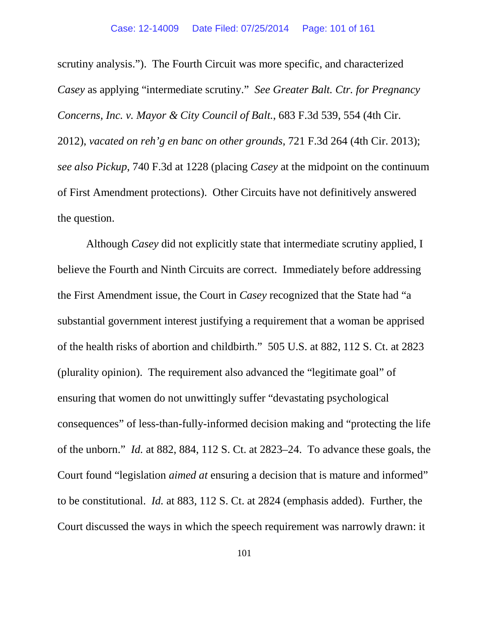scrutiny analysis."). The Fourth Circuit was more specific, and characterized *Casey* as applying "intermediate scrutiny." *See Greater Balt. Ctr. for Pregnancy Concerns, Inc. v. Mayor & City Council of Balt.*, 683 F.3d 539, 554 (4th Cir. 2012), *vacated on reh'g en banc on other grounds*, 721 F.3d 264 (4th Cir. 2013); *see also Pickup*, 740 F.3d at 1228 (placing *Casey* at the midpoint on the continuum of First Amendment protections). Other Circuits have not definitively answered the question.

Although *Casey* did not explicitly state that intermediate scrutiny applied, I believe the Fourth and Ninth Circuits are correct. Immediately before addressing the First Amendment issue, the Court in *Casey* recognized that the State had "a substantial government interest justifying a requirement that a woman be apprised of the health risks of abortion and childbirth." 505 U.S. at 882, 112 S. Ct. at 2823 (plurality opinion). The requirement also advanced the "legitimate goal" of ensuring that women do not unwittingly suffer "devastating psychological consequences" of less-than-fully-informed decision making and "protecting the life of the unborn." *Id.* at 882, 884, 112 S. Ct. at 2823–24. To advance these goals, the Court found "legislation *aimed at* ensuring a decision that is mature and informed" to be constitutional. *Id.* at 883, 112 S. Ct. at 2824 (emphasis added). Further, the Court discussed the ways in which the speech requirement was narrowly drawn: it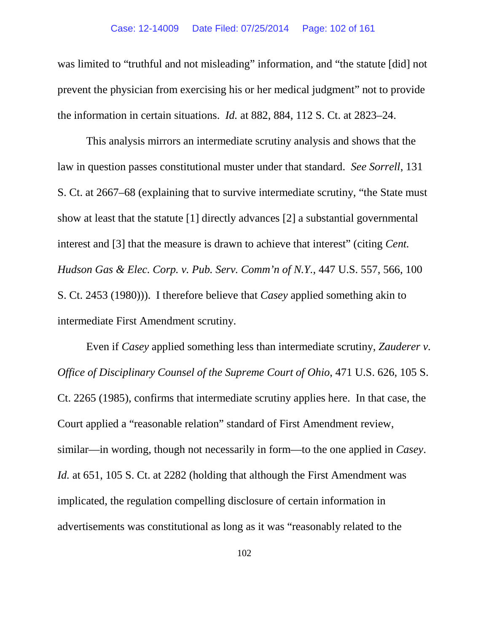#### Case: 12-14009 Date Filed: 07/25/2014 Page: 102 of 161

was limited to "truthful and not misleading" information, and "the statute [did] not prevent the physician from exercising his or her medical judgment" not to provide the information in certain situations. *Id.* at 882, 884, 112 S. Ct. at 2823–24.

This analysis mirrors an intermediate scrutiny analysis and shows that the law in question passes constitutional muster under that standard. *See Sorrell*, 131 S. Ct. at 2667–68 (explaining that to survive intermediate scrutiny, "the State must show at least that the statute [1] directly advances [2] a substantial governmental interest and [3] that the measure is drawn to achieve that interest" (citing *Cent. Hudson Gas & Elec. Corp. v. Pub. Serv. Comm'n of N.Y.*, 447 U.S. 557, 566, 100 S. Ct. 2453 (1980))). I therefore believe that *Casey* applied something akin to intermediate First Amendment scrutiny.

Even if *Casey* applied something less than intermediate scrutiny, *Zauderer v. Office of Disciplinary Counsel of the Supreme Court of Ohio*, 471 U.S. 626, 105 S. Ct. 2265 (1985), confirms that intermediate scrutiny applies here. In that case, the Court applied a "reasonable relation" standard of First Amendment review, similar—in wording, though not necessarily in form—to the one applied in *Casey*. *Id.* at 651, 105 S. Ct. at 2282 (holding that although the First Amendment was implicated, the regulation compelling disclosure of certain information in advertisements was constitutional as long as it was "reasonably related to the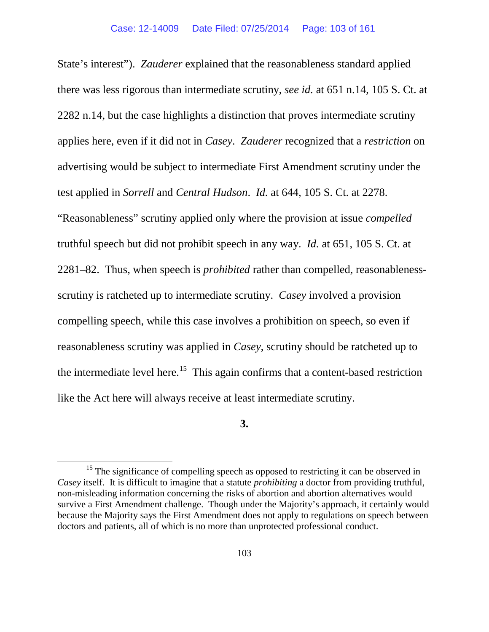State's interest"). *Zauderer* explained that the reasonableness standard applied there was less rigorous than intermediate scrutiny, *see id.* at 651 n.14, 105 S. Ct. at 2282 n.14, but the case highlights a distinction that proves intermediate scrutiny applies here, even if it did not in *Casey*. *Zauderer* recognized that a *restriction* on advertising would be subject to intermediate First Amendment scrutiny under the test applied in *Sorrell* and *Central Hudson*. *Id.* at 644, 105 S. Ct. at 2278. "Reasonableness" scrutiny applied only where the provision at issue *compelled*  truthful speech but did not prohibit speech in any way. *Id.* at 651, 105 S. Ct. at 2281–82. Thus, when speech is *prohibited* rather than compelled, reasonablenessscrutiny is ratcheted up to intermediate scrutiny. *Casey* involved a provision compelling speech, while this case involves a prohibition on speech, so even if reasonableness scrutiny was applied in *Casey*, scrutiny should be ratcheted up to the intermediate level here.<sup>[15](#page-102-0)</sup> This again confirms that a content-based restriction like the Act here will always receive at least intermediate scrutiny.

**3.**

<span id="page-102-0"></span> $15$  The significance of compelling speech as opposed to restricting it can be observed in *Casey* itself. It is difficult to imagine that a statute *prohibiting* a doctor from providing truthful, non-misleading information concerning the risks of abortion and abortion alternatives would survive a First Amendment challenge. Though under the Majority's approach, it certainly would because the Majority says the First Amendment does not apply to regulations on speech between doctors and patients, all of which is no more than unprotected professional conduct.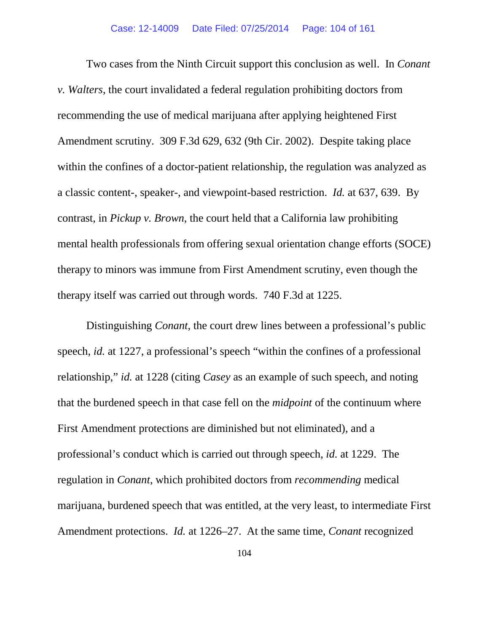Two cases from the Ninth Circuit support this conclusion as well. In *Conant v. Walters*, the court invalidated a federal regulation prohibiting doctors from recommending the use of medical marijuana after applying heightened First Amendment scrutiny. 309 F.3d 629, 632 (9th Cir. 2002). Despite taking place within the confines of a doctor-patient relationship, the regulation was analyzed as a classic content-, speaker-, and viewpoint-based restriction. *Id.* at 637, 639. By contrast, in *Pickup v. Brown*, the court held that a California law prohibiting mental health professionals from offering sexual orientation change efforts (SOCE) therapy to minors was immune from First Amendment scrutiny, even though the therapy itself was carried out through words. 740 F.3d at 1225.

Distinguishing *Conant*, the court drew lines between a professional's public speech, *id.* at 1227, a professional's speech "within the confines of a professional relationship," *id.* at 1228 (citing *Casey* as an example of such speech, and noting that the burdened speech in that case fell on the *midpoint* of the continuum where First Amendment protections are diminished but not eliminated), and a professional's conduct which is carried out through speech, *id.* at 1229. The regulation in *Conant*, which prohibited doctors from *recommending* medical marijuana, burdened speech that was entitled, at the very least, to intermediate First Amendment protections. *Id.* at 1226–27. At the same time, *Conant* recognized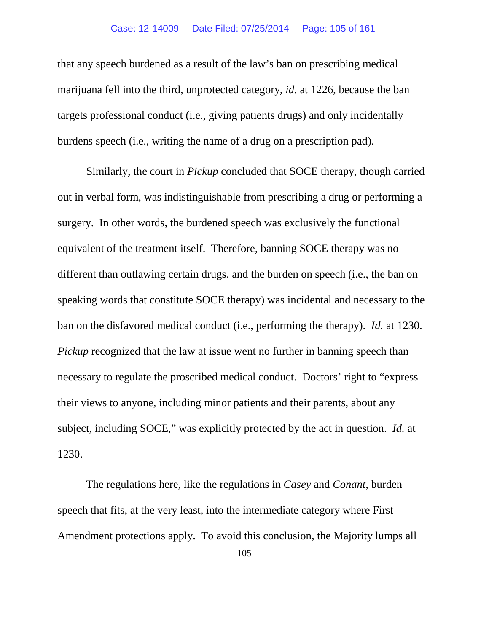## Case: 12-14009 Date Filed: 07/25/2014 Page: 105 of 161

that any speech burdened as a result of the law's ban on prescribing medical marijuana fell into the third, unprotected category, *id.* at 1226, because the ban targets professional conduct (i.e., giving patients drugs) and only incidentally burdens speech (i.e., writing the name of a drug on a prescription pad).

Similarly, the court in *Pickup* concluded that SOCE therapy, though carried out in verbal form, was indistinguishable from prescribing a drug or performing a surgery. In other words, the burdened speech was exclusively the functional equivalent of the treatment itself. Therefore, banning SOCE therapy was no different than outlawing certain drugs, and the burden on speech (i.e., the ban on speaking words that constitute SOCE therapy) was incidental and necessary to the ban on the disfavored medical conduct (i.e., performing the therapy). *Id.* at 1230. *Pickup* recognized that the law at issue went no further in banning speech than necessary to regulate the proscribed medical conduct. Doctors' right to "express their views to anyone, including minor patients and their parents, about any subject, including SOCE," was explicitly protected by the act in question. *Id.* at 1230.

The regulations here, like the regulations in *Casey* and *Conant*, burden speech that fits, at the very least, into the intermediate category where First Amendment protections apply. To avoid this conclusion, the Majority lumps all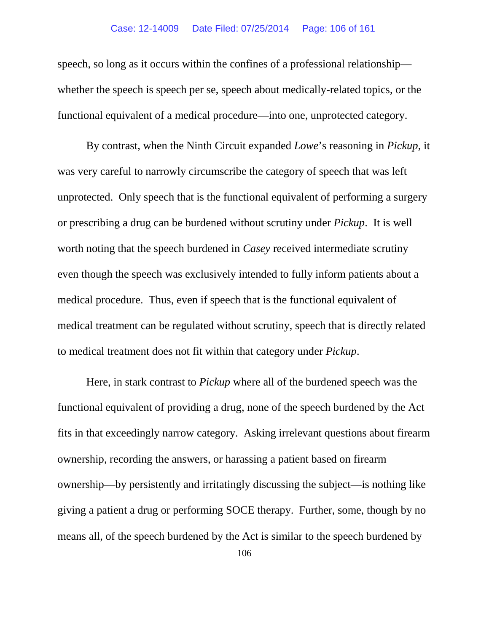## Case: 12-14009 Date Filed: 07/25/2014 Page: 106 of 161

speech, so long as it occurs within the confines of a professional relationship whether the speech is speech per se, speech about medically-related topics, or the functional equivalent of a medical procedure—into one, unprotected category.

By contrast, when the Ninth Circuit expanded *Lowe*'s reasoning in *Pickup*, it was very careful to narrowly circumscribe the category of speech that was left unprotected. Only speech that is the functional equivalent of performing a surgery or prescribing a drug can be burdened without scrutiny under *Pickup*. It is well worth noting that the speech burdened in *Casey* received intermediate scrutiny even though the speech was exclusively intended to fully inform patients about a medical procedure. Thus, even if speech that is the functional equivalent of medical treatment can be regulated without scrutiny, speech that is directly related to medical treatment does not fit within that category under *Pickup*.

Here, in stark contrast to *Pickup* where all of the burdened speech was the functional equivalent of providing a drug, none of the speech burdened by the Act fits in that exceedingly narrow category. Asking irrelevant questions about firearm ownership, recording the answers, or harassing a patient based on firearm ownership—by persistently and irritatingly discussing the subject—is nothing like giving a patient a drug or performing SOCE therapy. Further, some, though by no means all, of the speech burdened by the Act is similar to the speech burdened by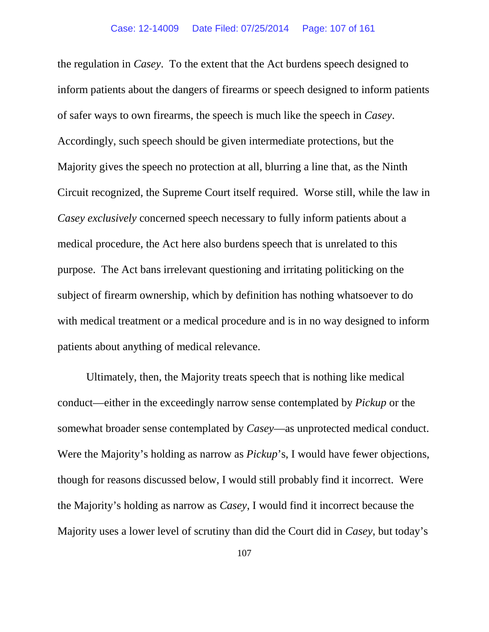the regulation in *Casey*. To the extent that the Act burdens speech designed to inform patients about the dangers of firearms or speech designed to inform patients of safer ways to own firearms, the speech is much like the speech in *Casey*. Accordingly, such speech should be given intermediate protections, but the Majority gives the speech no protection at all, blurring a line that, as the Ninth Circuit recognized, the Supreme Court itself required. Worse still, while the law in *Casey exclusively* concerned speech necessary to fully inform patients about a medical procedure, the Act here also burdens speech that is unrelated to this purpose. The Act bans irrelevant questioning and irritating politicking on the subject of firearm ownership, which by definition has nothing whatsoever to do with medical treatment or a medical procedure and is in no way designed to inform patients about anything of medical relevance.

Ultimately, then, the Majority treats speech that is nothing like medical conduct—either in the exceedingly narrow sense contemplated by *Pickup* or the somewhat broader sense contemplated by *Casey*—as unprotected medical conduct. Were the Majority's holding as narrow as *Pickup*'s, I would have fewer objections, though for reasons discussed below, I would still probably find it incorrect. Were the Majority's holding as narrow as *Casey*, I would find it incorrect because the Majority uses a lower level of scrutiny than did the Court did in *Casey*, but today's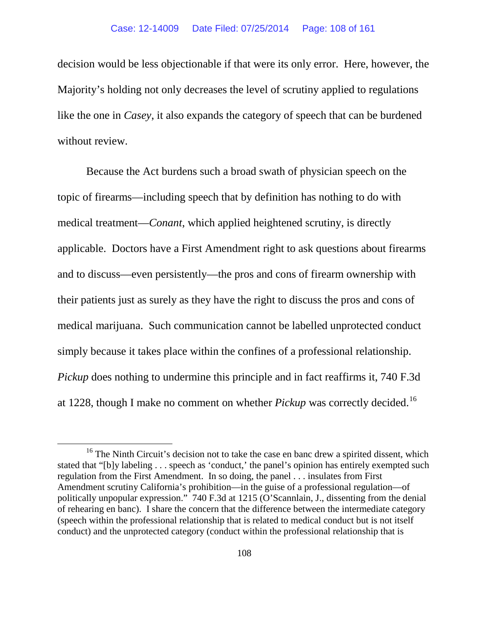decision would be less objectionable if that were its only error. Here, however, the Majority's holding not only decreases the level of scrutiny applied to regulations like the one in *Casey*, it also expands the category of speech that can be burdened without review.

Because the Act burdens such a broad swath of physician speech on the topic of firearms—including speech that by definition has nothing to do with medical treatment—*Conant*, which applied heightened scrutiny, is directly applicable. Doctors have a First Amendment right to ask questions about firearms and to discuss—even persistently—the pros and cons of firearm ownership with their patients just as surely as they have the right to discuss the pros and cons of medical marijuana. Such communication cannot be labelled unprotected conduct simply because it takes place within the confines of a professional relationship. *Pickup* does nothing to undermine this principle and in fact reaffirms it, 740 F.3d at 1228, though I make no comment on whether *Pickup* was correctly decided.[16](#page-107-0) 

<span id="page-107-0"></span> $16$  The Ninth Circuit's decision not to take the case en banc drew a spirited dissent, which stated that "[b]y labeling . . . speech as 'conduct,' the panel's opinion has entirely exempted such regulation from the First Amendment. In so doing, the panel . . . insulates from First Amendment scrutiny California's prohibition—in the guise of a professional regulation—of politically unpopular expression." 740 F.3d at 1215 (O'Scannlain, J., dissenting from the denial of rehearing en banc). I share the concern that the difference between the intermediate category (speech within the professional relationship that is related to medical conduct but is not itself conduct) and the unprotected category (conduct within the professional relationship that is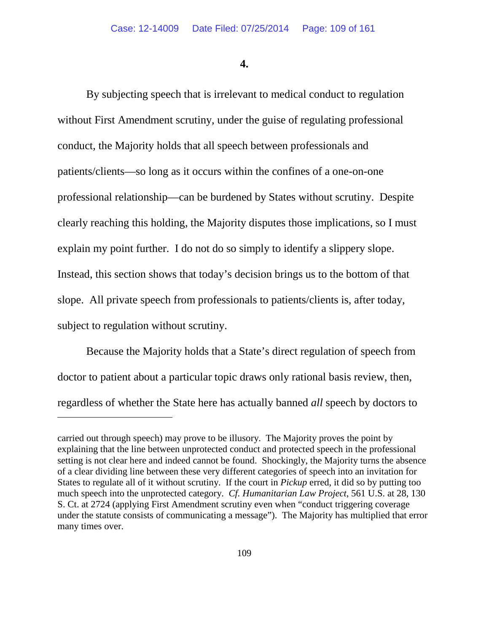**4.**

By subjecting speech that is irrelevant to medical conduct to regulation without First Amendment scrutiny, under the guise of regulating professional conduct, the Majority holds that all speech between professionals and patients/clients—so long as it occurs within the confines of a one-on-one professional relationship—can be burdened by States without scrutiny. Despite clearly reaching this holding, the Majority disputes those implications, so I must explain my point further. I do not do so simply to identify a slippery slope. Instead, this section shows that today's decision brings us to the bottom of that slope. All private speech from professionals to patients/clients is, after today, subject to regulation without scrutiny.

Because the Majority holds that a State's direct regulation of speech from doctor to patient about a particular topic draws only rational basis review, then, regardless of whether the State here has actually banned *all* speech by doctors to

 $\overline{a}$ 

carried out through speech) may prove to be illusory. The Majority proves the point by explaining that the line between unprotected conduct and protected speech in the professional setting is not clear here and indeed cannot be found. Shockingly, the Majority turns the absence of a clear dividing line between these very different categories of speech into an invitation for States to regulate all of it without scrutiny. If the court in *Pickup* erred, it did so by putting too much speech into the unprotected category. *Cf. Humanitarian Law Project*, 561 U.S. at 28, 130 S. Ct. at 2724 (applying First Amendment scrutiny even when "conduct triggering coverage under the statute consists of communicating a message"). The Majority has multiplied that error many times over.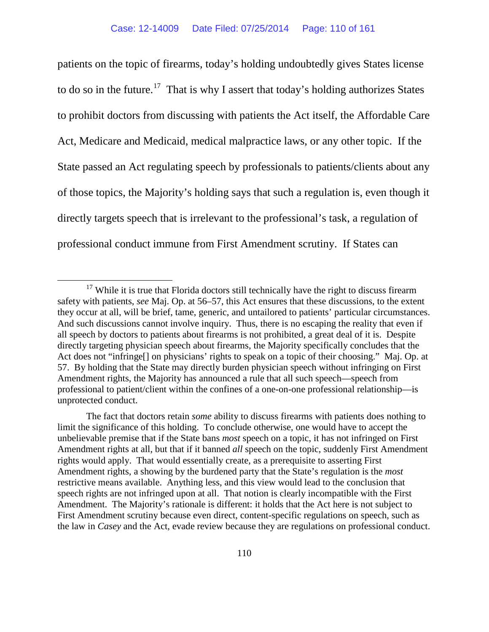patients on the topic of firearms, today's holding undoubtedly gives States license to do so in the future.<sup>[17](#page-109-0)</sup> That is why I assert that today's holding authorizes States to prohibit doctors from discussing with patients the Act itself, the Affordable Care Act, Medicare and Medicaid, medical malpractice laws, or any other topic. If the State passed an Act regulating speech by professionals to patients/clients about any of those topics, the Majority's holding says that such a regulation is, even though it directly targets speech that is irrelevant to the professional's task, a regulation of professional conduct immune from First Amendment scrutiny. If States can

<span id="page-109-0"></span> $17$  While it is true that Florida doctors still technically have the right to discuss firearm safety with patients, *see* Maj. Op. at 56–57, this Act ensures that these discussions, to the extent they occur at all, will be brief, tame, generic, and untailored to patients' particular circumstances. And such discussions cannot involve inquiry. Thus, there is no escaping the reality that even if all speech by doctors to patients about firearms is not prohibited, a great deal of it is. Despite directly targeting physician speech about firearms, the Majority specifically concludes that the Act does not "infringe[] on physicians' rights to speak on a topic of their choosing." Maj. Op. at 57. By holding that the State may directly burden physician speech without infringing on First Amendment rights, the Majority has announced a rule that all such speech—speech from professional to patient/client within the confines of a one-on-one professional relationship—is unprotected conduct.

The fact that doctors retain *some* ability to discuss firearms with patients does nothing to limit the significance of this holding. To conclude otherwise, one would have to accept the unbelievable premise that if the State bans *most* speech on a topic, it has not infringed on First Amendment rights at all, but that if it banned *all* speech on the topic, suddenly First Amendment rights would apply. That would essentially create, as a prerequisite to asserting First Amendment rights, a showing by the burdened party that the State's regulation is the *most*  restrictive means available. Anything less, and this view would lead to the conclusion that speech rights are not infringed upon at all. That notion is clearly incompatible with the First Amendment. The Majority's rationale is different: it holds that the Act here is not subject to First Amendment scrutiny because even direct, content-specific regulations on speech, such as the law in *Casey* and the Act, evade review because they are regulations on professional conduct.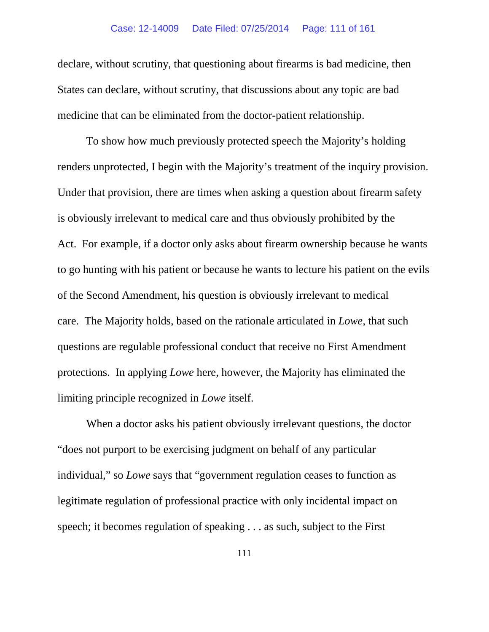declare, without scrutiny, that questioning about firearms is bad medicine, then States can declare, without scrutiny, that discussions about any topic are bad medicine that can be eliminated from the doctor-patient relationship.

To show how much previously protected speech the Majority's holding renders unprotected, I begin with the Majority's treatment of the inquiry provision. Under that provision, there are times when asking a question about firearm safety is obviously irrelevant to medical care and thus obviously prohibited by the Act. For example, if a doctor only asks about firearm ownership because he wants to go hunting with his patient or because he wants to lecture his patient on the evils of the Second Amendment, his question is obviously irrelevant to medical care. The Majority holds, based on the rationale articulated in *Lowe*, that such questions are regulable professional conduct that receive no First Amendment protections. In applying *Lowe* here, however, the Majority has eliminated the limiting principle recognized in *Lowe* itself.

When a doctor asks his patient obviously irrelevant questions, the doctor "does not purport to be exercising judgment on behalf of any particular individual," so *Lowe* says that "government regulation ceases to function as legitimate regulation of professional practice with only incidental impact on speech; it becomes regulation of speaking . . . as such, subject to the First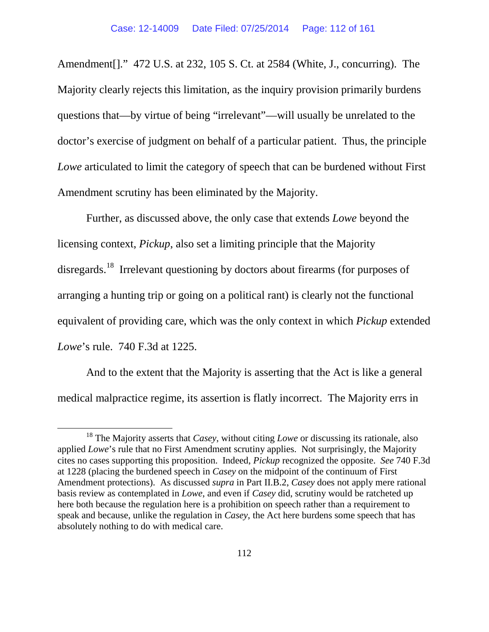Amendment[]." 472 U.S. at 232, 105 S. Ct. at 2584 (White, J., concurring). The Majority clearly rejects this limitation, as the inquiry provision primarily burdens questions that—by virtue of being "irrelevant"—will usually be unrelated to the doctor's exercise of judgment on behalf of a particular patient. Thus, the principle *Lowe* articulated to limit the category of speech that can be burdened without First Amendment scrutiny has been eliminated by the Majority.

Further, as discussed above, the only case that extends *Lowe* beyond the licensing context, *Pickup*, also set a limiting principle that the Majority disregards.<sup>18</sup> Irrelevant questioning by doctors about firearms (for purposes of arranging a hunting trip or going on a political rant) is clearly not the functional equivalent of providing care, which was the only context in which *Pickup* extended *Lowe*'s rule. 740 F.3d at 1225.

And to the extent that the Majority is asserting that the Act is like a general medical malpractice regime, its assertion is flatly incorrect. The Majority errs in

<span id="page-111-0"></span> <sup>18</sup> The Majority asserts that *Casey*, without citing *Lowe* or discussing its rationale, also applied *Lowe*'s rule that no First Amendment scrutiny applies. Not surprisingly, the Majority cites no cases supporting this proposition. Indeed, *Pickup* recognized the opposite. *See* 740 F.3d at 1228 (placing the burdened speech in *Casey* on the midpoint of the continuum of First Amendment protections). As discussed *supra* in Part II.B.2, *Casey* does not apply mere rational basis review as contemplated in *Lowe*, and even if *Casey* did, scrutiny would be ratcheted up here both because the regulation here is a prohibition on speech rather than a requirement to speak and because, unlike the regulation in *Casey*, the Act here burdens some speech that has absolutely nothing to do with medical care.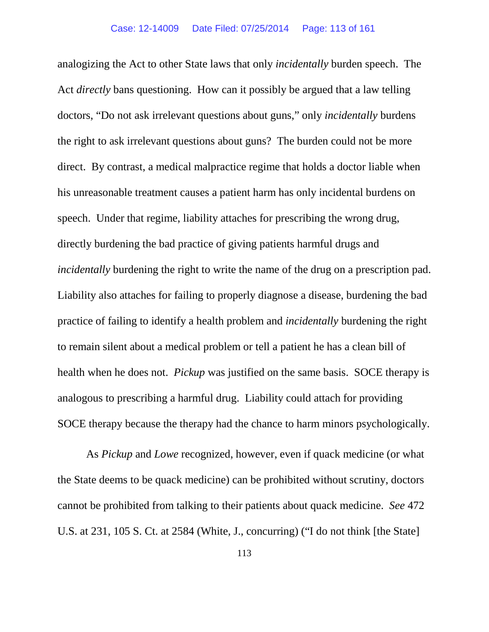analogizing the Act to other State laws that only *incidentally* burden speech. The Act *directly* bans questioning. How can it possibly be argued that a law telling doctors, "Do not ask irrelevant questions about guns," only *incidentally* burdens the right to ask irrelevant questions about guns? The burden could not be more direct. By contrast, a medical malpractice regime that holds a doctor liable when his unreasonable treatment causes a patient harm has only incidental burdens on speech. Under that regime, liability attaches for prescribing the wrong drug, directly burdening the bad practice of giving patients harmful drugs and *incidentally* burdening the right to write the name of the drug on a prescription pad. Liability also attaches for failing to properly diagnose a disease, burdening the bad practice of failing to identify a health problem and *incidentally* burdening the right to remain silent about a medical problem or tell a patient he has a clean bill of health when he does not. *Pickup* was justified on the same basis. SOCE therapy is analogous to prescribing a harmful drug. Liability could attach for providing SOCE therapy because the therapy had the chance to harm minors psychologically.

As *Pickup* and *Lowe* recognized, however, even if quack medicine (or what the State deems to be quack medicine) can be prohibited without scrutiny, doctors cannot be prohibited from talking to their patients about quack medicine. *See* 472 U.S. at 231, 105 S. Ct. at 2584 (White, J., concurring) ("I do not think [the State]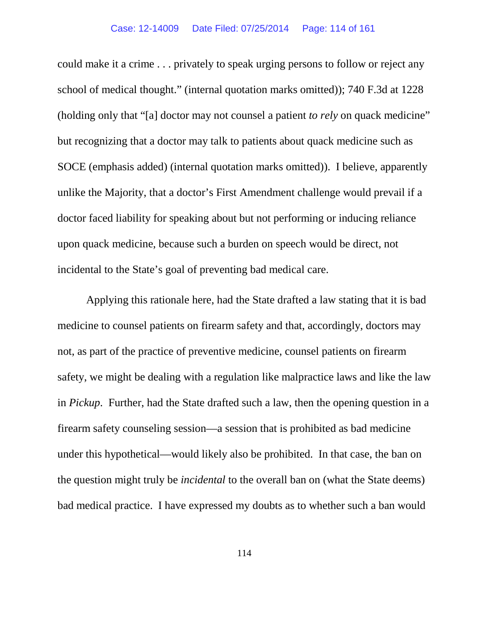## Case: 12-14009 Date Filed: 07/25/2014 Page: 114 of 161

could make it a crime . . . privately to speak urging persons to follow or reject any school of medical thought." (internal quotation marks omitted)); 740 F.3d at 1228 (holding only that "[a] doctor may not counsel a patient *to rely* on quack medicine" but recognizing that a doctor may talk to patients about quack medicine such as SOCE (emphasis added) (internal quotation marks omitted)). I believe, apparently unlike the Majority, that a doctor's First Amendment challenge would prevail if a doctor faced liability for speaking about but not performing or inducing reliance upon quack medicine, because such a burden on speech would be direct, not incidental to the State's goal of preventing bad medical care.

Applying this rationale here, had the State drafted a law stating that it is bad medicine to counsel patients on firearm safety and that, accordingly, doctors may not, as part of the practice of preventive medicine, counsel patients on firearm safety, we might be dealing with a regulation like malpractice laws and like the law in *Pickup*. Further, had the State drafted such a law, then the opening question in a firearm safety counseling session—a session that is prohibited as bad medicine under this hypothetical—would likely also be prohibited. In that case, the ban on the question might truly be *incidental* to the overall ban on (what the State deems) bad medical practice. I have expressed my doubts as to whether such a ban would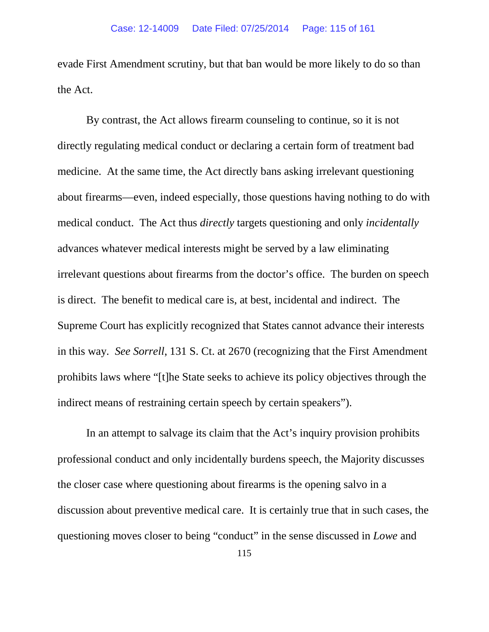evade First Amendment scrutiny, but that ban would be more likely to do so than the Act.

By contrast, the Act allows firearm counseling to continue, so it is not directly regulating medical conduct or declaring a certain form of treatment bad medicine. At the same time, the Act directly bans asking irrelevant questioning about firearms—even, indeed especially, those questions having nothing to do with medical conduct. The Act thus *directly* targets questioning and only *incidentally*  advances whatever medical interests might be served by a law eliminating irrelevant questions about firearms from the doctor's office. The burden on speech is direct. The benefit to medical care is, at best, incidental and indirect. The Supreme Court has explicitly recognized that States cannot advance their interests in this way. *See Sorrell*, 131 S. Ct. at 2670 (recognizing that the First Amendment prohibits laws where "[t]he State seeks to achieve its policy objectives through the indirect means of restraining certain speech by certain speakers").

In an attempt to salvage its claim that the Act's inquiry provision prohibits professional conduct and only incidentally burdens speech, the Majority discusses the closer case where questioning about firearms is the opening salvo in a discussion about preventive medical care. It is certainly true that in such cases, the questioning moves closer to being "conduct" in the sense discussed in *Lowe* and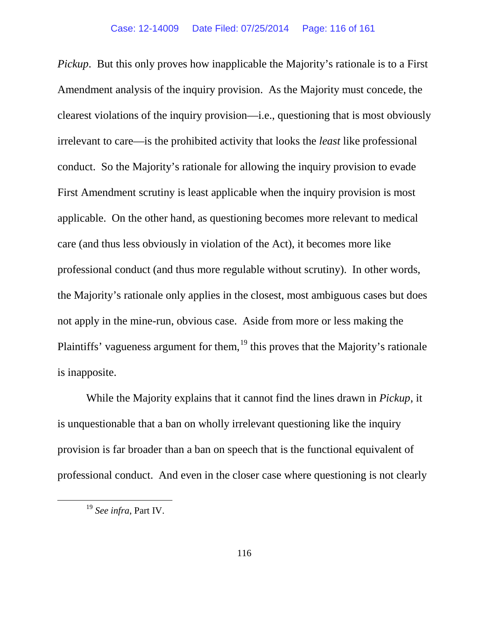*Pickup*. But this only proves how inapplicable the Majority's rationale is to a First Amendment analysis of the inquiry provision. As the Majority must concede, the clearest violations of the inquiry provision—i.e., questioning that is most obviously irrelevant to care—is the prohibited activity that looks the *least* like professional conduct. So the Majority's rationale for allowing the inquiry provision to evade First Amendment scrutiny is least applicable when the inquiry provision is most applicable. On the other hand, as questioning becomes more relevant to medical care (and thus less obviously in violation of the Act), it becomes more like professional conduct (and thus more regulable without scrutiny). In other words, the Majority's rationale only applies in the closest, most ambiguous cases but does not apply in the mine-run, obvious case. Aside from more or less making the Plaintiffs' vagueness argument for them,<sup>[19](#page-115-0)</sup> this proves that the Majority's rationale is inapposite.

While the Majority explains that it cannot find the lines drawn in *Pickup*, it is unquestionable that a ban on wholly irrelevant questioning like the inquiry provision is far broader than a ban on speech that is the functional equivalent of professional conduct. And even in the closer case where questioning is not clearly

<span id="page-115-0"></span> <sup>19</sup> *See infra*, Part IV.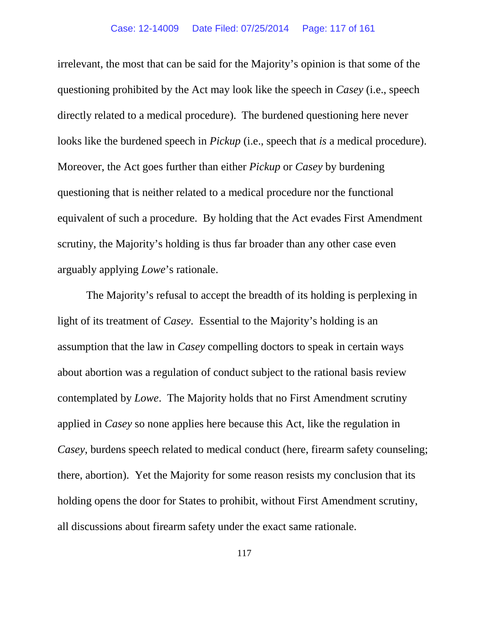irrelevant, the most that can be said for the Majority's opinion is that some of the questioning prohibited by the Act may look like the speech in *Casey* (i.e., speech directly related to a medical procedure). The burdened questioning here never looks like the burdened speech in *Pickup* (i.e., speech that *is* a medical procedure). Moreover, the Act goes further than either *Pickup* or *Casey* by burdening questioning that is neither related to a medical procedure nor the functional equivalent of such a procedure. By holding that the Act evades First Amendment scrutiny, the Majority's holding is thus far broader than any other case even arguably applying *Lowe*'s rationale.

The Majority's refusal to accept the breadth of its holding is perplexing in light of its treatment of *Casey*.Essential to the Majority's holding is an assumption that the law in *Casey* compelling doctors to speak in certain ways about abortion was a regulation of conduct subject to the rational basis review contemplated by *Lowe*. The Majority holds that no First Amendment scrutiny applied in *Casey* so none applies here because this Act, like the regulation in *Casey*, burdens speech related to medical conduct (here, firearm safety counseling; there, abortion). Yet the Majority for some reason resists my conclusion that its holding opens the door for States to prohibit, without First Amendment scrutiny, all discussions about firearm safety under the exact same rationale.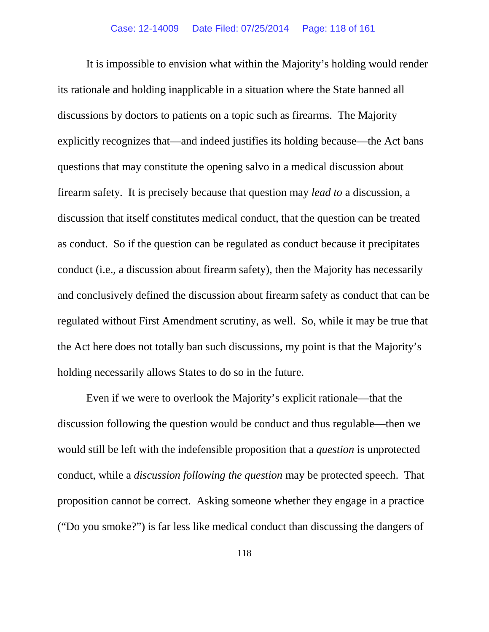It is impossible to envision what within the Majority's holding would render its rationale and holding inapplicable in a situation where the State banned all discussions by doctors to patients on a topic such as firearms. The Majority explicitly recognizes that—and indeed justifies its holding because—the Act bans questions that may constitute the opening salvo in a medical discussion about firearm safety. It is precisely because that question may *lead to* a discussion, a discussion that itself constitutes medical conduct, that the question can be treated as conduct. So if the question can be regulated as conduct because it precipitates conduct (i.e., a discussion about firearm safety), then the Majority has necessarily and conclusively defined the discussion about firearm safety as conduct that can be regulated without First Amendment scrutiny, as well. So, while it may be true that the Act here does not totally ban such discussions, my point is that the Majority's holding necessarily allows States to do so in the future.

Even if we were to overlook the Majority's explicit rationale—that the discussion following the question would be conduct and thus regulable—then we would still be left with the indefensible proposition that a *question* is unprotected conduct, while a *discussion following the question* may be protected speech. That proposition cannot be correct. Asking someone whether they engage in a practice ("Do you smoke?") is far less like medical conduct than discussing the dangers of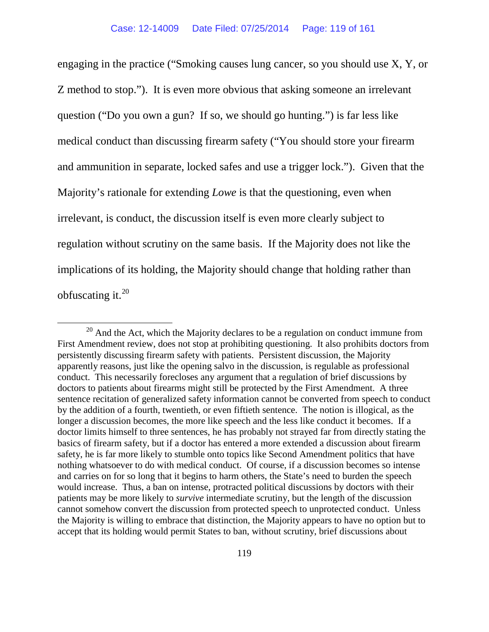engaging in the practice ("Smoking causes lung cancer, so you should use X, Y, or Z method to stop."). It is even more obvious that asking someone an irrelevant question ("Do you own a gun? If so, we should go hunting.") is far less like medical conduct than discussing firearm safety ("You should store your firearm and ammunition in separate, locked safes and use a trigger lock."). Given that the Majority's rationale for extending *Lowe* is that the questioning, even when irrelevant, is conduct, the discussion itself is even more clearly subject to regulation without scrutiny on the same basis. If the Majority does not like the implications of its holding, the Majority should change that holding rather than obfuscating it. $^{20}$  $^{20}$  $^{20}$ 

<span id="page-118-0"></span> $20$  And the Act, which the Majority declares to be a regulation on conduct immune from First Amendment review, does not stop at prohibiting questioning. It also prohibits doctors from persistently discussing firearm safety with patients. Persistent discussion, the Majority apparently reasons, just like the opening salvo in the discussion, is regulable as professional conduct. This necessarily forecloses any argument that a regulation of brief discussions by doctors to patients about firearms might still be protected by the First Amendment. A three sentence recitation of generalized safety information cannot be converted from speech to conduct by the addition of a fourth, twentieth, or even fiftieth sentence. The notion is illogical, as the longer a discussion becomes, the more like speech and the less like conduct it becomes. If a doctor limits himself to three sentences, he has probably not strayed far from directly stating the basics of firearm safety, but if a doctor has entered a more extended a discussion about firearm safety, he is far more likely to stumble onto topics like Second Amendment politics that have nothing whatsoever to do with medical conduct. Of course, if a discussion becomes so intense and carries on for so long that it begins to harm others, the State's need to burden the speech would increase. Thus, a ban on intense, protracted political discussions by doctors with their patients may be more likely to *survive* intermediate scrutiny, but the length of the discussion cannot somehow convert the discussion from protected speech to unprotected conduct. Unless the Majority is willing to embrace that distinction, the Majority appears to have no option but to accept that its holding would permit States to ban, without scrutiny, brief discussions about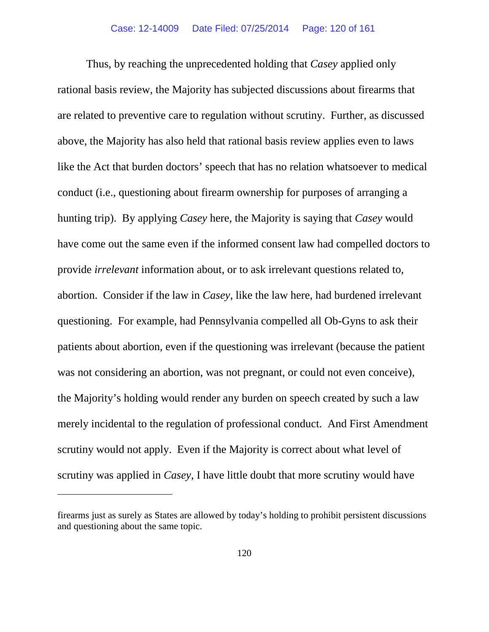Thus, by reaching the unprecedented holding that *Casey* applied only rational basis review, the Majority has subjected discussions about firearms that are related to preventive care to regulation without scrutiny. Further, as discussed above, the Majority has also held that rational basis review applies even to laws like the Act that burden doctors' speech that has no relation whatsoever to medical conduct (i.e., questioning about firearm ownership for purposes of arranging a hunting trip). By applying *Casey* here, the Majority is saying that *Casey* would have come out the same even if the informed consent law had compelled doctors to provide *irrelevant* information about, or to ask irrelevant questions related to, abortion. Consider if the law in *Casey*, like the law here, had burdened irrelevant questioning. For example, had Pennsylvania compelled all Ob-Gyns to ask their patients about abortion, even if the questioning was irrelevant (because the patient was not considering an abortion, was not pregnant, or could not even conceive), the Majority's holding would render any burden on speech created by such a law merely incidental to the regulation of professional conduct. And First Amendment scrutiny would not apply. Even if the Majority is correct about what level of scrutiny was applied in *Casey*, I have little doubt that more scrutiny would have

 $\overline{a}$ 

firearms just as surely as States are allowed by today's holding to prohibit persistent discussions and questioning about the same topic.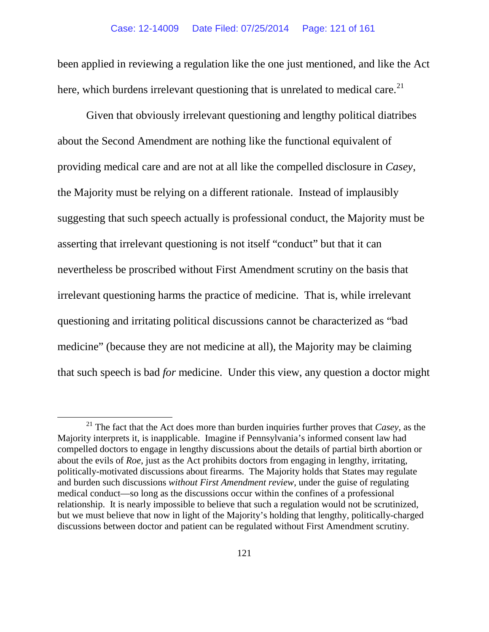been applied in reviewing a regulation like the one just mentioned, and like the Act here, which burdens irrelevant questioning that is unrelated to medical care.<sup>[21](#page-120-0)</sup>

Given that obviously irrelevant questioning and lengthy political diatribes about the Second Amendment are nothing like the functional equivalent of providing medical care and are not at all like the compelled disclosure in *Casey*, the Majority must be relying on a different rationale. Instead of implausibly suggesting that such speech actually is professional conduct, the Majority must be asserting that irrelevant questioning is not itself "conduct" but that it can nevertheless be proscribed without First Amendment scrutiny on the basis that irrelevant questioning harms the practice of medicine. That is, while irrelevant questioning and irritating political discussions cannot be characterized as "bad medicine" (because they are not medicine at all), the Majority may be claiming that such speech is bad *for* medicine. Under this view, any question a doctor might

<span id="page-120-0"></span> <sup>21</sup> The fact that the Act does more than burden inquiries further proves that *Casey*, as the Majority interprets it, is inapplicable. Imagine if Pennsylvania's informed consent law had compelled doctors to engage in lengthy discussions about the details of partial birth abortion or about the evils of *Roe*, just as the Act prohibits doctors from engaging in lengthy, irritating, politically-motivated discussions about firearms. The Majority holds that States may regulate and burden such discussions *without First Amendment review*, under the guise of regulating medical conduct—so long as the discussions occur within the confines of a professional relationship. It is nearly impossible to believe that such a regulation would not be scrutinized, but we must believe that now in light of the Majority's holding that lengthy, politically-charged discussions between doctor and patient can be regulated without First Amendment scrutiny.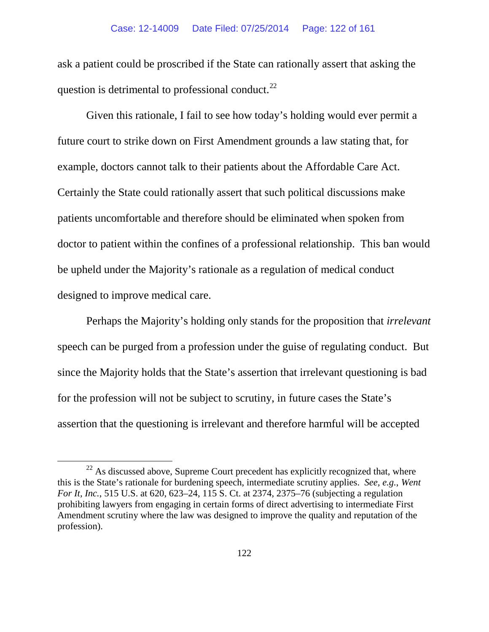ask a patient could be proscribed if the State can rationally assert that asking the question is detrimental to professional conduct.<sup>22</sup>

Given this rationale, I fail to see how today's holding would ever permit a future court to strike down on First Amendment grounds a law stating that, for example, doctors cannot talk to their patients about the Affordable Care Act. Certainly the State could rationally assert that such political discussions make patients uncomfortable and therefore should be eliminated when spoken from doctor to patient within the confines of a professional relationship. This ban would be upheld under the Majority's rationale as a regulation of medical conduct designed to improve medical care.

Perhaps the Majority's holding only stands for the proposition that *irrelevant*  speech can be purged from a profession under the guise of regulating conduct. But since the Majority holds that the State's assertion that irrelevant questioning is bad for the profession will not be subject to scrutiny, in future cases the State's assertion that the questioning is irrelevant and therefore harmful will be accepted

<span id="page-121-0"></span> $22$  As discussed above, Supreme Court precedent has explicitly recognized that, where this is the State's rationale for burdening speech, intermediate scrutiny applies. *See, e.g.*, *Went For It, Inc.*, 515 U.S. at 620, 623–24, 115 S. Ct. at 2374, 2375–76 (subjecting a regulation prohibiting lawyers from engaging in certain forms of direct advertising to intermediate First Amendment scrutiny where the law was designed to improve the quality and reputation of the profession).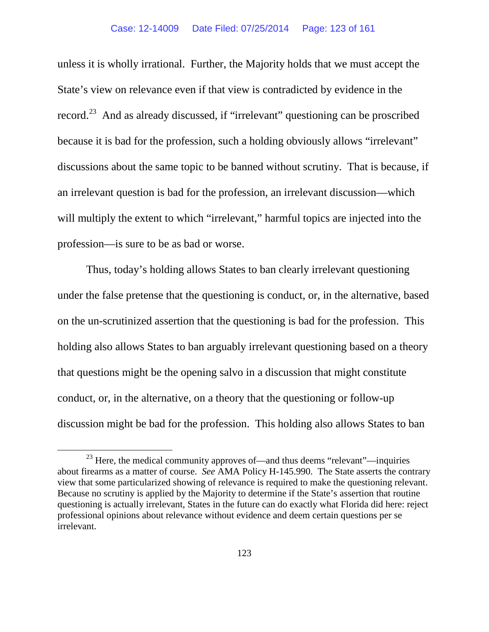### Case: 12-14009 Date Filed: 07/25/2014 Page: 123 of 161

unless it is wholly irrational. Further, the Majority holds that we must accept the State's view on relevance even if that view is contradicted by evidence in the record.[23](#page-122-0) And as already discussed, if "irrelevant" questioning can be proscribed because it is bad for the profession, such a holding obviously allows "irrelevant" discussions about the same topic to be banned without scrutiny. That is because, if an irrelevant question is bad for the profession, an irrelevant discussion—which will multiply the extent to which "irrelevant," harmful topics are injected into the profession—is sure to be as bad or worse.

Thus, today's holding allows States to ban clearly irrelevant questioning under the false pretense that the questioning is conduct, or, in the alternative, based on the un-scrutinized assertion that the questioning is bad for the profession. This holding also allows States to ban arguably irrelevant questioning based on a theory that questions might be the opening salvo in a discussion that might constitute conduct, or, in the alternative, on a theory that the questioning or follow-up discussion might be bad for the profession. This holding also allows States to ban

<span id="page-122-0"></span> $23$  Here, the medical community approves of—and thus deems "relevant"—inquiries about firearms as a matter of course. *See* AMA Policy H-145.990. The State asserts the contrary view that some particularized showing of relevance is required to make the questioning relevant. Because no scrutiny is applied by the Majority to determine if the State's assertion that routine questioning is actually irrelevant, States in the future can do exactly what Florida did here: reject professional opinions about relevance without evidence and deem certain questions per se irrelevant.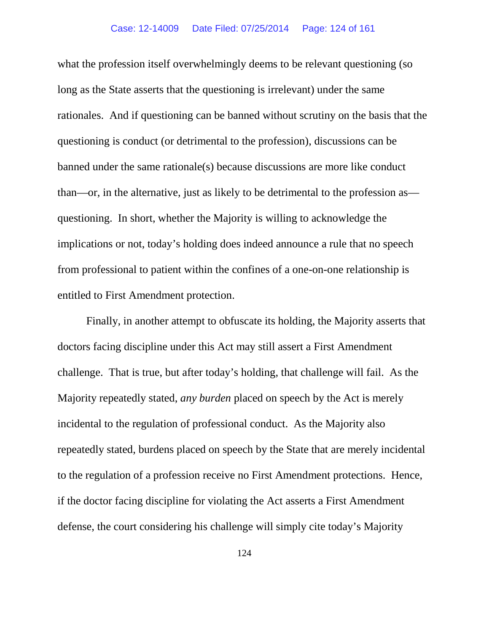what the profession itself overwhelmingly deems to be relevant questioning (so long as the State asserts that the questioning is irrelevant) under the same rationales. And if questioning can be banned without scrutiny on the basis that the questioning is conduct (or detrimental to the profession), discussions can be banned under the same rationale(s) because discussions are more like conduct than—or, in the alternative, just as likely to be detrimental to the profession as questioning. In short, whether the Majority is willing to acknowledge the implications or not, today's holding does indeed announce a rule that no speech from professional to patient within the confines of a one-on-one relationship is entitled to First Amendment protection.

Finally, in another attempt to obfuscate its holding, the Majority asserts that doctors facing discipline under this Act may still assert a First Amendment challenge. That is true, but after today's holding, that challenge will fail. As the Majority repeatedly stated, *any burden* placed on speech by the Act is merely incidental to the regulation of professional conduct. As the Majority also repeatedly stated, burdens placed on speech by the State that are merely incidental to the regulation of a profession receive no First Amendment protections. Hence, if the doctor facing discipline for violating the Act asserts a First Amendment defense, the court considering his challenge will simply cite today's Majority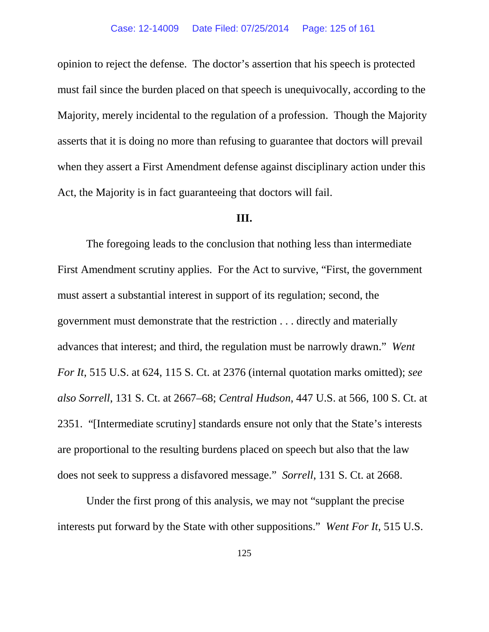opinion to reject the defense. The doctor's assertion that his speech is protected must fail since the burden placed on that speech is unequivocally, according to the Majority, merely incidental to the regulation of a profession. Though the Majority asserts that it is doing no more than refusing to guarantee that doctors will prevail when they assert a First Amendment defense against disciplinary action under this Act, the Majority is in fact guaranteeing that doctors will fail.

## **III.**

The foregoing leads to the conclusion that nothing less than intermediate First Amendment scrutiny applies. For the Act to survive, "First, the government must assert a substantial interest in support of its regulation; second, the government must demonstrate that the restriction . . . directly and materially advances that interest; and third, the regulation must be narrowly drawn." *Went For It*, 515 U.S. at 624, 115 S. Ct. at 2376 (internal quotation marks omitted); *see also Sorrell*, 131 S. Ct. at 2667–68; *Central Hudson*, 447 U.S. at 566, 100 S. Ct. at 2351. "[Intermediate scrutiny] standards ensure not only that the State's interests are proportional to the resulting burdens placed on speech but also that the law does not seek to suppress a disfavored message." *Sorrell*, 131 S. Ct. at 2668.

Under the first prong of this analysis, we may not "supplant the precise interests put forward by the State with other suppositions." *Went For It*, 515 U.S.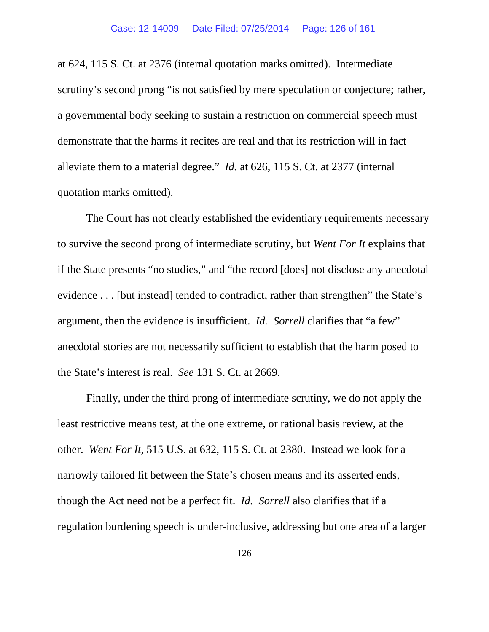at 624, 115 S. Ct. at 2376 (internal quotation marks omitted).Intermediate scrutiny's second prong "is not satisfied by mere speculation or conjecture; rather, a governmental body seeking to sustain a restriction on commercial speech must demonstrate that the harms it recites are real and that its restriction will in fact alleviate them to a material degree." *Id.* at 626, 115 S. Ct. at 2377 (internal quotation marks omitted).

The Court has not clearly established the evidentiary requirements necessary to survive the second prong of intermediate scrutiny, but *Went For It* explains that if the State presents "no studies," and "the record [does] not disclose any anecdotal evidence . . . [but instead] tended to contradict, rather than strengthen" the State's argument, then the evidence is insufficient. *Id. Sorrell* clarifies that "a few" anecdotal stories are not necessarily sufficient to establish that the harm posed to the State's interest is real. *See* 131 S. Ct. at 2669.

Finally, under the third prong of intermediate scrutiny, we do not apply the least restrictive means test, at the one extreme, or rational basis review, at the other. *Went For It*, 515 U.S. at 632, 115 S. Ct. at 2380. Instead we look for a narrowly tailored fit between the State's chosen means and its asserted ends, though the Act need not be a perfect fit. *Id. Sorrell* also clarifies that if a regulation burdening speech is under-inclusive, addressing but one area of a larger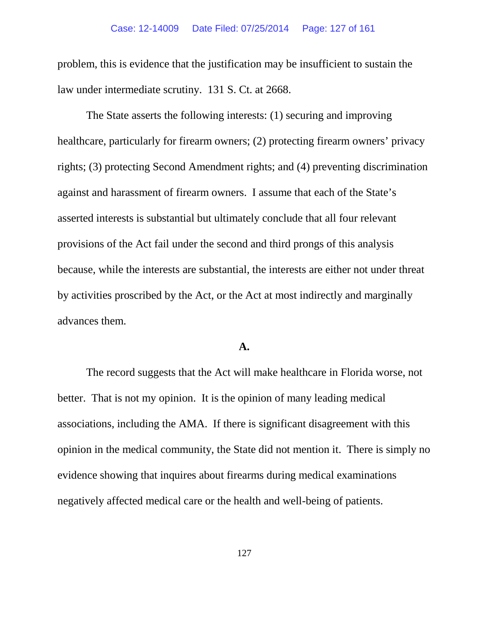problem, this is evidence that the justification may be insufficient to sustain the law under intermediate scrutiny. 131 S. Ct. at 2668.

The State asserts the following interests: (1) securing and improving healthcare, particularly for firearm owners; (2) protecting firearm owners' privacy rights; (3) protecting Second Amendment rights; and (4) preventing discrimination against and harassment of firearm owners. I assume that each of the State's asserted interests is substantial but ultimately conclude that all four relevant provisions of the Act fail under the second and third prongs of this analysis because, while the interests are substantial, the interests are either not under threat by activities proscribed by the Act, or the Act at most indirectly and marginally advances them.

# **A.**

The record suggests that the Act will make healthcare in Florida worse, not better. That is not my opinion. It is the opinion of many leading medical associations, including the AMA. If there is significant disagreement with this opinion in the medical community, the State did not mention it. There is simply no evidence showing that inquires about firearms during medical examinations negatively affected medical care or the health and well-being of patients.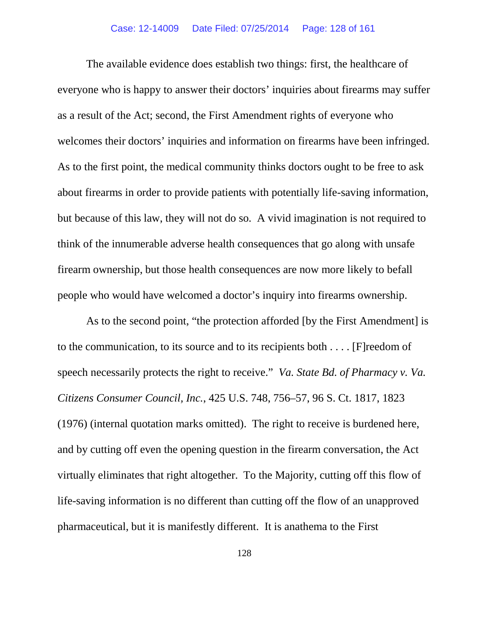### Case: 12-14009 Date Filed: 07/25/2014 Page: 128 of 161

The available evidence does establish two things: first, the healthcare of everyone who is happy to answer their doctors' inquiries about firearms may suffer as a result of the Act; second, the First Amendment rights of everyone who welcomes their doctors' inquiries and information on firearms have been infringed. As to the first point, the medical community thinks doctors ought to be free to ask about firearms in order to provide patients with potentially life-saving information, but because of this law, they will not do so. A vivid imagination is not required to think of the innumerable adverse health consequences that go along with unsafe firearm ownership, but those health consequences are now more likely to befall people who would have welcomed a doctor's inquiry into firearms ownership.

As to the second point, "the protection afforded [by the First Amendment] is to the communication, to its source and to its recipients both . . . . [F]reedom of speech necessarily protects the right to receive." *Va. State Bd. of Pharmacy v. Va. Citizens Consumer Council, Inc.*, 425 U.S. 748, 756–57, 96 S. Ct. 1817, 1823 (1976) (internal quotation marks omitted). The right to receive is burdened here, and by cutting off even the opening question in the firearm conversation, the Act virtually eliminates that right altogether. To the Majority, cutting off this flow of life-saving information is no different than cutting off the flow of an unapproved pharmaceutical, but it is manifestly different. It is anathema to the First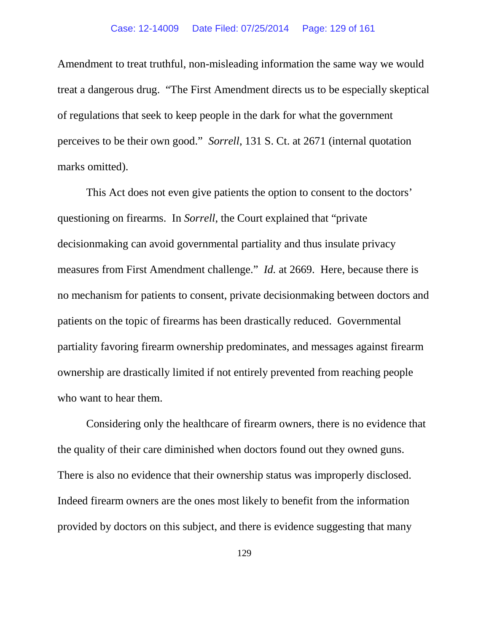## Case: 12-14009 Date Filed: 07/25/2014 Page: 129 of 161

Amendment to treat truthful, non-misleading information the same way we would treat a dangerous drug. "The First Amendment directs us to be especially skeptical of regulations that seek to keep people in the dark for what the government perceives to be their own good." *Sorrell*, 131 S. Ct. at 2671 (internal quotation marks omitted).

This Act does not even give patients the option to consent to the doctors' questioning on firearms. In *Sorrell*, the Court explained that "private decisionmaking can avoid governmental partiality and thus insulate privacy measures from First Amendment challenge." *Id.* at 2669. Here, because there is no mechanism for patients to consent, private decisionmaking between doctors and patients on the topic of firearms has been drastically reduced. Governmental partiality favoring firearm ownership predominates, and messages against firearm ownership are drastically limited if not entirely prevented from reaching people who want to hear them.

Considering only the healthcare of firearm owners, there is no evidence that the quality of their care diminished when doctors found out they owned guns. There is also no evidence that their ownership status was improperly disclosed. Indeed firearm owners are the ones most likely to benefit from the information provided by doctors on this subject, and there is evidence suggesting that many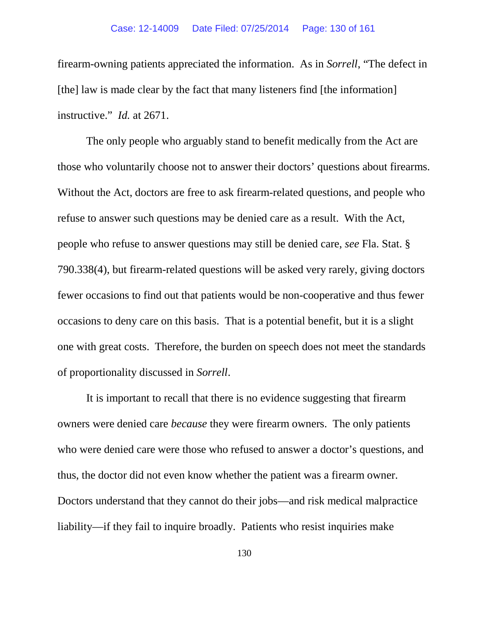firearm-owning patients appreciated the information. As in *Sorrell*, "The defect in [the] law is made clear by the fact that many listeners find [the information] instructive." *Id.* at 2671.

The only people who arguably stand to benefit medically from the Act are those who voluntarily choose not to answer their doctors' questions about firearms. Without the Act, doctors are free to ask firearm-related questions, and people who refuse to answer such questions may be denied care as a result. With the Act, people who refuse to answer questions may still be denied care, *see* Fla. Stat. § 790.338(4), but firearm-related questions will be asked very rarely, giving doctors fewer occasions to find out that patients would be non-cooperative and thus fewer occasions to deny care on this basis. That is a potential benefit, but it is a slight one with great costs. Therefore, the burden on speech does not meet the standards of proportionality discussed in *Sorrell*.

It is important to recall that there is no evidence suggesting that firearm owners were denied care *because* they were firearm owners. The only patients who were denied care were those who refused to answer a doctor's questions, and thus, the doctor did not even know whether the patient was a firearm owner. Doctors understand that they cannot do their jobs—and risk medical malpractice liability—if they fail to inquire broadly. Patients who resist inquiries make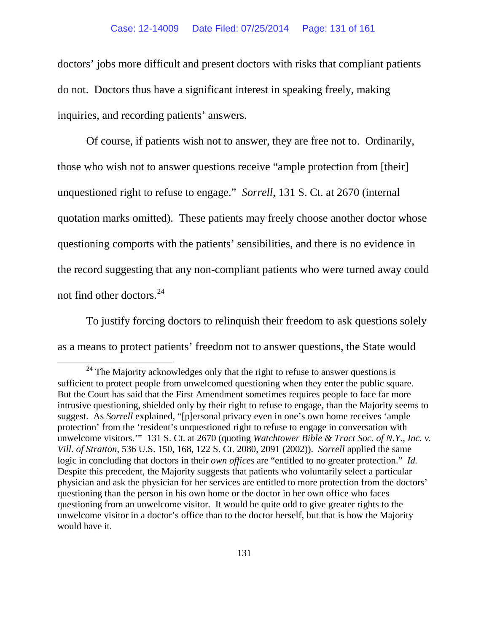doctors' jobs more difficult and present doctors with risks that compliant patients do not. Doctors thus have a significant interest in speaking freely, making inquiries, and recording patients' answers.

Of course, if patients wish not to answer, they are free not to. Ordinarily, those who wish not to answer questions receive "ample protection from [their] unquestioned right to refuse to engage." *Sorrell*, 131 S. Ct. at 2670 (internal quotation marks omitted). These patients may freely choose another doctor whose questioning comports with the patients' sensibilities, and there is no evidence in the record suggesting that any non-compliant patients who were turned away could not find other doctors.[24](#page-130-0)

To justify forcing doctors to relinquish their freedom to ask questions solely as a means to protect patients' freedom not to answer questions, the State would

<span id="page-130-0"></span> $24$  The Majority acknowledges only that the right to refuse to answer questions is sufficient to protect people from unwelcomed questioning when they enter the public square. But the Court has said that the First Amendment sometimes requires people to face far more intrusive questioning, shielded only by their right to refuse to engage, than the Majority seems to suggest. As *Sorrell* explained, "[p]ersonal privacy even in one's own home receives 'ample protection' from the 'resident's unquestioned right to refuse to engage in conversation with unwelcome visitors.'" 131 S. Ct. at 2670 (quoting *Watchtower Bible & Tract Soc. of N.Y., Inc. v. Vill. of Stratton*, 536 U.S. 150, 168, 122 S. Ct. 2080, 2091 (2002)). *Sorrell* applied the same logic in concluding that doctors in their *own offices* are "entitled to no greater protection." *Id.* Despite this precedent, the Majority suggests that patients who voluntarily select a particular physician and ask the physician for her services are entitled to more protection from the doctors' questioning than the person in his own home or the doctor in her own office who faces questioning from an unwelcome visitor. It would be quite odd to give greater rights to the unwelcome visitor in a doctor's office than to the doctor herself, but that is how the Majority would have it.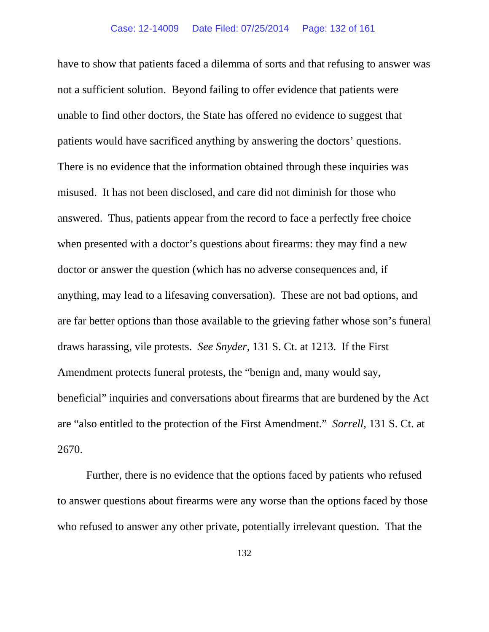have to show that patients faced a dilemma of sorts and that refusing to answer was not a sufficient solution. Beyond failing to offer evidence that patients were unable to find other doctors, the State has offered no evidence to suggest that patients would have sacrificed anything by answering the doctors' questions. There is no evidence that the information obtained through these inquiries was misused. It has not been disclosed, and care did not diminish for those who answered. Thus, patients appear from the record to face a perfectly free choice when presented with a doctor's questions about firearms: they may find a new doctor or answer the question (which has no adverse consequences and, if anything, may lead to a lifesaving conversation). These are not bad options, and are far better options than those available to the grieving father whose son's funeral draws harassing, vile protests. *See Snyder*, 131 S. Ct. at 1213.If the First Amendment protects funeral protests, the "benign and, many would say, beneficial" inquiries and conversations about firearms that are burdened by the Act are "also entitled to the protection of the First Amendment." *Sorrell*, 131 S. Ct. at 2670.

Further, there is no evidence that the options faced by patients who refused to answer questions about firearms were any worse than the options faced by those who refused to answer any other private, potentially irrelevant question. That the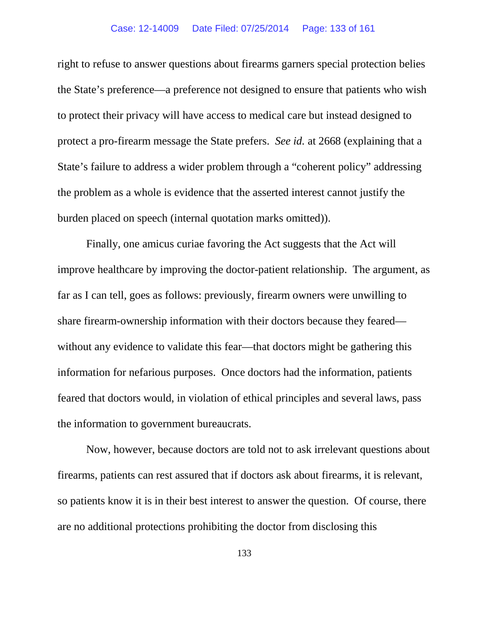### Case: 12-14009 Date Filed: 07/25/2014 Page: 133 of 161

right to refuse to answer questions about firearms garners special protection belies the State's preference—a preference not designed to ensure that patients who wish to protect their privacy will have access to medical care but instead designed to protect a pro-firearm message the State prefers. *See id.* at 2668 (explaining that a State's failure to address a wider problem through a "coherent policy" addressing the problem as a whole is evidence that the asserted interest cannot justify the burden placed on speech (internal quotation marks omitted)).

Finally, one amicus curiae favoring the Act suggests that the Act will improve healthcare by improving the doctor-patient relationship. The argument, as far as I can tell, goes as follows: previously, firearm owners were unwilling to share firearm-ownership information with their doctors because they feared without any evidence to validate this fear—that doctors might be gathering this information for nefarious purposes. Once doctors had the information, patients feared that doctors would, in violation of ethical principles and several laws, pass the information to government bureaucrats.

Now, however, because doctors are told not to ask irrelevant questions about firearms, patients can rest assured that if doctors ask about firearms, it is relevant, so patients know it is in their best interest to answer the question. Of course, there are no additional protections prohibiting the doctor from disclosing this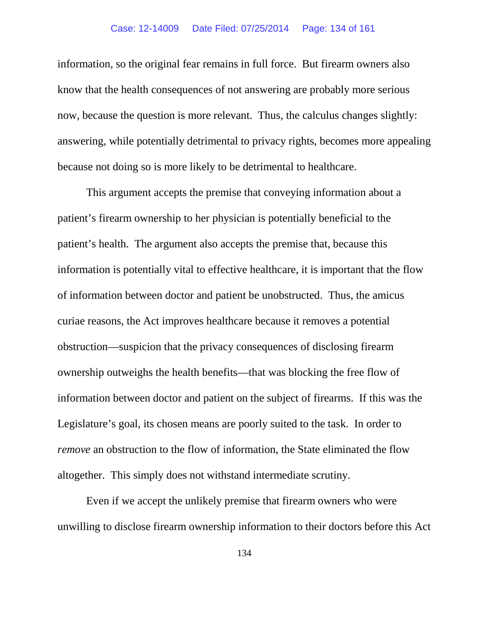information, so the original fear remains in full force. But firearm owners also know that the health consequences of not answering are probably more serious now, because the question is more relevant. Thus, the calculus changes slightly: answering, while potentially detrimental to privacy rights, becomes more appealing because not doing so is more likely to be detrimental to healthcare.

This argument accepts the premise that conveying information about a patient's firearm ownership to her physician is potentially beneficial to the patient's health. The argument also accepts the premise that, because this information is potentially vital to effective healthcare, it is important that the flow of information between doctor and patient be unobstructed. Thus, the amicus curiae reasons, the Act improves healthcare because it removes a potential obstruction—suspicion that the privacy consequences of disclosing firearm ownership outweighs the health benefits—that was blocking the free flow of information between doctor and patient on the subject of firearms. If this was the Legislature's goal, its chosen means are poorly suited to the task. In order to *remove* an obstruction to the flow of information, the State eliminated the flow altogether. This simply does not withstand intermediate scrutiny.

Even if we accept the unlikely premise that firearm owners who were unwilling to disclose firearm ownership information to their doctors before this Act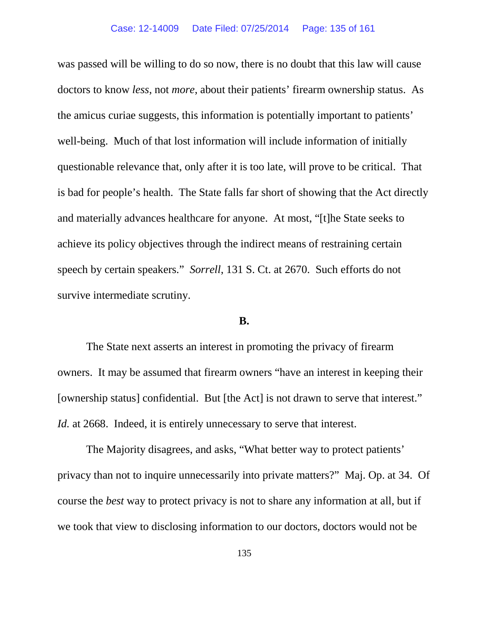#### Case: 12-14009 Date Filed: 07/25/2014 Page: 135 of 161

was passed will be willing to do so now, there is no doubt that this law will cause doctors to know *less*, not *more*, about their patients' firearm ownership status. As the amicus curiae suggests, this information is potentially important to patients' well-being. Much of that lost information will include information of initially questionable relevance that, only after it is too late, will prove to be critical. That is bad for people's health. The State falls far short of showing that the Act directly and materially advances healthcare for anyone. At most, "[t]he State seeks to achieve its policy objectives through the indirect means of restraining certain speech by certain speakers." *Sorrell*, 131 S. Ct. at 2670. Such efforts do not survive intermediate scrutiny.

# **B.**

The State next asserts an interest in promoting the privacy of firearm owners. It may be assumed that firearm owners "have an interest in keeping their [ownership status] confidential. But [the Act] is not drawn to serve that interest." *Id.* at 2668. Indeed, it is entirely unnecessary to serve that interest.

The Majority disagrees, and asks, "What better way to protect patients' privacy than not to inquire unnecessarily into private matters?" Maj. Op. at 34. Of course the *best* way to protect privacy is not to share any information at all, but if we took that view to disclosing information to our doctors, doctors would not be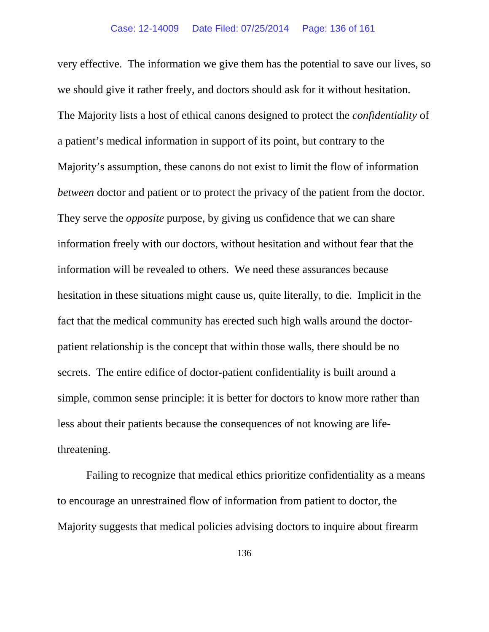very effective. The information we give them has the potential to save our lives, so we should give it rather freely, and doctors should ask for it without hesitation. The Majority lists a host of ethical canons designed to protect the *confidentiality* of a patient's medical information in support of its point, but contrary to the Majority's assumption, these canons do not exist to limit the flow of information *between* doctor and patient or to protect the privacy of the patient from the doctor. They serve the *opposite* purpose, by giving us confidence that we can share information freely with our doctors, without hesitation and without fear that the information will be revealed to others. We need these assurances because hesitation in these situations might cause us, quite literally, to die. Implicit in the fact that the medical community has erected such high walls around the doctorpatient relationship is the concept that within those walls, there should be no secrets. The entire edifice of doctor-patient confidentiality is built around a simple, common sense principle: it is better for doctors to know more rather than less about their patients because the consequences of not knowing are lifethreatening.

Failing to recognize that medical ethics prioritize confidentiality as a means to encourage an unrestrained flow of information from patient to doctor, the Majority suggests that medical policies advising doctors to inquire about firearm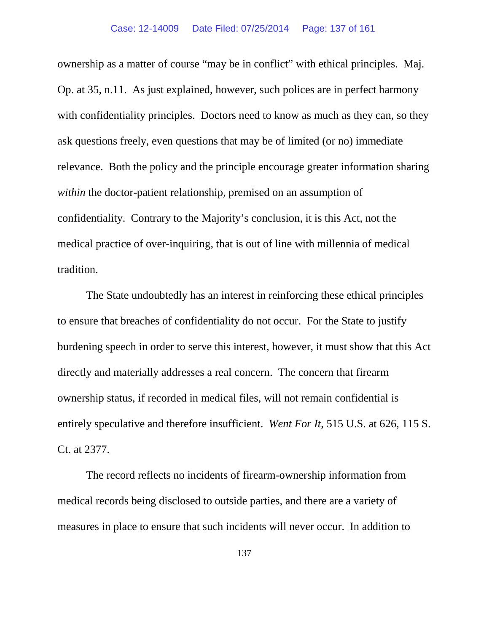ownership as a matter of course "may be in conflict" with ethical principles. Maj. Op. at 35, n.11. As just explained, however, such polices are in perfect harmony with confidentiality principles. Doctors need to know as much as they can, so they ask questions freely, even questions that may be of limited (or no) immediate relevance. Both the policy and the principle encourage greater information sharing *within* the doctor-patient relationship, premised on an assumption of confidentiality. Contrary to the Majority's conclusion, it is this Act, not the medical practice of over-inquiring, that is out of line with millennia of medical tradition.

The State undoubtedly has an interest in reinforcing these ethical principles to ensure that breaches of confidentiality do not occur. For the State to justify burdening speech in order to serve this interest, however, it must show that this Act directly and materially addresses a real concern. The concern that firearm ownership status, if recorded in medical files, will not remain confidential is entirely speculative and therefore insufficient. *Went For It*, 515 U.S. at 626, 115 S. Ct. at 2377.

The record reflects no incidents of firearm-ownership information from medical records being disclosed to outside parties, and there are a variety of measures in place to ensure that such incidents will never occur. In addition to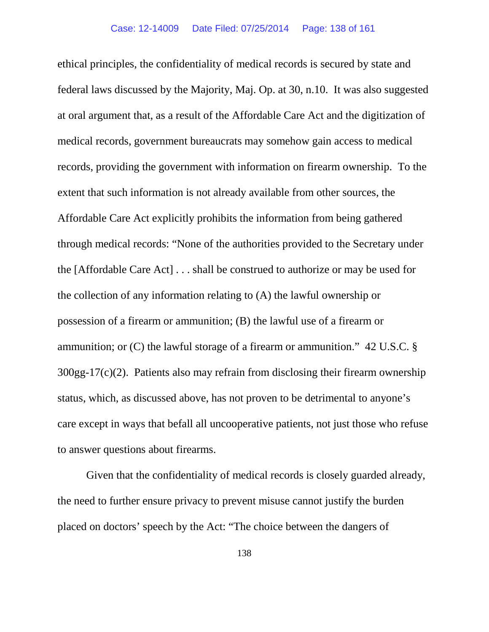ethical principles, the confidentiality of medical records is secured by state and federal laws discussed by the Majority, Maj. Op. at 30, n.10. It was also suggested at oral argument that, as a result of the Affordable Care Act and the digitization of medical records, government bureaucrats may somehow gain access to medical records, providing the government with information on firearm ownership. To the extent that such information is not already available from other sources, the Affordable Care Act explicitly prohibits the information from being gathered through medical records: "None of the authorities provided to the Secretary under the [Affordable Care Act] . . . shall be construed to authorize or may be used for the collection of any information relating to (A) the lawful ownership or possession of a firearm or ammunition; (B) the lawful use of a firearm or ammunition; or (C) the lawful storage of a firearm or ammunition." 42 U.S.C. § 300gg-17(c)(2). Patients also may refrain from disclosing their firearm ownership status, which, as discussed above, has not proven to be detrimental to anyone's care except in ways that befall all uncooperative patients, not just those who refuse to answer questions about firearms.

Given that the confidentiality of medical records is closely guarded already, the need to further ensure privacy to prevent misuse cannot justify the burden placed on doctors' speech by the Act: "The choice between the dangers of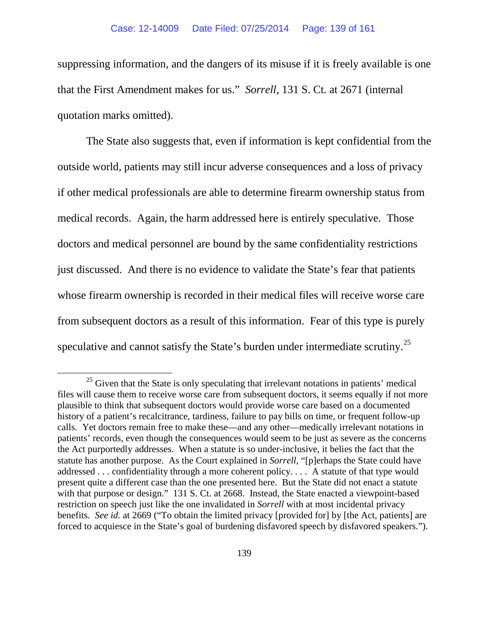suppressing information, and the dangers of its misuse if it is freely available is one that the First Amendment makes for us." *Sorrell*, 131 S. Ct*.* at 2671 (internal quotation marks omitted).

The State also suggests that, even if information is kept confidential from the outside world, patients may still incur adverse consequences and a loss of privacy if other medical professionals are able to determine firearm ownership status from medical records. Again, the harm addressed here is entirely speculative. Those doctors and medical personnel are bound by the same confidentiality restrictions just discussed. And there is no evidence to validate the State's fear that patients whose firearm ownership is recorded in their medical files will receive worse care from subsequent doctors as a result of this information. Fear of this type is purely speculative and cannot satisfy the State's burden under intermediate scrutiny.<sup>25</sup>

<span id="page-138-0"></span> $25$  Given that the State is only speculating that irrelevant notations in patients' medical files will cause them to receive worse care from subsequent doctors, it seems equally if not more plausible to think that subsequent doctors would provide worse care based on a documented history of a patient's recalcitrance, tardiness, failure to pay bills on time, or frequent follow-up calls. Yet doctors remain free to make these—and any other—medically irrelevant notations in patients' records, even though the consequences would seem to be just as severe as the concerns the Act purportedly addresses. When a statute is so under-inclusive, it belies the fact that the statute has another purpose. As the Court explained in *Sorrell*, "[p]erhaps the State could have addressed . . . confidentiality through a more coherent policy. . . . A statute of that type would present quite a different case than the one presented here. But the State did not enact a statute with that purpose or design." 131 S. Ct. at 2668. Instead, the State enacted a viewpoint-based restriction on speech just like the one invalidated in *Sorrell* with at most incidental privacy benefits. *See id.* at 2669 ("To obtain the limited privacy [provided for] by [the Act, patients] are forced to acquiesce in the State's goal of burdening disfavored speech by disfavored speakers.").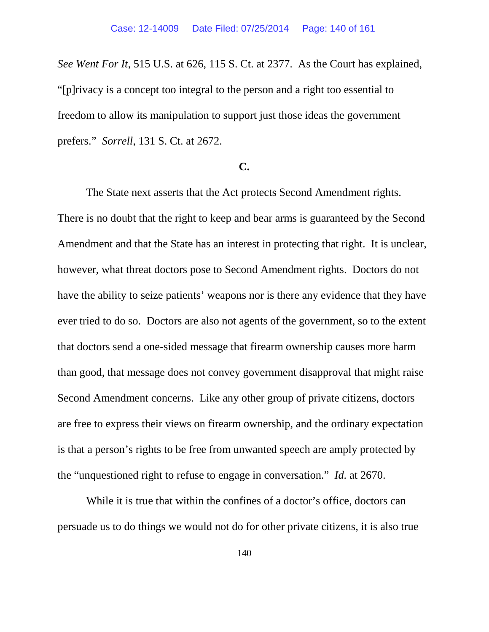*See Went For It*, 515 U.S. at 626, 115 S. Ct. at 2377. As the Court has explained, "[p]rivacy is a concept too integral to the person and a right too essential to freedom to allow its manipulation to support just those ideas the government prefers." *Sorrell*, 131 S. Ct. at 2672.

# **C.**

The State next asserts that the Act protects Second Amendment rights. There is no doubt that the right to keep and bear arms is guaranteed by the Second Amendment and that the State has an interest in protecting that right. It is unclear, however, what threat doctors pose to Second Amendment rights. Doctors do not have the ability to seize patients' weapons nor is there any evidence that they have ever tried to do so. Doctors are also not agents of the government, so to the extent that doctors send a one-sided message that firearm ownership causes more harm than good, that message does not convey government disapproval that might raise Second Amendment concerns. Like any other group of private citizens, doctors are free to express their views on firearm ownership, and the ordinary expectation is that a person's rights to be free from unwanted speech are amply protected by the "unquestioned right to refuse to engage in conversation." *Id.* at 2670.

While it is true that within the confines of a doctor's office, doctors can persuade us to do things we would not do for other private citizens, it is also true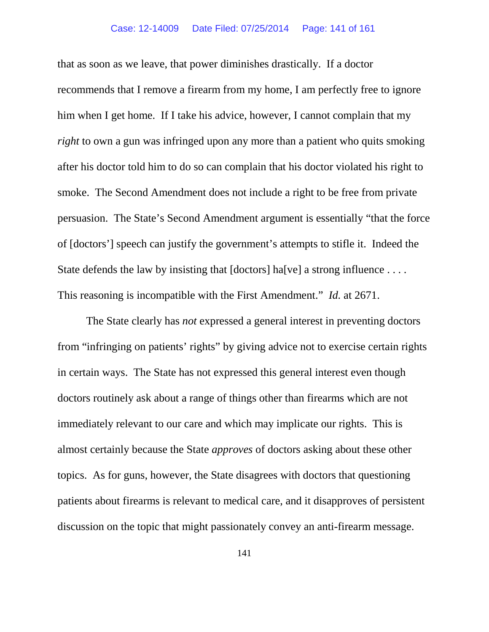that as soon as we leave, that power diminishes drastically. If a doctor recommends that I remove a firearm from my home, I am perfectly free to ignore him when I get home. If I take his advice, however, I cannot complain that my *right* to own a gun was infringed upon any more than a patient who quits smoking after his doctor told him to do so can complain that his doctor violated his right to smoke. The Second Amendment does not include a right to be free from private persuasion. The State's Second Amendment argument is essentially "that the force of [doctors'] speech can justify the government's attempts to stifle it. Indeed the State defends the law by insisting that  $[doctors]$  ha $[ve]$  a strong influence ... This reasoning is incompatible with the First Amendment." *Id.* at 2671.

The State clearly has *not* expressed a general interest in preventing doctors from "infringing on patients' rights" by giving advice not to exercise certain rights in certain ways. The State has not expressed this general interest even though doctors routinely ask about a range of things other than firearms which are not immediately relevant to our care and which may implicate our rights. This is almost certainly because the State *approves* of doctors asking about these other topics. As for guns, however, the State disagrees with doctors that questioning patients about firearms is relevant to medical care, and it disapproves of persistent discussion on the topic that might passionately convey an anti-firearm message.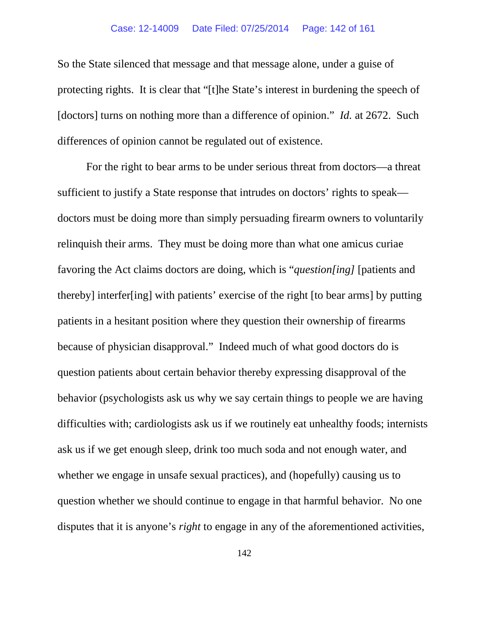### Case: 12-14009 Date Filed: 07/25/2014 Page: 142 of 161

So the State silenced that message and that message alone, under a guise of protecting rights. It is clear that "[t]he State's interest in burdening the speech of [doctors] turns on nothing more than a difference of opinion." *Id.* at 2672. Such differences of opinion cannot be regulated out of existence.

For the right to bear arms to be under serious threat from doctors—a threat sufficient to justify a State response that intrudes on doctors' rights to speak doctors must be doing more than simply persuading firearm owners to voluntarily relinquish their arms. They must be doing more than what one amicus curiae favoring the Act claims doctors are doing, which is "*question[ing]* [patients and thereby] interfer[ing] with patients' exercise of the right [to bear arms] by putting patients in a hesitant position where they question their ownership of firearms because of physician disapproval." Indeed much of what good doctors do is question patients about certain behavior thereby expressing disapproval of the behavior (psychologists ask us why we say certain things to people we are having difficulties with; cardiologists ask us if we routinely eat unhealthy foods; internists ask us if we get enough sleep, drink too much soda and not enough water, and whether we engage in unsafe sexual practices), and (hopefully) causing us to question whether we should continue to engage in that harmful behavior. No one disputes that it is anyone's *right* to engage in any of the aforementioned activities,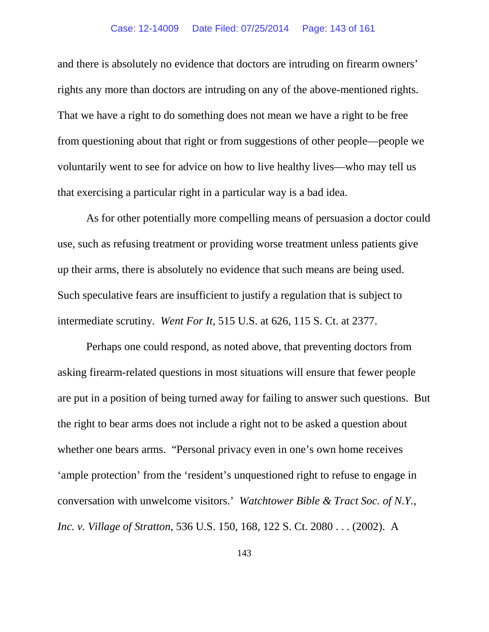### Case: 12-14009 Date Filed: 07/25/2014 Page: 143 of 161

and there is absolutely no evidence that doctors are intruding on firearm owners' rights any more than doctors are intruding on any of the above-mentioned rights. That we have a right to do something does not mean we have a right to be free from questioning about that right or from suggestions of other people—people we voluntarily went to see for advice on how to live healthy lives—who may tell us that exercising a particular right in a particular way is a bad idea.

As for other potentially more compelling means of persuasion a doctor could use, such as refusing treatment or providing worse treatment unless patients give up their arms, there is absolutely no evidence that such means are being used. Such speculative fears are insufficient to justify a regulation that is subject to intermediate scrutiny. *Went For It*, 515 U.S. at 626, 115 S. Ct. at 2377.

Perhaps one could respond, as noted above, that preventing doctors from asking firearm-related questions in most situations will ensure that fewer people are put in a position of being turned away for failing to answer such questions. But the right to bear arms does not include a right not to be asked a question about whether one bears arms. "Personal privacy even in one's own home receives 'ample protection' from the 'resident's unquestioned right to refuse to engage in conversation with unwelcome visitors.' *Watchtower Bible & Tract Soc. of N.Y., Inc. v. Village of Stratton*, 536 U.S. 150, 168, 122 S. Ct. 2080 . . . (2002). A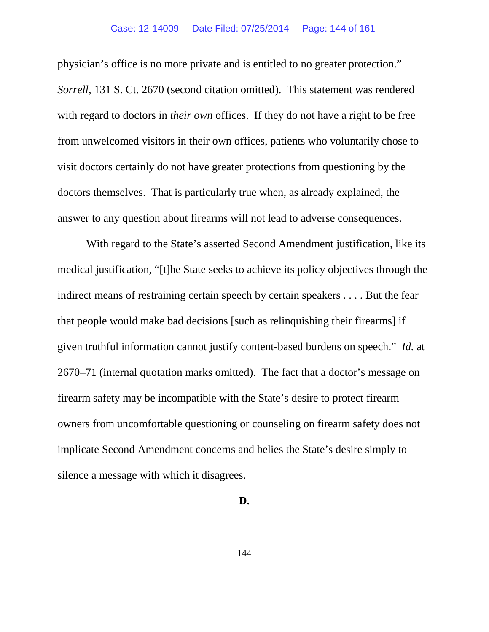### Case: 12-14009 Date Filed: 07/25/2014 Page: 144 of 161

physician's office is no more private and is entitled to no greater protection." *Sorrell*, 131 S. Ct. 2670 (second citation omitted). This statement was rendered with regard to doctors in *their own* offices. If they do not have a right to be free from unwelcomed visitors in their own offices, patients who voluntarily chose to visit doctors certainly do not have greater protections from questioning by the doctors themselves. That is particularly true when, as already explained, the answer to any question about firearms will not lead to adverse consequences.

With regard to the State's asserted Second Amendment justification, like its medical justification, "[t]he State seeks to achieve its policy objectives through the indirect means of restraining certain speech by certain speakers . . . . But the fear that people would make bad decisions [such as relinquishing their firearms] if given truthful information cannot justify content-based burdens on speech." *Id.* at 2670–71 (internal quotation marks omitted). The fact that a doctor's message on firearm safety may be incompatible with the State's desire to protect firearm owners from uncomfortable questioning or counseling on firearm safety does not implicate Second Amendment concerns and belies the State's desire simply to silence a message with which it disagrees.

# **D.**

144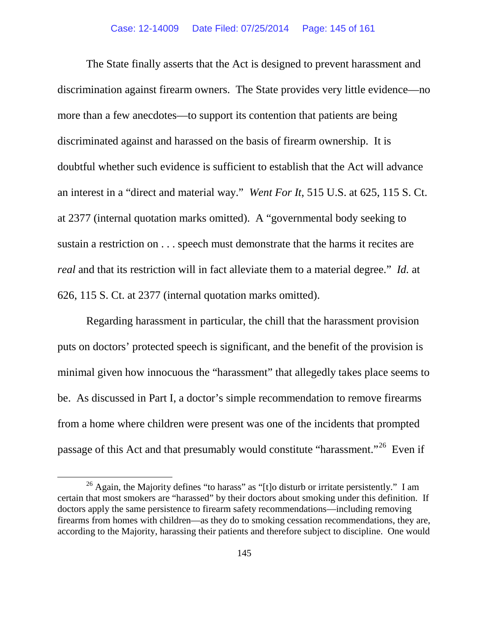The State finally asserts that the Act is designed to prevent harassment and discrimination against firearm owners. The State provides very little evidence—no more than a few anecdotes—to support its contention that patients are being discriminated against and harassed on the basis of firearm ownership. It is doubtful whether such evidence is sufficient to establish that the Act will advance an interest in a "direct and material way." *Went For It*, 515 U.S. at 625, 115 S. Ct. at 2377 (internal quotation marks omitted). A "governmental body seeking to sustain a restriction on . . . speech must demonstrate that the harms it recites are *real* and that its restriction will in fact alleviate them to a material degree." *Id.* at 626, 115 S. Ct. at 2377 (internal quotation marks omitted).

Regarding harassment in particular, the chill that the harassment provision puts on doctors' protected speech is significant, and the benefit of the provision is minimal given how innocuous the "harassment" that allegedly takes place seems to be. As discussed in Part I, a doctor's simple recommendation to remove firearms from a home where children were present was one of the incidents that prompted passage of this Act and that presumably would constitute "harassment."<sup>26</sup> Even if

<span id="page-144-0"></span> $26$  Again, the Majority defines "to harass" as "[t]o disturb or irritate persistently." I am certain that most smokers are "harassed" by their doctors about smoking under this definition. If doctors apply the same persistence to firearm safety recommendations—including removing firearms from homes with children—as they do to smoking cessation recommendations, they are, according to the Majority, harassing their patients and therefore subject to discipline. One would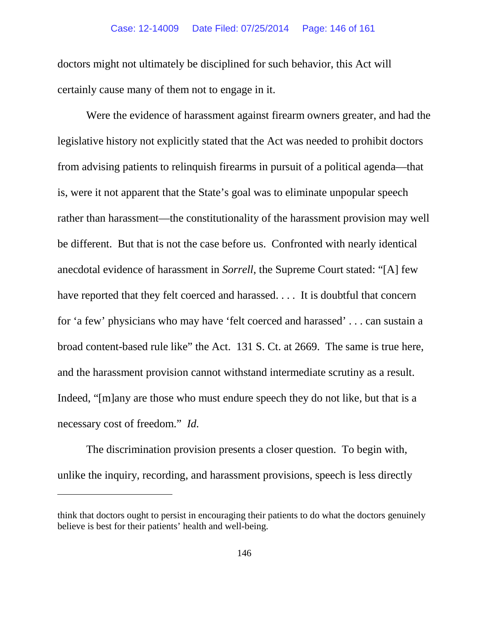doctors might not ultimately be disciplined for such behavior, this Act will certainly cause many of them not to engage in it.

Were the evidence of harassment against firearm owners greater, and had the legislative history not explicitly stated that the Act was needed to prohibit doctors from advising patients to relinquish firearms in pursuit of a political agenda—that is, were it not apparent that the State's goal was to eliminate unpopular speech rather than harassment—the constitutionality of the harassment provision may well be different. But that is not the case before us. Confronted with nearly identical anecdotal evidence of harassment in *Sorrell*, the Supreme Court stated: "[A] few have reported that they felt coerced and harassed. . . . It is doubtful that concern for 'a few' physicians who may have 'felt coerced and harassed' . . . can sustain a broad content-based rule like" the Act. 131 S. Ct. at 2669. The same is true here, and the harassment provision cannot withstand intermediate scrutiny as a result. Indeed, "[m]any are those who must endure speech they do not like, but that is a necessary cost of freedom." *Id.* 

The discrimination provision presents a closer question. To begin with, unlike the inquiry, recording, and harassment provisions, speech is less directly

 $\overline{a}$ 

think that doctors ought to persist in encouraging their patients to do what the doctors genuinely believe is best for their patients' health and well-being.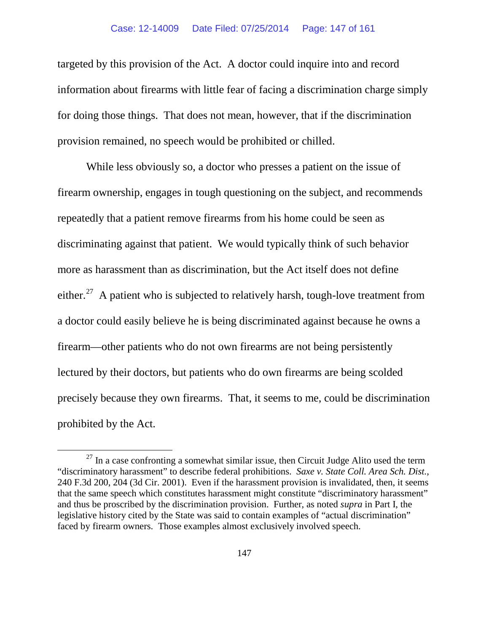targeted by this provision of the Act. A doctor could inquire into and record information about firearms with little fear of facing a discrimination charge simply for doing those things. That does not mean, however, that if the discrimination provision remained, no speech would be prohibited or chilled.

While less obviously so, a doctor who presses a patient on the issue of firearm ownership, engages in tough questioning on the subject, and recommends repeatedly that a patient remove firearms from his home could be seen as discriminating against that patient. We would typically think of such behavior more as harassment than as discrimination, but the Act itself does not define either.<sup>[27](#page-146-0)</sup> A patient who is subjected to relatively harsh, tough-love treatment from a doctor could easily believe he is being discriminated against because he owns a firearm—other patients who do not own firearms are not being persistently lectured by their doctors, but patients who do own firearms are being scolded precisely because they own firearms. That, it seems to me, could be discrimination prohibited by the Act.

<span id="page-146-0"></span> $27$  In a case confronting a somewhat similar issue, then Circuit Judge Alito used the term "discriminatory harassment" to describe federal prohibitions. *Saxe v. State Coll. Area Sch. Dist.*, 240 F.3d 200, 204 (3d Cir. 2001). Even if the harassment provision is invalidated, then, it seems that the same speech which constitutes harassment might constitute "discriminatory harassment" and thus be proscribed by the discrimination provision. Further, as noted *supra* in Part I, the legislative history cited by the State was said to contain examples of "actual discrimination" faced by firearm owners. Those examples almost exclusively involved speech.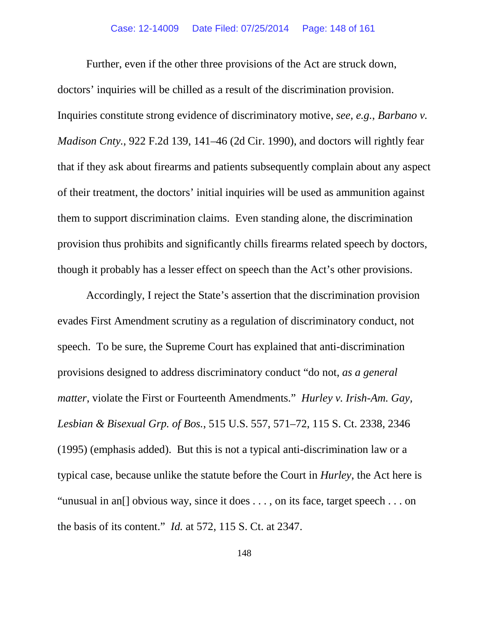# Case: 12-14009 Date Filed: 07/25/2014 Page: 148 of 161

Further, even if the other three provisions of the Act are struck down, doctors' inquiries will be chilled as a result of the discrimination provision. Inquiries constitute strong evidence of discriminatory motive, *see, e.g.*, *Barbano v. Madison Cnty.*, 922 F.2d 139, 141–46 (2d Cir. 1990), and doctors will rightly fear that if they ask about firearms and patients subsequently complain about any aspect of their treatment, the doctors' initial inquiries will be used as ammunition against them to support discrimination claims. Even standing alone, the discrimination provision thus prohibits and significantly chills firearms related speech by doctors, though it probably has a lesser effect on speech than the Act's other provisions.

Accordingly, I reject the State's assertion that the discrimination provision evades First Amendment scrutiny as a regulation of discriminatory conduct, not speech. To be sure, the Supreme Court has explained that anti-discrimination provisions designed to address discriminatory conduct "do not, *as a general matter*, violate the First or Fourteenth Amendments." *Hurley v. Irish-Am. Gay, Lesbian & Bisexual Grp. of Bos.*, 515 U.S. 557, 571–72, 115 S. Ct. 2338, 2346 (1995) (emphasis added). But this is not a typical anti-discrimination law or a typical case, because unlike the statute before the Court in *Hurley*, the Act here is "unusual in an[] obvious way, since it does . . . , on its face, target speech . . . on the basis of its content." *Id.* at 572, 115 S. Ct. at 2347.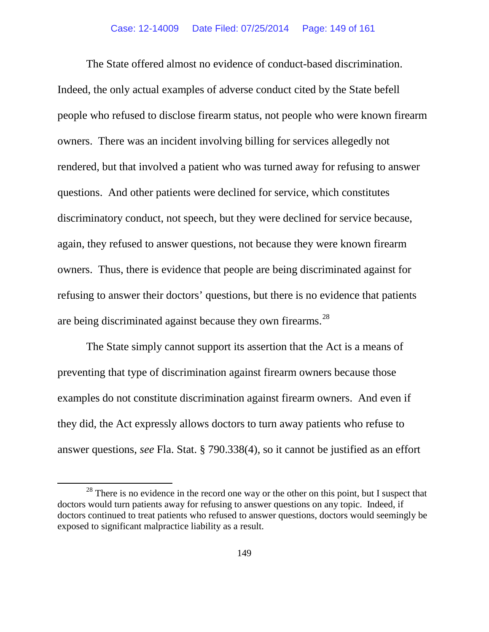The State offered almost no evidence of conduct-based discrimination. Indeed, the only actual examples of adverse conduct cited by the State befell people who refused to disclose firearm status, not people who were known firearm owners. There was an incident involving billing for services allegedly not rendered, but that involved a patient who was turned away for refusing to answer questions. And other patients were declined for service, which constitutes discriminatory conduct, not speech, but they were declined for service because, again, they refused to answer questions, not because they were known firearm owners. Thus, there is evidence that people are being discriminated against for refusing to answer their doctors' questions, but there is no evidence that patients are being discriminated against because they own firearms.<sup>28</sup>

The State simply cannot support its assertion that the Act is a means of preventing that type of discrimination against firearm owners because those examples do not constitute discrimination against firearm owners. And even if they did, the Act expressly allows doctors to turn away patients who refuse to answer questions, *see* Fla. Stat. § 790.338(4), so it cannot be justified as an effort

<span id="page-148-0"></span> $28$  There is no evidence in the record one way or the other on this point, but I suspect that doctors would turn patients away for refusing to answer questions on any topic. Indeed, if doctors continued to treat patients who refused to answer questions, doctors would seemingly be exposed to significant malpractice liability as a result.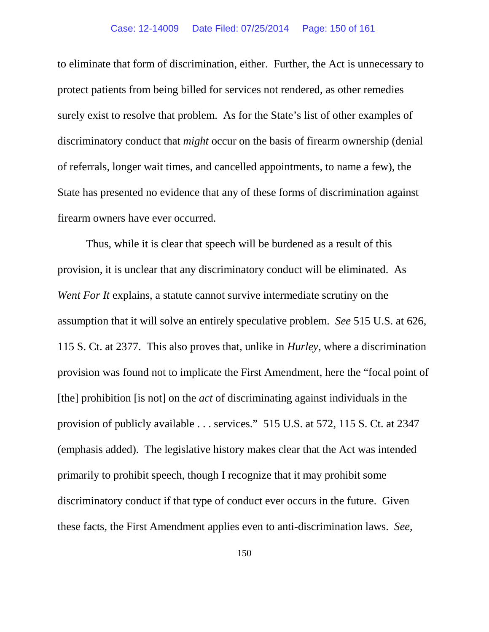# Case: 12-14009 Date Filed: 07/25/2014 Page: 150 of 161

to eliminate that form of discrimination, either. Further, the Act is unnecessary to protect patients from being billed for services not rendered, as other remedies surely exist to resolve that problem. As for the State's list of other examples of discriminatory conduct that *might* occur on the basis of firearm ownership (denial of referrals, longer wait times, and cancelled appointments, to name a few), the State has presented no evidence that any of these forms of discrimination against firearm owners have ever occurred.

Thus, while it is clear that speech will be burdened as a result of this provision, it is unclear that any discriminatory conduct will be eliminated. As *Went For It* explains, a statute cannot survive intermediate scrutiny on the assumption that it will solve an entirely speculative problem. *See* 515 U.S. at 626, 115 S. Ct. at 2377. This also proves that, unlike in *Hurley*, where a discrimination provision was found not to implicate the First Amendment, here the "focal point of [the] prohibition [is not] on the *act* of discriminating against individuals in the provision of publicly available . . . services." 515 U.S. at 572, 115 S. Ct. at 2347 (emphasis added). The legislative history makes clear that the Act was intended primarily to prohibit speech, though I recognize that it may prohibit some discriminatory conduct if that type of conduct ever occurs in the future. Given these facts, the First Amendment applies even to anti-discrimination laws. *See,*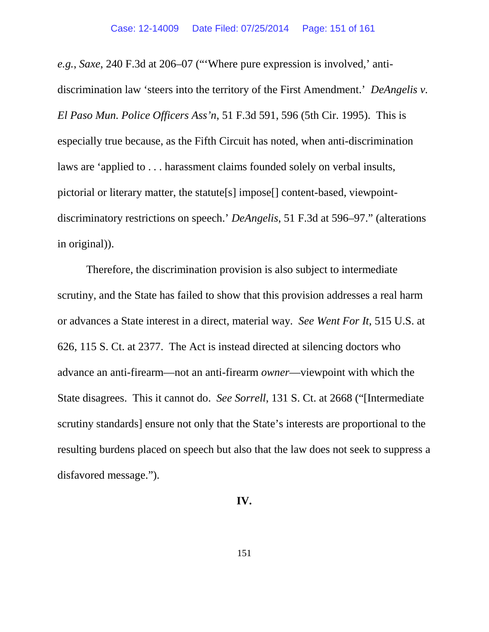*e.g.*, *Saxe*, 240 F.3d at 206–07 ("'Where pure expression is involved,' antidiscrimination law 'steers into the territory of the First Amendment.' *DeAngelis v. El Paso Mun. Police Officers Ass'n*, 51 F.3d 591, 596 (5th Cir. 1995). This is especially true because, as the Fifth Circuit has noted, when anti-discrimination laws are 'applied to . . . harassment claims founded solely on verbal insults, pictorial or literary matter, the statute[s] impose[] content-based, viewpointdiscriminatory restrictions on speech.' *DeAngelis*, 51 F.3d at 596–97." (alterations in original)).

Therefore, the discrimination provision is also subject to intermediate scrutiny, and the State has failed to show that this provision addresses a real harm or advances a State interest in a direct, material way. *See Went For It*, 515 U.S. at 626, 115 S. Ct. at 2377. The Act is instead directed at silencing doctors who advance an anti-firearm—not an anti-firearm *owner*—viewpoint with which the State disagrees. This it cannot do. *See Sorrell*, 131 S. Ct. at 2668 ("[Intermediate scrutiny standards] ensure not only that the State's interests are proportional to the resulting burdens placed on speech but also that the law does not seek to suppress a disfavored message.").

# **IV.**

151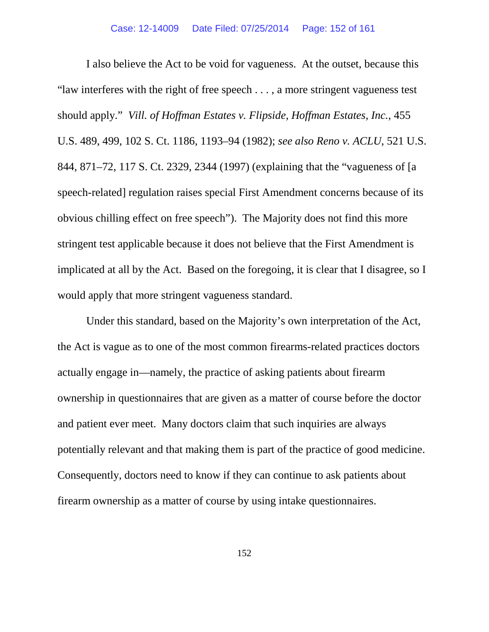I also believe the Act to be void for vagueness. At the outset, because this "law interferes with the right of free speech . . . , a more stringent vagueness test should apply." *Vill. of Hoffman Estates v. Flipside, Hoffman Estates, Inc.*, 455 U.S. 489, 499, 102 S. Ct. 1186, 1193–94 (1982); *see also Reno v. ACLU*, 521 U.S. 844, 871–72, 117 S. Ct. 2329, 2344 (1997) (explaining that the "vagueness of [a speech-related] regulation raises special First Amendment concerns because of its obvious chilling effect on free speech"). The Majority does not find this more stringent test applicable because it does not believe that the First Amendment is implicated at all by the Act. Based on the foregoing, it is clear that I disagree, so I would apply that more stringent vagueness standard.

Under this standard, based on the Majority's own interpretation of the Act, the Act is vague as to one of the most common firearms-related practices doctors actually engage in—namely, the practice of asking patients about firearm ownership in questionnaires that are given as a matter of course before the doctor and patient ever meet. Many doctors claim that such inquiries are always potentially relevant and that making them is part of the practice of good medicine. Consequently, doctors need to know if they can continue to ask patients about firearm ownership as a matter of course by using intake questionnaires.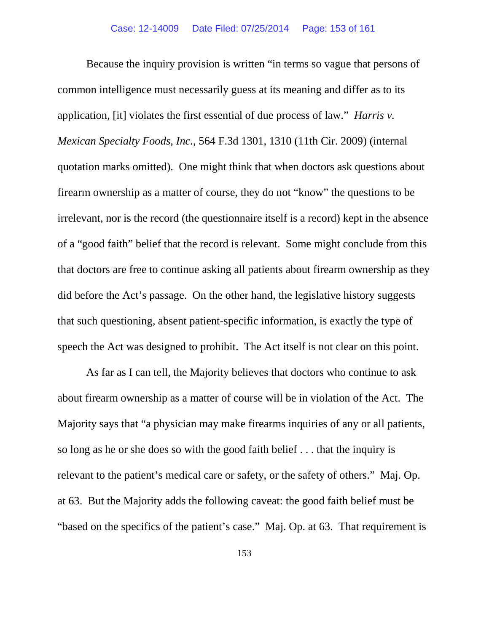Because the inquiry provision is written "in terms so vague that persons of common intelligence must necessarily guess at its meaning and differ as to its application, [it] violates the first essential of due process of law." *Harris v. Mexican Specialty Foods, Inc.*, 564 F.3d 1301, 1310 (11th Cir. 2009) (internal quotation marks omitted). One might think that when doctors ask questions about firearm ownership as a matter of course, they do not "know" the questions to be irrelevant, nor is the record (the questionnaire itself is a record) kept in the absence of a "good faith" belief that the record is relevant. Some might conclude from this that doctors are free to continue asking all patients about firearm ownership as they did before the Act's passage. On the other hand, the legislative history suggests that such questioning, absent patient-specific information, is exactly the type of speech the Act was designed to prohibit. The Act itself is not clear on this point.

As far as I can tell, the Majority believes that doctors who continue to ask about firearm ownership as a matter of course will be in violation of the Act. The Majority says that "a physician may make firearms inquiries of any or all patients, so long as he or she does so with the good faith belief . . . that the inquiry is relevant to the patient's medical care or safety, or the safety of others." Maj. Op. at 63. But the Majority adds the following caveat: the good faith belief must be "based on the specifics of the patient's case." Maj. Op. at 63. That requirement is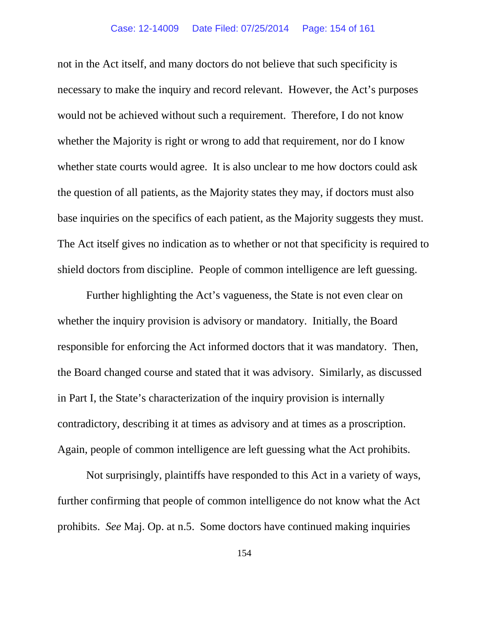not in the Act itself, and many doctors do not believe that such specificity is necessary to make the inquiry and record relevant. However, the Act's purposes would not be achieved without such a requirement. Therefore, I do not know whether the Majority is right or wrong to add that requirement, nor do I know whether state courts would agree. It is also unclear to me how doctors could ask the question of all patients, as the Majority states they may, if doctors must also base inquiries on the specifics of each patient, as the Majority suggests they must. The Act itself gives no indication as to whether or not that specificity is required to shield doctors from discipline. People of common intelligence are left guessing.

Further highlighting the Act's vagueness, the State is not even clear on whether the inquiry provision is advisory or mandatory. Initially, the Board responsible for enforcing the Act informed doctors that it was mandatory. Then, the Board changed course and stated that it was advisory. Similarly, as discussed in Part I, the State's characterization of the inquiry provision is internally contradictory, describing it at times as advisory and at times as a proscription. Again, people of common intelligence are left guessing what the Act prohibits.

Not surprisingly, plaintiffs have responded to this Act in a variety of ways, further confirming that people of common intelligence do not know what the Act prohibits. *See* Maj. Op. at n.5. Some doctors have continued making inquiries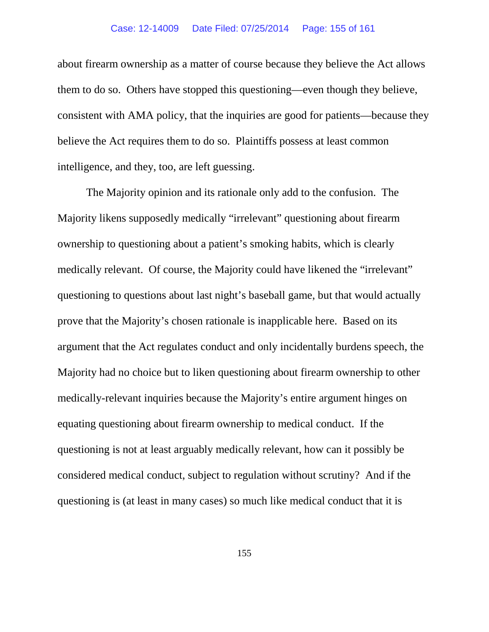about firearm ownership as a matter of course because they believe the Act allows them to do so. Others have stopped this questioning—even though they believe, consistent with AMA policy, that the inquiries are good for patients—because they believe the Act requires them to do so. Plaintiffs possess at least common intelligence, and they, too, are left guessing.

The Majority opinion and its rationale only add to the confusion. The Majority likens supposedly medically "irrelevant" questioning about firearm ownership to questioning about a patient's smoking habits, which is clearly medically relevant. Of course, the Majority could have likened the "irrelevant" questioning to questions about last night's baseball game, but that would actually prove that the Majority's chosen rationale is inapplicable here. Based on its argument that the Act regulates conduct and only incidentally burdens speech, the Majority had no choice but to liken questioning about firearm ownership to other medically-relevant inquiries because the Majority's entire argument hinges on equating questioning about firearm ownership to medical conduct. If the questioning is not at least arguably medically relevant, how can it possibly be considered medical conduct, subject to regulation without scrutiny? And if the questioning is (at least in many cases) so much like medical conduct that it is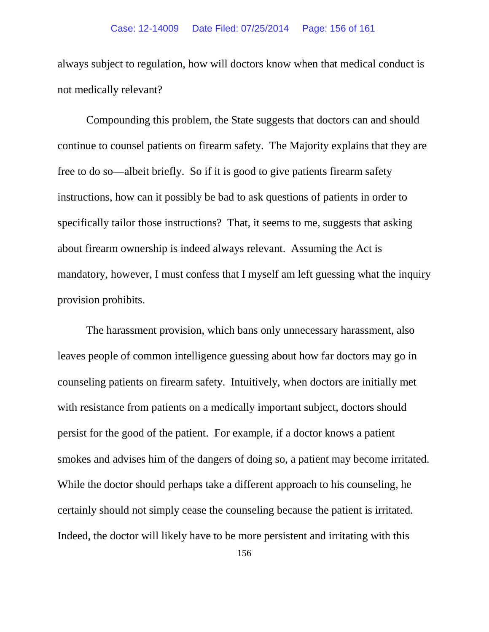always subject to regulation, how will doctors know when that medical conduct is not medically relevant?

Compounding this problem, the State suggests that doctors can and should continue to counsel patients on firearm safety. The Majority explains that they are free to do so—albeit briefly. So if it is good to give patients firearm safety instructions, how can it possibly be bad to ask questions of patients in order to specifically tailor those instructions? That, it seems to me, suggests that asking about firearm ownership is indeed always relevant. Assuming the Act is mandatory, however, I must confess that I myself am left guessing what the inquiry provision prohibits.

The harassment provision, which bans only unnecessary harassment, also leaves people of common intelligence guessing about how far doctors may go in counseling patients on firearm safety. Intuitively, when doctors are initially met with resistance from patients on a medically important subject, doctors should persist for the good of the patient. For example, if a doctor knows a patient smokes and advises him of the dangers of doing so, a patient may become irritated. While the doctor should perhaps take a different approach to his counseling, he certainly should not simply cease the counseling because the patient is irritated. Indeed, the doctor will likely have to be more persistent and irritating with this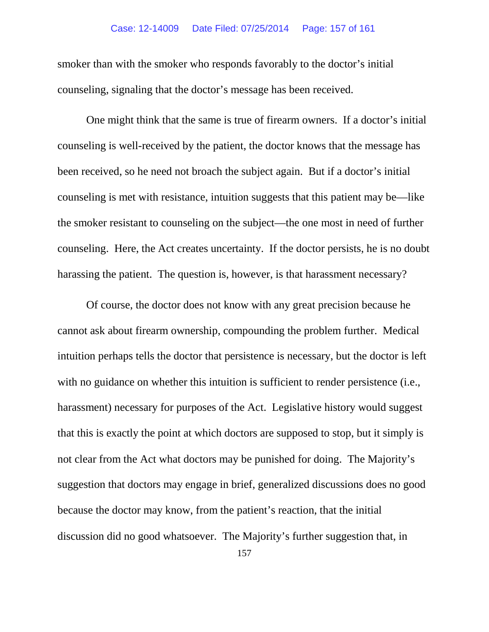# Case: 12-14009 Date Filed: 07/25/2014 Page: 157 of 161

smoker than with the smoker who responds favorably to the doctor's initial counseling, signaling that the doctor's message has been received.

One might think that the same is true of firearm owners. If a doctor's initial counseling is well-received by the patient, the doctor knows that the message has been received, so he need not broach the subject again. But if a doctor's initial counseling is met with resistance, intuition suggests that this patient may be—like the smoker resistant to counseling on the subject—the one most in need of further counseling. Here, the Act creates uncertainty. If the doctor persists, he is no doubt harassing the patient. The question is, however, is that harassment necessary?

Of course, the doctor does not know with any great precision because he cannot ask about firearm ownership, compounding the problem further. Medical intuition perhaps tells the doctor that persistence is necessary, but the doctor is left with no guidance on whether this intuition is sufficient to render persistence (i.e., harassment) necessary for purposes of the Act. Legislative history would suggest that this is exactly the point at which doctors are supposed to stop, but it simply is not clear from the Act what doctors may be punished for doing. The Majority's suggestion that doctors may engage in brief, generalized discussions does no good because the doctor may know, from the patient's reaction, that the initial discussion did no good whatsoever. The Majority's further suggestion that, in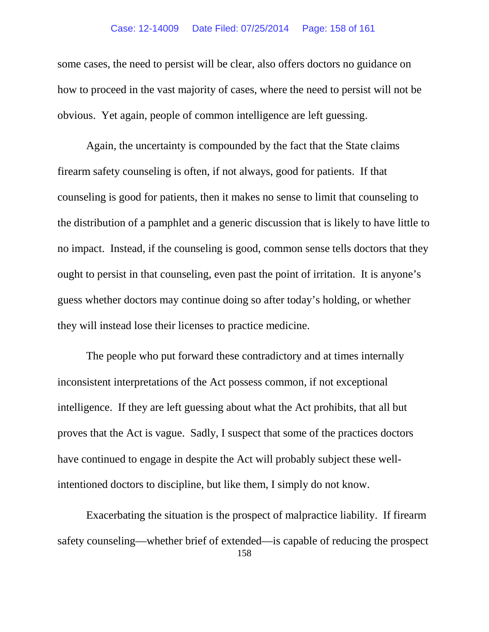# Case: 12-14009 Date Filed: 07/25/2014 Page: 158 of 161

some cases, the need to persist will be clear, also offers doctors no guidance on how to proceed in the vast majority of cases, where the need to persist will not be obvious. Yet again, people of common intelligence are left guessing.

Again, the uncertainty is compounded by the fact that the State claims firearm safety counseling is often, if not always, good for patients. If that counseling is good for patients, then it makes no sense to limit that counseling to the distribution of a pamphlet and a generic discussion that is likely to have little to no impact. Instead, if the counseling is good, common sense tells doctors that they ought to persist in that counseling, even past the point of irritation. It is anyone's guess whether doctors may continue doing so after today's holding, or whether they will instead lose their licenses to practice medicine.

The people who put forward these contradictory and at times internally inconsistent interpretations of the Act possess common, if not exceptional intelligence. If they are left guessing about what the Act prohibits, that all but proves that the Act is vague. Sadly, I suspect that some of the practices doctors have continued to engage in despite the Act will probably subject these wellintentioned doctors to discipline, but like them, I simply do not know.

158 Exacerbating the situation is the prospect of malpractice liability. If firearm safety counseling—whether brief of extended—is capable of reducing the prospect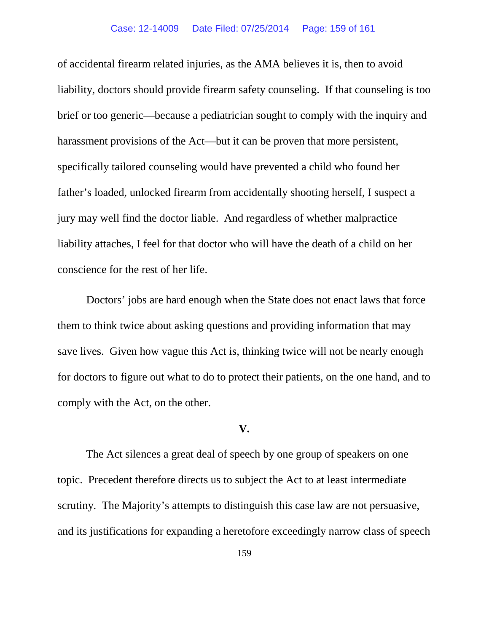# Case: 12-14009 Date Filed: 07/25/2014 Page: 159 of 161

of accidental firearm related injuries, as the AMA believes it is, then to avoid liability, doctors should provide firearm safety counseling. If that counseling is too brief or too generic—because a pediatrician sought to comply with the inquiry and harassment provisions of the Act—but it can be proven that more persistent, specifically tailored counseling would have prevented a child who found her father's loaded, unlocked firearm from accidentally shooting herself, I suspect a jury may well find the doctor liable. And regardless of whether malpractice liability attaches, I feel for that doctor who will have the death of a child on her conscience for the rest of her life.

Doctors' jobs are hard enough when the State does not enact laws that force them to think twice about asking questions and providing information that may save lives. Given how vague this Act is, thinking twice will not be nearly enough for doctors to figure out what to do to protect their patients, on the one hand, and to comply with the Act, on the other.

# **V.**

The Act silences a great deal of speech by one group of speakers on one topic. Precedent therefore directs us to subject the Act to at least intermediate scrutiny. The Majority's attempts to distinguish this case law are not persuasive, and its justifications for expanding a heretofore exceedingly narrow class of speech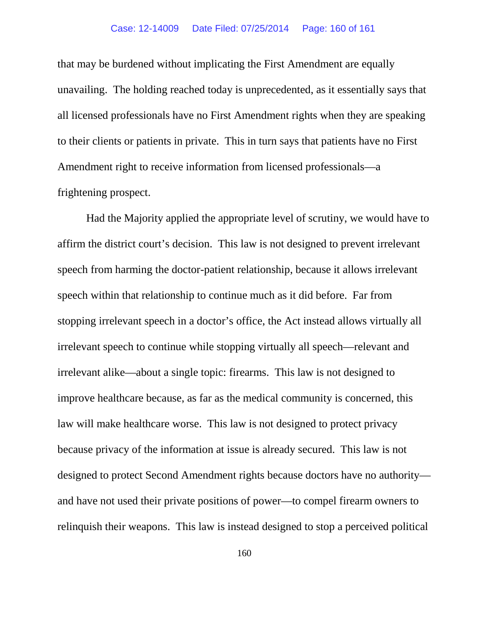# Case: 12-14009 Date Filed: 07/25/2014 Page: 160 of 161

that may be burdened without implicating the First Amendment are equally unavailing. The holding reached today is unprecedented, as it essentially says that all licensed professionals have no First Amendment rights when they are speaking to their clients or patients in private. This in turn says that patients have no First Amendment right to receive information from licensed professionals—a frightening prospect.

Had the Majority applied the appropriate level of scrutiny, we would have to affirm the district court's decision. This law is not designed to prevent irrelevant speech from harming the doctor-patient relationship, because it allows irrelevant speech within that relationship to continue much as it did before. Far from stopping irrelevant speech in a doctor's office, the Act instead allows virtually all irrelevant speech to continue while stopping virtually all speech—relevant and irrelevant alike—about a single topic: firearms. This law is not designed to improve healthcare because, as far as the medical community is concerned, this law will make healthcare worse. This law is not designed to protect privacy because privacy of the information at issue is already secured. This law is not designed to protect Second Amendment rights because doctors have no authority and have not used their private positions of power—to compel firearm owners to relinquish their weapons. This law is instead designed to stop a perceived political